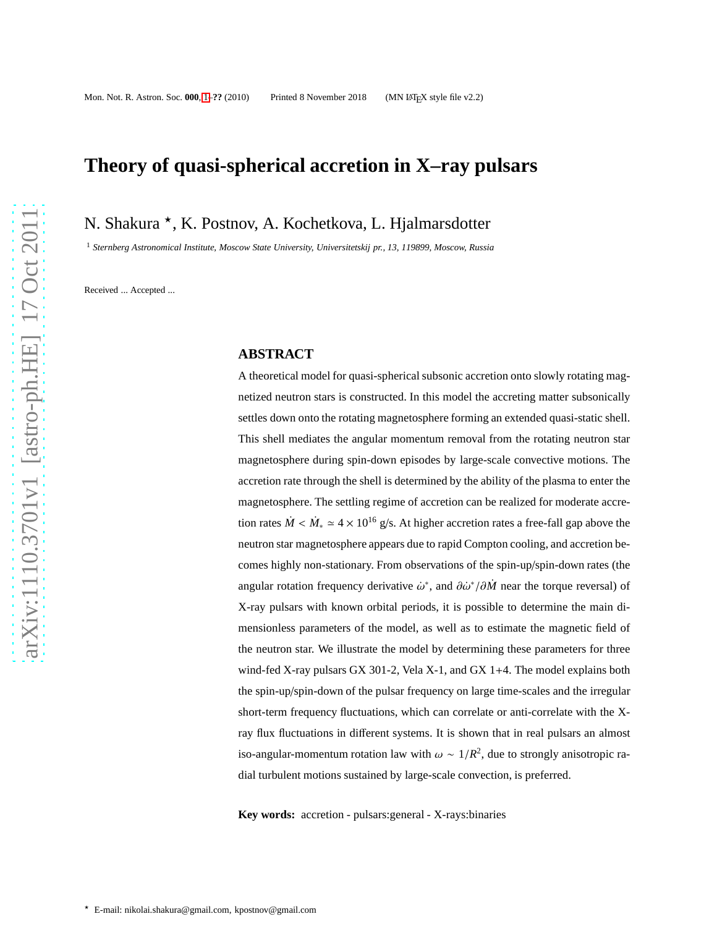# **Theory of quasi-spherical accretion in X–ray pulsars**

N. Shakura <sup>\*</sup>, K. Postnov, A. Kochetkova, L. Hjalmarsdotter

<sup>1</sup> *Sternberg Astronomical Institute, Moscow State University, Universitetskij pr., 13, 119899, Moscow, Russia*

Received ... Accepted ...

# **ABSTRACT**

A theoretical model for quasi-spherical subsonic accretion onto slowly rotating magnetized neutron stars is constructed. In this model the accreting matter subsonically settles down onto the rotating magnetosphere forming an extended quasi-static shell. This shell mediates the angular momentum removal from the rotating neutron star magnetosphere during spin-down episodes by large-scale convective motions. The accretion rate through the shell is determined by the ability of the plasma to enter the magnetosphere. The settling regime of accretion can be realized for moderate accretion rates  $\dot{M} < \dot{M}_* \simeq 4 \times 10^{16}$  g/s. At higher accretion rates a free-fall gap above the neutron star magnetosphere appears due to rapid Compton cooling, and accretion becomes highly non-stationary. From observations of the spin-up/spin-down rates (the angular rotation frequency derivative  $\dot{\omega}^*$ , and  $\partial \dot{\omega}^* / \partial \dot{M}$  near the torque reversal) of X-ray pulsars with known orbital periods, it is possible to determine the main dimensionless parameters of the model, as well as to estimate the magnetic field of the neutron star. We illustrate the model by determining these parameters for three wind-fed X-ray pulsars GX 301-2, Vela X-1, and GX 1+4. The model explains both the spin-up/spin-down of the pulsar frequency on large time-scales and the irregular short-term frequency fluctuations, which can correlate or anti-correlate with the Xray flux fluctuations in different systems. It is shown that in real pulsars an almost iso-angular-momentum rotation law with  $\omega \sim 1/R^2$ , due to strongly anisotropic radial turbulent motions sustained by large-scale convection, is preferred.

**Key words:** accretion - pulsars:general - X-rays:binaries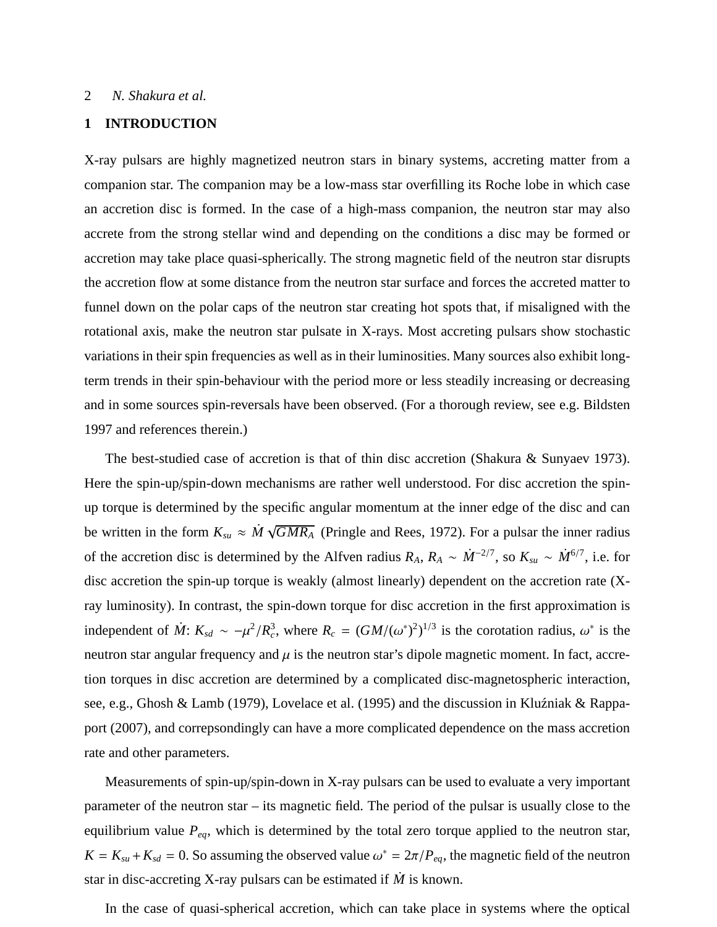# **1 INTRODUCTION**

X-ray pulsars are highly magnetized neutron stars in binary systems, accreting matter from a companion star. The companion may be a low-mass star overfilling its Roche lobe in which case an accretion disc is formed. In the case of a high-mass companion, the neutron star may also accrete from the strong stellar wind and depending on the conditions a disc may be formed or accretion may take place quasi-spherically. The strong magnetic field of the neutron star disrupts the accretion flow at some distance from the neutron star surface and forces the accreted matter to funnel down on the polar caps of the neutron star creating hot spots that, if misaligned with the rotational axis, make the neutron star pulsate in X-rays. Most accreting pulsars show stochastic variations in their spin frequencies as well as in their luminosities. Many sources also exhibit longterm trends in their spin-behaviour with the period more or less steadily increasing or decreasing and in some sources spin-reversals have been observed. (For a thorough review, see e.g. Bildsten 1997 and references therein.)

The best-studied case of accretion is that of thin disc accretion (Shakura & Sunyaev 1973). Here the spin-up/spin-down mechanisms are rather well understood. For disc accretion the spinup torque is determined by the specific angular momentum at the inner edge of the disc and can be written in the form  $K_{su} \approx \dot{M} \sqrt{GMR_A}$  (Pringle and Rees, 1972). For a pulsar the inner radius of the accretion disc is determined by the Alfven radius  $R_A$ ,  $R_A \sim \dot{M}^{-2/7}$ , so  $K_{su} \sim \dot{M}^{6/7}$ , i.e. for disc accretion the spin-up torque is weakly (almost linearly) dependent on the accretion rate (Xray luminosity). In contrast, the spin-down torque for disc accretion in the first approximation is independent of  $\dot{M}$ :  $K_{sd} \sim -\mu^2/R_c^3$ , where  $R_c = (GM/(\omega^*)^2)^{1/3}$  is the corotation radius,  $\omega^*$  is the neutron star angular frequency and  $\mu$  is the neutron star's dipole magnetic moment. In fact, accretion torques in disc accretion are determined by a complicated disc-magnetospheric interaction, see, e.g., Ghosh & Lamb (1979), Lovelace et al. (1995) and the discussion in Kluźniak & Rappaport (2007), and correpsondingly can have a more complicated dependence on the mass accretion rate and other parameters.

Measurements of spin-up/spin-down in X-ray pulsars can be used to evaluate a very important parameter of the neutron star – its magnetic field. The period of the pulsar is usually close to the equilibrium value *Peq*, which is determined by the total zero torque applied to the neutron star,  $K = K_{su} + K_{sd} = 0$ . So assuming the observed value  $\omega^* = 2\pi/P_{eq}$ , the magnetic field of the neutron star in disc-accreting X-ray pulsars can be estimated if *M*˙ is known.

In the case of quasi-spherical accretion, which can take place in systems where the optical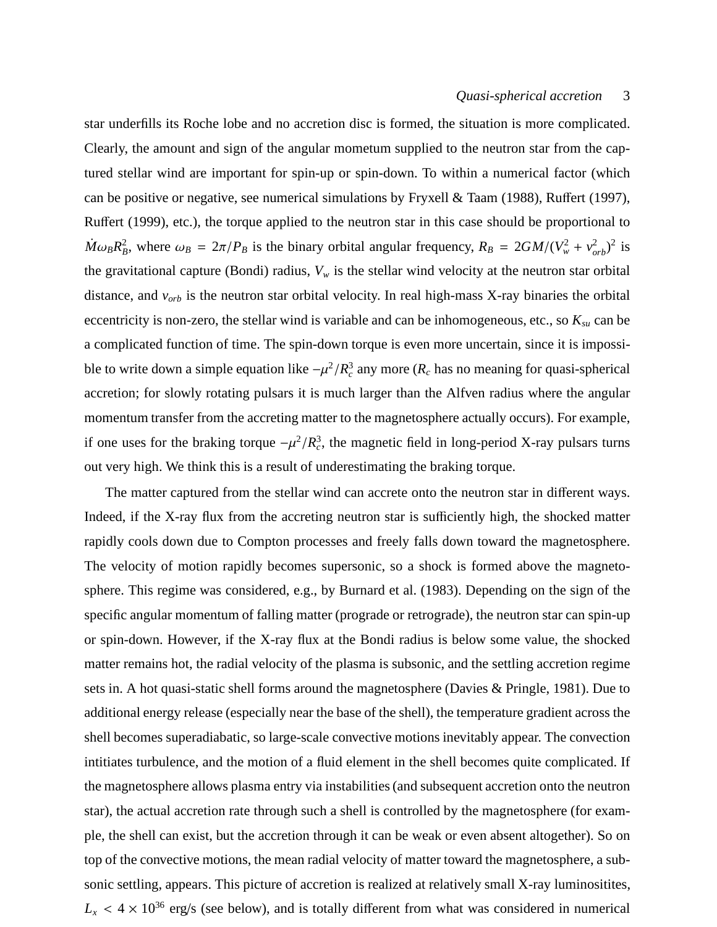star underfills its Roche lobe and no accretion disc is formed, the situation is more complicated. Clearly, the amount and sign of the angular mometum supplied to the neutron star from the captured stellar wind are important for spin-up or spin-down. To within a numerical factor (which can be positive or negative, see numerical simulations by Fryxell & Taam (1988), Ruffert (1997), Ruffert (1999), etc.), the torque applied to the neutron star in this case should be proportional to  $\dot{M}\omega_B R_B^2$ , where  $\omega_B = 2\pi/P_B$  is the binary orbital angular frequency,  $R_B = 2GM/(V_w^2 + v_{orb}^2)^2$  is the gravitational capture (Bondi) radius,  $V_w$  is the stellar wind velocity at the neutron star orbital distance, and *vorb* is the neutron star orbital velocity. In real high-mass X-ray binaries the orbital eccentricity is non-zero, the stellar wind is variable and can be inhomogeneous, etc., so *Ksu* can be a complicated function of time. The spin-down torque is even more uncertain, since it is impossible to write down a simple equation like  $-\mu^2/R_c^3$  any more ( $R_c$  has no meaning for quasi-spherical accretion; for slowly rotating pulsars it is much larger than the Alfven radius where the angular momentum transfer from the accreting matter to the magnetosphere actually occurs). For example, if one uses for the braking torque  $-\mu^2/R_c^3$ , the magnetic field in long-period X-ray pulsars turns out very high. We think this is a result of underestimating the braking torque.

The matter captured from the stellar wind can accrete onto the neutron star in different ways. Indeed, if the X-ray flux from the accreting neutron star is sufficiently high, the shocked matter rapidly cools down due to Compton processes and freely falls down toward the magnetosphere. The velocity of motion rapidly becomes supersonic, so a shock is formed above the magnetosphere. This regime was considered, e.g., by Burnard et al. (1983). Depending on the sign of the specific angular momentum of falling matter (prograde or retrograde), the neutron star can spin-up or spin-down. However, if the X-ray flux at the Bondi radius is below some value, the shocked matter remains hot, the radial velocity of the plasma is subsonic, and the settling accretion regime sets in. A hot quasi-static shell forms around the magnetosphere (Davies & Pringle, 1981). Due to additional energy release (especially near the base of the shell), the temperature gradient across the shell becomes superadiabatic, so large-scale convective motions inevitably appear. The convection intitiates turbulence, and the motion of a fluid element in the shell becomes quite complicated. If the magnetosphere allows plasma entry via instabilities (and subsequent accretion onto the neutron star), the actual accretion rate through such a shell is controlled by the magnetosphere (for example, the shell can exist, but the accretion through it can be weak or even absent altogether). So on top of the convective motions, the mean radial velocity of matter toward the magnetosphere, a subsonic settling, appears. This picture of accretion is realized at relatively small X-ray luminositites,  $L_x$  < 4 × 10<sup>36</sup> erg/s (see below), and is totally different from what was considered in numerical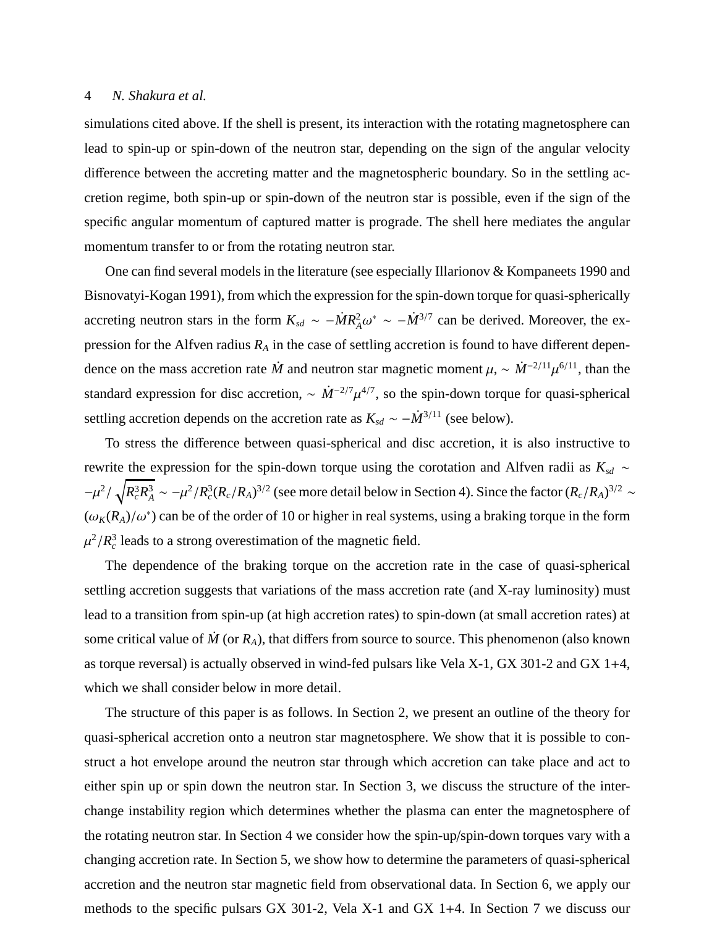simulations cited above. If the shell is present, its interaction with the rotating magnetosphere can lead to spin-up or spin-down of the neutron star, depending on the sign of the angular velocity difference between the accreting matter and the magnetospheric boundary. So in the settling accretion regime, both spin-up or spin-down of the neutron star is possible, even if the sign of the specific angular momentum of captured matter is prograde. The shell here mediates the angular momentum transfer to or from the rotating neutron star.

One can find several models in the literature (see especially Illarionov & Kompaneets 1990 and Bisnovatyi-Kogan 1991), from which the expression for the spin-down torque for quasi-spherically accreting neutron stars in the form  $K_{sd} \sim -\dot{M}R_A^2 \omega^* \sim -\dot{M}^{3/7}$  can be derived. Moreover, the expression for the Alfven radius  $R_A$  in the case of settling accretion is found to have different dependence on the mass accretion rate  $\dot{M}$  and neutron star magnetic moment  $\mu$ , ~  $\dot{M}^{-2/11}\mu^{6/11}$ , than the standard expression for disc accretion,  $\sim \dot{M}^{-2/7} \mu^{4/7}$ , so the spin-down torque for quasi-spherical settling accretion depends on the accretion rate as  $K_{sd} \sim -\dot{M}^{3/11}$  (see below).

To stress the difference between quasi-spherical and disc accretion, it is also instructive to rewrite the expression for the spin-down torque using the corotation and Alfven radii as *Ksd* ∼  $-\mu^2/\sqrt{R_c^3R_A^3} \sim -\mu^2/R_c^3(R_c/R_A)^{3/2}$  (see more detail below in Section 4). Since the factor  $(R_c/R_A)^{3/2} \sim$  $(\omega_K(R_A)/\omega^*)$  can be of the order of 10 or higher in real systems, using a braking torque in the form  $\mu^2/R_c^3$  leads to a strong overestimation of the magnetic field.

The dependence of the braking torque on the accretion rate in the case of quasi-spherical settling accretion suggests that variations of the mass accretion rate (and X-ray luminosity) must lead to a transition from spin-up (at high accretion rates) to spin-down (at small accretion rates) at some critical value of  $\dot{M}$  (or  $R_A$ ), that differs from source to source. This phenomenon (also known as torque reversal) is actually observed in wind-fed pulsars like Vela X-1, GX 301-2 and GX 1+4, which we shall consider below in more detail.

The structure of this paper is as follows. In Section 2, we present an outline of the theory for quasi-spherical accretion onto a neutron star magnetosphere. We show that it is possible to construct a hot envelope around the neutron star through which accretion can take place and act to either spin up or spin down the neutron star. In Section 3, we discuss the structure of the interchange instability region which determines whether the plasma can enter the magnetosphere of the rotating neutron star. In Section 4 we consider how the spin-up/spin-down torques vary with a changing accretion rate. In Section 5, we show how to determine the parameters of quasi-spherical accretion and the neutron star magnetic field from observational data. In Section 6, we apply our methods to the specific pulsars GX 301-2, Vela X-1 and GX 1+4. In Section 7 we discuss our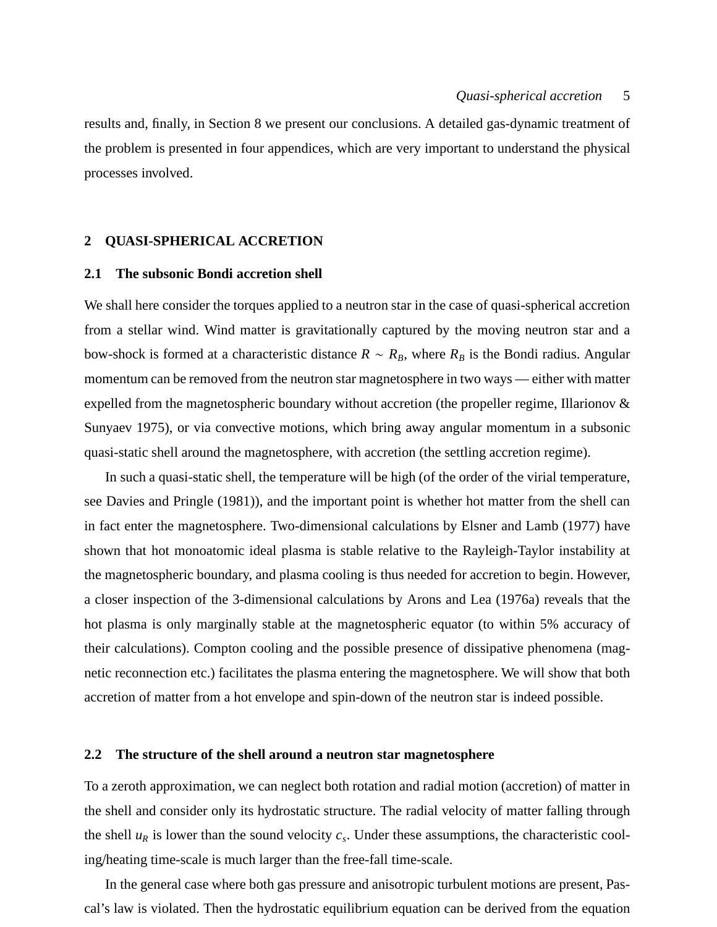results and, finally, in Section 8 we present our conclusions. A detailed gas-dynamic treatment of the problem is presented in four appendices, which are very important to understand the physical processes involved.

# <span id="page-4-0"></span>**2 QUASI-SPHERICAL ACCRETION**

# **2.1 The subsonic Bondi accretion shell**

We shall here consider the torques applied to a neutron star in the case of quasi-spherical accretion from a stellar wind. Wind matter is gravitationally captured by the moving neutron star and a bow-shock is formed at a characteristic distance  $R \sim R_B$ , where  $R_B$  is the Bondi radius. Angular momentum can be removed from the neutron star magnetosphere in two ways — either with matter expelled from the magnetospheric boundary without accretion (the propeller regime, Illarionov  $\&$ Sunyaev 1975), or via convective motions, which bring away angular momentum in a subsonic quasi-static shell around the magnetosphere, with accretion (the settling accretion regime).

In such a quasi-static shell, the temperature will be high (of the order of the virial temperature, see Davies and Pringle (1981)), and the important point is whether hot matter from the shell can in fact enter the magnetosphere. Two-dimensional calculations by Elsner and Lamb (1977) have shown that hot monoatomic ideal plasma is stable relative to the Rayleigh-Taylor instability at the magnetospheric boundary, and plasma cooling is thus needed for accretion to begin. However, a closer inspection of the 3-dimensional calculations by Arons and Lea (1976a) reveals that the hot plasma is only marginally stable at the magnetospheric equator (to within 5% accuracy of their calculations). Compton cooling and the possible presence of dissipative phenomena (magnetic reconnection etc.) facilitates the plasma entering the magnetosphere. We will show that both accretion of matter from a hot envelope and spin-down of the neutron star is indeed possible.

#### **2.2 The structure of the shell around a neutron star magnetosphere**

To a zeroth approximation, we can neglect both rotation and radial motion (accretion) of matter in the shell and consider only its hydrostatic structure. The radial velocity of matter falling through the shell  $u_R$  is lower than the sound velocity  $c_s$ . Under these assumptions, the characteristic cooling/heating time-scale is much larger than the free-fall time-scale.

In the general case where both gas pressure and anisotropic turbulent motions are present, Pascal's law is violated. Then the hydrostatic equilibrium equation can be derived from the equation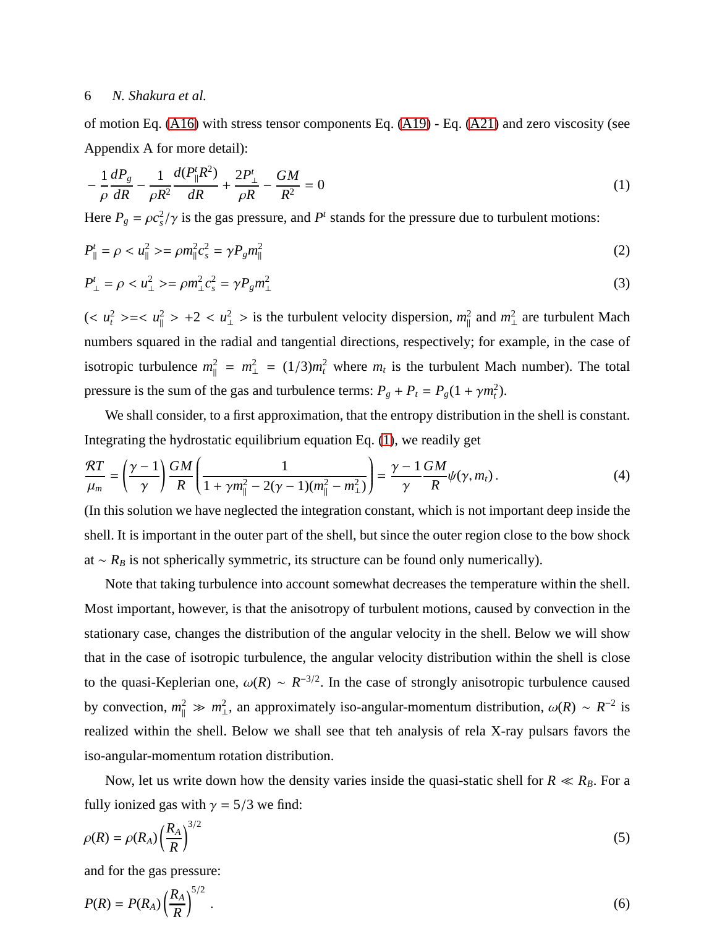of motion Eq. [\(A16\)](#page-32-0) with stress tensor components Eq. [\(A19\)](#page-33-0) - Eq. [\(A21\)](#page-33-1) and zero viscosity (see Appendix A for more detail):

<span id="page-5-0"></span>
$$
-\frac{1}{\rho}\frac{dP_g}{dR} - \frac{1}{\rho R^2}\frac{d(P_{\parallel}^t R^2)}{dR} + \frac{2P_{\perp}^t}{\rho R} - \frac{GM}{R^2} = 0\tag{1}
$$

Here  $P_g = \rho c_s^2 / \gamma$  is the gas pressure, and  $P^t$  stands for the pressure due to turbulent motions:

$$
P_{\parallel}^t = \rho < u_{\parallel}^2 > = \rho m_{\parallel}^2 c_s^2 = \gamma P_g m_{\parallel}^2 \tag{2}
$$

$$
P_{\perp}^{t} = \rho < u_{\perp}^{2} > = \rho m_{\perp}^{2} c_{s}^{2} = \gamma P_{g} m_{\perp}^{2} \tag{3}
$$

 $(< u_t^2 > = < u_{\parallel}^2$  $\frac{2}{\parallel}$  > +2 < *u*<sup>2</sup> > is the turbulent velocity dispersion,  $m_{\parallel}^2$  $\frac{2}{\parallel}$  and  $m_{\perp}^2$  $\frac{2}{1}$  are turbulent Mach numbers squared in the radial and tangential directions, respectively; for example, in the case of isotropic turbulence  $m_{\parallel}^2$  $m_{\perp}^2 = m_{\perp}^2 = (1/3)m_t^2$  where  $m_t$  is the turbulent Mach number). The total pressure is the sum of the gas and turbulence terms:  $P_g + P_t = P_g(1 + \gamma m_t^2)$ .

We shall consider, to a first approximation, that the entropy distribution in the shell is constant. Integrating the hydrostatic equilibrium equation Eq. [\(1\)](#page-5-0), we readily get

<span id="page-5-1"></span>
$$
\frac{\mathcal{R}T}{\mu_m} = \left(\frac{\gamma - 1}{\gamma}\right)\frac{GM}{R}\left(\frac{1}{1 + \gamma m_{\parallel}^2 - 2(\gamma - 1)(m_{\parallel}^2 - m_{\perp}^2)}\right) = \frac{\gamma - 1}{\gamma}\frac{GM}{R}\psi(\gamma, m_t).
$$
\n(4)

(In this solution we have neglected the integration constant, which is not important deep inside the shell. It is important in the outer part of the shell, but since the outer region close to the bow shock at  $~ \sim R_B$  is not spherically symmetric, its structure can be found only numerically).

Note that taking turbulence into account somewhat decreases the temperature within the shell. Most important, however, is that the anisotropy of turbulent motions, caused by convection in the stationary case, changes the distribution of the angular velocity in the shell. Below we will show that in the case of isotropic turbulence, the angular velocity distribution within the shell is close to the quasi-Keplerian one,  $\omega(R) \sim R^{-3/2}$ . In the case of strongly anisotropic turbulence caused by convection,  $m_{\parallel}^2 \gg m_{\perp}^2$  $\frac{2}{\pm}$ , an approximately iso-angular-momentum distribution,  $ω(R) \sim R^{-2}$  is realized within the shell. Below we shall see that teh analysis of rela X-ray pulsars favors the iso-angular-momentum rotation distribution.

Now, let us write down how the density varies inside the quasi-static shell for  $R \ll R_B$ . For a fully ionized gas with  $\gamma = 5/3$  we find:

$$
\rho(R) = \rho(R_A) \left(\frac{R_A}{R}\right)^{3/2} \tag{5}
$$

and for the gas pressure:

$$
P(R) = P(R_A) \left(\frac{R_A}{R}\right)^{5/2} \tag{6}
$$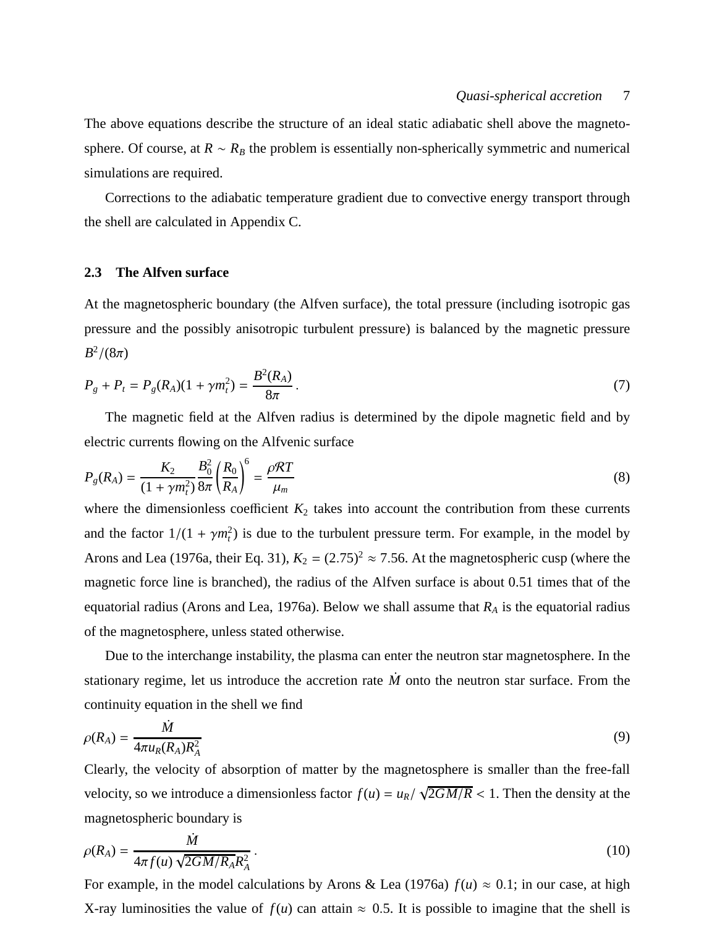The above equations describe the structure of an ideal static adiabatic shell above the magnetosphere. Of course, at  $R \sim R_B$  the problem is essentially non-spherically symmetric and numerical simulations are required.

Corrections to the adiabatic temperature gradient due to convective energy transport through the shell are calculated in Appendix C.

## **2.3 The Alfven surface**

At the magnetospheric boundary (the Alfven surface), the total pressure (including isotropic gas pressure and the possibly anisotropic turbulent pressure) is balanced by the magnetic pressure  $B^2/(8\pi)$ 

$$
P_g + P_t = P_g(R_A)(1 + \gamma m_t^2) = \frac{B^2(R_A)}{8\pi}.
$$
\n(7)

The magnetic field at the Alfven radius is determined by the dipole magnetic field and by electric currents flowing on the Alfvenic surface

<span id="page-6-0"></span>
$$
P_g(R_A) = \frac{K_2}{(1 + \gamma m_t^2)} \frac{B_0^2}{8\pi} \left(\frac{R_0}{R_A}\right)^6 = \frac{\rho RT}{\mu_m}
$$
(8)

where the dimensionless coefficient  $K_2$  takes into account the contribution from these currents and the factor  $1/(1 + \gamma m_t^2)$  is due to the turbulent pressure term. For example, in the model by Arons and Lea (1976a, their Eq. 31),  $K_2 = (2.75)^2 \approx 7.56$ . At the magnetospheric cusp (where the magnetic force line is branched), the radius of the Alfven surface is about 0.51 times that of the equatorial radius (Arons and Lea, 1976a). Below we shall assume that *R<sup>A</sup>* is the equatorial radius of the magnetosphere, unless stated otherwise.

Due to the interchange instability, the plasma can enter the neutron star magnetosphere. In the stationary regime, let us introduce the accretion rate  $\dot{M}$  onto the neutron star surface. From the continuity equation in the shell we find

$$
\rho(R_A) = \frac{\dot{M}}{4\pi u_R(R_A)R_A^2} \tag{9}
$$

Clearly, the velocity of absorption of matter by the magnetosphere is smaller than the free-fall velocity, so we introduce a dimensionless factor  $f(u) = u_R / \sqrt{2GM/R} < 1$ . Then the density at the magnetospheric boundary is

$$
\rho(R_A) = \frac{\dot{M}}{4\pi f(u)\sqrt{2GM/R_A}R_A^2}.
$$
\n(10)

For example, in the model calculations by Arons & Lea (1976a)  $f(u) \approx 0.1$ ; in our case, at high X-ray luminosities the value of  $f(u)$  can attain  $\approx 0.5$ . It is possible to imagine that the shell is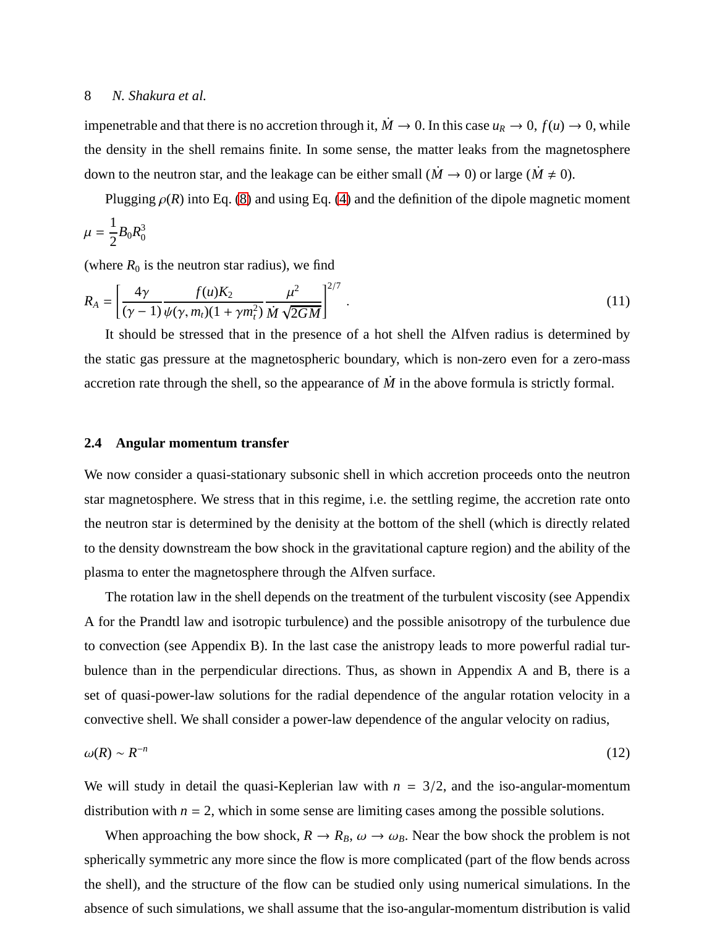impenetrable and that there is no accretion through it,  $\dot{M} \to 0$ . In this case  $u_R \to 0$ ,  $f(u) \to 0$ , while the density in the shell remains finite. In some sense, the matter leaks from the magnetosphere down to the neutron star, and the leakage can be either small ( $\dot{M} \rightarrow 0$ ) or large ( $\dot{M} \neq 0$ ).

Plugging  $\rho(R)$  into Eq. [\(8\)](#page-6-0) and using Eq. [\(4\)](#page-5-1) and the definition of the dipole magnetic moment 1

$$
\mu = \frac{1}{2}B_0 R_0^3
$$

(where  $R_0$  is the neutron star radius), we find

<span id="page-7-0"></span>
$$
R_A = \left[\frac{4\gamma}{(\gamma - 1)} \frac{f(u)K_2}{\psi(\gamma, m_t)(1 + \gamma m_t^2)} \frac{\mu^2}{\dot{M}\sqrt{2GM}}\right]^{2/7}.
$$
\n(11)

It should be stressed that in the presence of a hot shell the Alfven radius is determined by the static gas pressure at the magnetospheric boundary, which is non-zero even for a zero-mass accretion rate through the shell, so the appearance of *M*˙ in the above formula is strictly formal.

# **2.4 Angular momentum transfer**

We now consider a quasi-stationary subsonic shell in which accretion proceeds onto the neutron star magnetosphere. We stress that in this regime, i.e. the settling regime, the accretion rate onto the neutron star is determined by the denisity at the bottom of the shell (which is directly related to the density downstream the bow shock in the gravitational capture region) and the ability of the plasma to enter the magnetosphere through the Alfven surface.

The rotation law in the shell depends on the treatment of the turbulent viscosity (see Appendix A for the Prandtl law and isotropic turbulence) and the possible anisotropy of the turbulence due to convection (see Appendix B). In the last case the anistropy leads to more powerful radial turbulence than in the perpendicular directions. Thus, as shown in Appendix A and B, there is a set of quasi-power-law solutions for the radial dependence of the angular rotation velocity in a convective shell. We shall consider a power-law dependence of the angular velocity on radius,

$$
\omega(R) \sim R^{-n} \tag{12}
$$

We will study in detail the quasi-Keplerian law with  $n = 3/2$ , and the iso-angular-momentum distribution with  $n = 2$ , which in some sense are limiting cases among the possible solutions.

When approaching the bow shock,  $R \to R_B$ ,  $\omega \to \omega_B$ . Near the bow shock the problem is not spherically symmetric any more since the flow is more complicated (part of the flow bends across the shell), and the structure of the flow can be studied only using numerical simulations. In the absence of such simulations, we shall assume that the iso-angular-momentum distribution is valid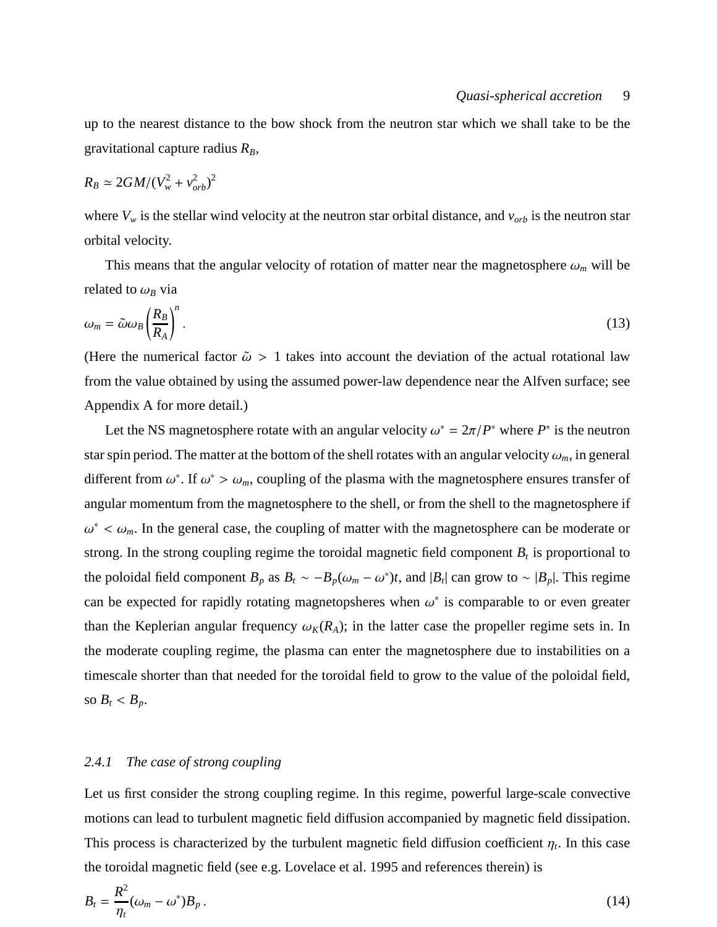up to the nearest distance to the bow shock from the neutron star which we shall take to be the gravitational capture radius  $R_B$ ,

$$
R_B \simeq 2GM/(V_w^2 + v_{orb}^2)^2
$$

where  $V_w$  is the stellar wind velocity at the neutron star orbital distance, and  $v_{orb}$  is the neutron star orbital velocity.

This means that the angular velocity of rotation of matter near the magnetosphere  $\omega_m$  will be related to  $\omega_B$  via

<span id="page-8-1"></span>
$$
\omega_m = \tilde{\omega}\omega_B \left(\frac{R_B}{R_A}\right)^n. \tag{13}
$$

(Here the numerical factor  $\tilde{\omega} > 1$  takes into account the deviation of the actual rotational law from the value obtained by using the assumed power-law dependence near the Alfven surface; see Appendix A for more detail.)

Let the NS magnetosphere rotate with an angular velocity  $\omega^* = 2\pi/P^*$  where  $P^*$  is the neutron star spin period. The matter at the bottom of the shell rotates with an angular velocity  $\omega_m$ , in general different from  $\omega^*$ . If  $\omega^* > \omega_m$ , coupling of the plasma with the magnetosphere ensures transfer of angular momentum from the magnetosphere to the shell, or from the shell to the magnetosphere if  $\omega^* < \omega_m$ . In the general case, the coupling of matter with the magnetosphere can be moderate or strong. In the strong coupling regime the toroidal magnetic field component  $B_t$  is proportional to the poloidal field component  $B_p$  as  $B_t \sim -B_p(\omega_m - \omega^*)t$ , and  $|B_t|$  can grow to  $\sim |B_p|$ . This regime can be expected for rapidly rotating magnetopsheres when  $\omega^*$  is comparable to or even greater than the Keplerian angular frequency  $\omega_K(R_A)$ ; in the latter case the propeller regime sets in. In the moderate coupling regime, the plasma can enter the magnetosphere due to instabilities on a timescale shorter than that needed for the toroidal field to grow to the value of the poloidal field, so  $B_t < B_p$ .

# <span id="page-8-2"></span>*2.4.1 The case of strong coupling*

Let us first consider the strong coupling regime. In this regime, powerful large-scale convective motions can lead to turbulent magnetic field diffusion accompanied by magnetic field dissipation. This process is characterized by the turbulent magnetic field diffusion coefficient  $\eta_t$ . In this case the toroidal magnetic field (see e.g. Lovelace et al. 1995 and references therein) is

<span id="page-8-0"></span>
$$
B_t = \frac{R^2}{\eta_t} (\omega_m - \omega^*) B_p \,. \tag{14}
$$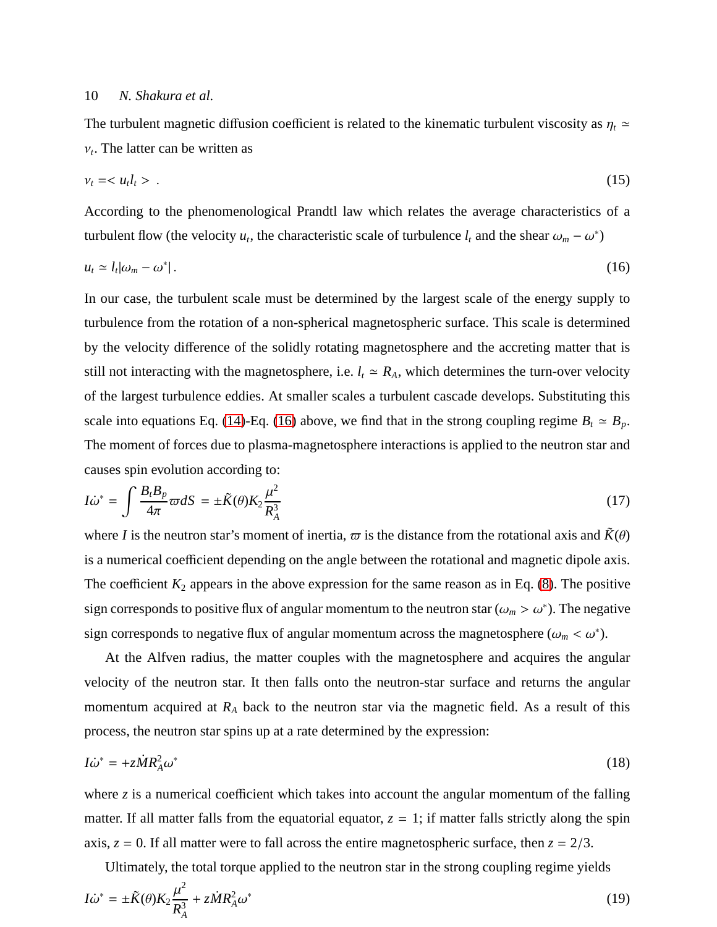The turbulent magnetic diffusion coefficient is related to the kinematic turbulent viscosity as  $\eta_t$  ≃  $v_t$ . The latter can be written as

$$
v_t = \langle u_t l_t \rangle \tag{15}
$$

According to the phenomenological Prandtl law which relates the average characteristics of a turbulent flow (the velocity  $u_t$ , the characteristic scale of turbulence  $l_t$  and the shear  $\omega_m - \omega^*$ )

<span id="page-9-0"></span>
$$
u_t \simeq l_t |\omega_m - \omega^*| \,. \tag{16}
$$

In our case, the turbulent scale must be determined by the largest scale of the energy supply to turbulence from the rotation of a non-spherical magnetospheric surface. This scale is determined by the velocity difference of the solidly rotating magnetosphere and the accreting matter that is still not interacting with the magnetosphere, i.e.  $l_t \approx R_A$ , which determines the turn-over velocity of the largest turbulence eddies. At smaller scales a turbulent cascade develops. Substituting this scale into equations Eq. [\(14\)](#page-8-0)-Eq. [\(16\)](#page-9-0) above, we find that in the strong coupling regime  $B_t \simeq B_p$ . The moment of forces due to plasma-magnetosphere interactions is applied to the neutron star and causes spin evolution according to:

$$
I\dot{\omega}^* = \int \frac{B_t B_p}{4\pi} \varpi dS = \pm \tilde{K}(\theta) K_2 \frac{\mu^2}{R_A^3}
$$
 (17)

where *I* is the neutron star's moment of inertia,  $\varpi$  is the distance from the rotational axis and  $\tilde{K}(\theta)$ is a numerical coefficient depending on the angle between the rotational and magnetic dipole axis. The coefficient  $K_2$  appears in the above expression for the same reason as in Eq. [\(8\)](#page-6-0). The positive sign corresponds to positive flux of angular momentum to the neutron star ( $\omega_m > \omega^*$ ). The negative sign corresponds to negative flux of angular momentum across the magnetosphere  $(\omega_m < \omega^*)$ .

At the Alfven radius, the matter couples with the magnetosphere and acquires the angular velocity of the neutron star. It then falls onto the neutron-star surface and returns the angular momentum acquired at *R<sup>A</sup>* back to the neutron star via the magnetic field. As a result of this process, the neutron star spins up at a rate determined by the expression:

<span id="page-9-1"></span>
$$
I\dot{\omega}^* = +z\dot{M}R_A^2\omega^* \tag{18}
$$

where *z* is a numerical coefficient which takes into account the angular momentum of the falling matter. If all matter falls from the equatorial equator,  $z = 1$ ; if matter falls strictly along the spin axis,  $z = 0$ . If all matter were to fall across the entire magnetospheric surface, then  $z = 2/3$ .

Ultimately, the total torque applied to the neutron star in the strong coupling regime yields

$$
I\dot{\omega}^* = \pm \tilde{K}(\theta) K_2 \frac{\mu^2}{R_A^3} + z \dot{M} R_A^2 \omega^*
$$
\n(19)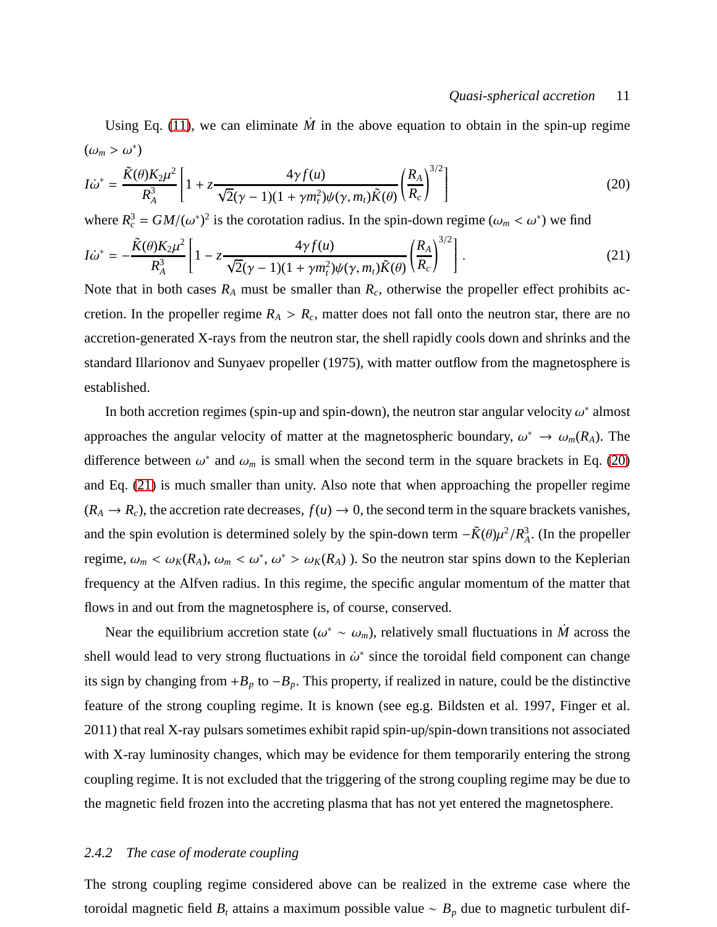#### *Quasi-spherical accretion* 11

Using Eq. [\(11\)](#page-7-0), we can eliminate  $\dot{M}$  in the above equation to obtain in the spin-up regime  $(\omega_m > \omega^*)$ 

<span id="page-10-0"></span>
$$
I\dot{\omega}^* = \frac{\tilde{K}(\theta)K_2\mu^2}{R_A^3} \left[1 + z\frac{4\gamma f(u)}{\sqrt{2}(\gamma - 1)(1 + \gamma m_t^2)\psi(\gamma, m_t)\tilde{K}(\theta)} \left(\frac{R_A}{R_c}\right)^{3/2}\right]
$$
(20)

where  $R_c^3 = GM/(\omega^*)^2$  is the corotation radius. In the spin-down regime ( $\omega_m < \omega^*$ ) we find

<span id="page-10-1"></span>
$$
I\dot{\omega}^* = -\frac{\tilde{K}(\theta)K_2\mu^2}{R_A^3} \left[1 - z\frac{4\gamma f(u)}{\sqrt{2}(\gamma - 1)(1 + \gamma m_t^2)\psi(\gamma, m_t)\tilde{K}(\theta)} \left(\frac{R_A}{R_c}\right)^{3/2}\right].
$$
 (21)

Note that in both cases  $R_A$  must be smaller than  $R_c$ , otherwise the propeller effect prohibits accretion. In the propeller regime  $R_A > R_c$ , matter does not fall onto the neutron star, there are no accretion-generated X-rays from the neutron star, the shell rapidly cools down and shrinks and the standard Illarionov and Sunyaev propeller (1975), with matter outflow from the magnetosphere is established.

In both accretion regimes (spin-up and spin-down), the neutron star angular velocity  $\omega^*$  almost approaches the angular velocity of matter at the magnetospheric boundary,  $\omega^* \to \omega_m(R_A)$ . The difference between  $\omega^*$  and  $\omega_m$  is small when the second term in the square brackets in Eq. [\(20\)](#page-10-0) and Eq. [\(21\)](#page-10-1) is much smaller than unity. Also note that when approaching the propeller regime  $(R_A \rightarrow R_c)$ , the accretion rate decreases,  $f(u) \rightarrow 0$ , the second term in the square brackets vanishes, and the spin evolution is determined solely by the spin-down term  $-\tilde{K}(\theta)\mu^2/R_A^3$  $A^3$ . (In the propeller regime,  $\omega_m < \omega_K(R_A)$ ,  $\omega_m < \omega^*$ ,  $\omega^* > \omega_K(R_A)$ ). So the neutron star spins down to the Keplerian frequency at the Alfven radius. In this regime, the specific angular momentum of the matter that flows in and out from the magnetosphere is, of course, conserved.

Near the equilibrium accretion state ( $\omega^* \sim \omega_m$ ), relatively small fluctuations in  $\dot{M}$  across the shell would lead to very strong fluctuations in  $\dot{\omega}^*$  since the toroidal field component can change its sign by changing from  $+B_p$  to  $-B_p$ . This property, if realized in nature, could be the distinctive feature of the strong coupling regime. It is known (see eg.g. Bildsten et al. 1997, Finger et al. 2011) that real X-ray pulsars sometimes exhibit rapid spin-up/spin-down transitions not associated with X-ray luminosity changes, which may be evidence for them temporarily entering the strong coupling regime. It is not excluded that the triggering of the strong coupling regime may be due to the magnetic field frozen into the accreting plasma that has not yet entered the magnetosphere.

#### *2.4.2 The case of moderate coupling*

The strong coupling regime considered above can be realized in the extreme case where the toroidal magnetic field *B<sup>t</sup>* attains a maximum possible value ∼ *B<sup>p</sup>* due to magnetic turbulent dif-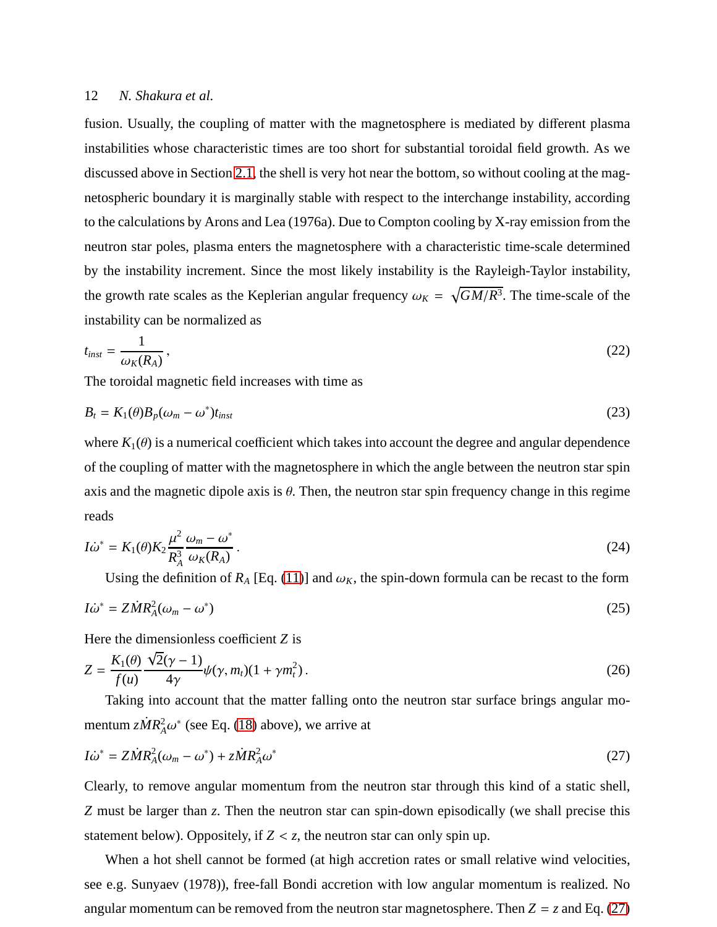fusion. Usually, the coupling of matter with the magnetosphere is mediated by different plasma instabilities whose characteristic times are too short for substantial toroidal field growth. As we discussed above in Section [2.1,](#page-4-0) the shell is very hot near the bottom, so without cooling at the magnetospheric boundary it is marginally stable with respect to the interchange instability, according to the calculations by Arons and Lea (1976a). Due to Compton cooling by X-ray emission from the neutron star poles, plasma enters the magnetosphere with a characteristic time-scale determined by the instability increment. Since the most likely instability is the Rayleigh-Taylor instability, the growth rate scales as the Keplerian angular frequency  $\omega_K = \sqrt{GM/R^3}$ . The time-scale of the instability can be normalized as

$$
t_{inst} = \frac{1}{\omega_K(R_A)},\tag{22}
$$

The toroidal magnetic field increases with time as

<span id="page-11-2"></span>
$$
B_t = K_1(\theta)B_p(\omega_m - \omega^*)t_{inst} \tag{23}
$$

where  $K_1(\theta)$  is a numerical coefficient which takes into account the degree and angular dependence of the coupling of matter with the magnetosphere in which the angle between the neutron star spin axis and the magnetic dipole axis is  $\theta$ . Then, the neutron star spin frequency change in this regime reads

<span id="page-11-3"></span>
$$
I\dot{\omega}^* = K_1(\theta)K_2 \frac{\mu^2}{R_A^3} \frac{\omega_m - \omega^*}{\omega_K(R_A)}.
$$
\n(24)

Using the definition of  $R_A$  [Eq. [\(11\)](#page-7-0)] and  $\omega_K$ , the spin-down formula can be recast to the form

<span id="page-11-4"></span>
$$
I\dot{\omega}^* = Z\dot{M}R_A^2(\omega_m - \omega^*)
$$
\n(25)

Here the dimensionless coefficient *Z* is

<span id="page-11-1"></span>
$$
Z = \frac{K_1(\theta)}{f(u)} \frac{\sqrt{2}(\gamma - 1)}{4\gamma} \psi(\gamma, m_t)(1 + \gamma m_t^2).
$$
 (26)

Taking into account that the matter falling onto the neutron star surface brings angular momentum  $z\dot{M}R_A^2\omega^*$  (see Eq. [\(18\)](#page-9-1) above), we arrive at

<span id="page-11-0"></span>
$$
I\dot{\omega}^* = Z\dot{M}R_A^2(\omega_m - \omega^*) + z\dot{M}R_A^2\omega^*
$$
\n(27)

Clearly, to remove angular momentum from the neutron star through this kind of a static shell, *Z* must be larger than *z*. Then the neutron star can spin-down episodically (we shall precise this statement below). Oppositely, if  $Z < z$ , the neutron star can only spin up.

When a hot shell cannot be formed (at high accretion rates or small relative wind velocities, see e.g. Sunyaev (1978)), free-fall Bondi accretion with low angular momentum is realized. No angular momentum can be removed from the neutron star magnetosphere. Then  $Z = z$  and Eq. [\(27\)](#page-11-0)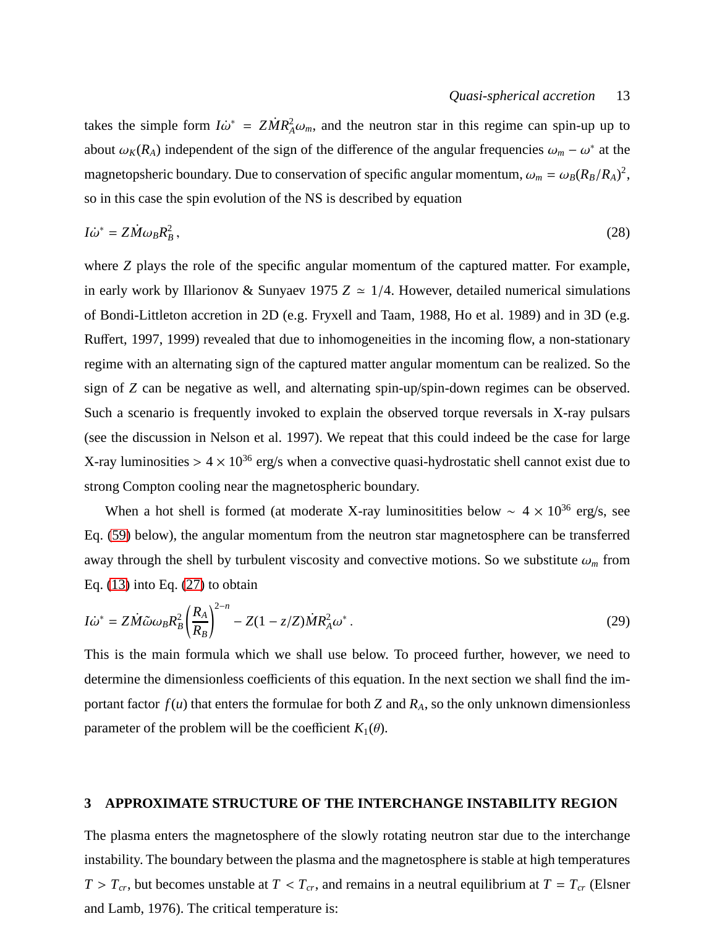takes the simple form  $I\dot{\omega}^* = Z\dot{M}R_A^2\omega_m$ , and the neutron star in this regime can spin-up up to about  $\omega_K(R_A)$  independent of the sign of the difference of the angular frequencies  $\omega_m - \omega^*$  at the magnetopsheric boundary. Due to conservation of specific angular momentum,  $\omega_m = \omega_B (R_B/R_A)^2$ , so in this case the spin evolution of the NS is described by equation

$$
I\dot{\omega}^* = Z\dot{M}\omega_B R_B^2\,,\tag{28}
$$

where *Z* plays the role of the specific angular momentum of the captured matter. For example, in early work by Illarionov & Sunyaev 1975  $Z \approx 1/4$ . However, detailed numerical simulations of Bondi-Littleton accretion in 2D (e.g. Fryxell and Taam, 1988, Ho et al. 1989) and in 3D (e.g. Ruffert, 1997, 1999) revealed that due to inhomogeneities in the incoming flow, a non-stationary regime with an alternating sign of the captured matter angular momentum can be realized. So the sign of *Z* can be negative as well, and alternating spin-up/spin-down regimes can be observed. Such a scenario is frequently invoked to explain the observed torque reversals in X-ray pulsars (see the discussion in Nelson et al. 1997). We repeat that this could indeed be the case for large X-ray luminosities  $> 4 \times 10^{36}$  erg/s when a convective quasi-hydrostatic shell cannot exist due to strong Compton cooling near the magnetospheric boundary.

When a hot shell is formed (at moderate X-ray luminositities below  $\sim 4 \times 10^{36}$  erg/s, see Eq. [\(59\)](#page-19-0) below), the angular momentum from the neutron star magnetosphere can be transferred away through the shell by turbulent viscosity and convective motions. So we substitute  $\omega_m$  from Eq. [\(13\)](#page-8-1) into Eq. [\(27\)](#page-11-0) to obtain

<span id="page-12-0"></span>
$$
I\dot{\omega}^* = Z\dot{M}\tilde{\omega}\omega_B R_B^2 \left(\frac{R_A}{R_B}\right)^{2-n} - Z(1 - z/Z)\dot{M}R_A^2 \omega^* \,. \tag{29}
$$

This is the main formula which we shall use below. To proceed further, however, we need to determine the dimensionless coefficients of this equation. In the next section we shall find the important factor  $f(u)$  that enters the formulae for both *Z* and  $R_A$ , so the only unknown dimensionless parameter of the problem will be the coefficient  $K_1(\theta)$ .

## **3 APPROXIMATE STRUCTURE OF THE INTERCHANGE INSTABILITY REGION**

The plasma enters the magnetosphere of the slowly rotating neutron star due to the interchange instability. The boundary between the plasma and the magnetosphere is stable at high temperatures  $T > T_{cr}$ , but becomes unstable at  $T < T_{cr}$ , and remains in a neutral equilibrium at  $T = T_{cr}$  (Elsner and Lamb, 1976). The critical temperature is: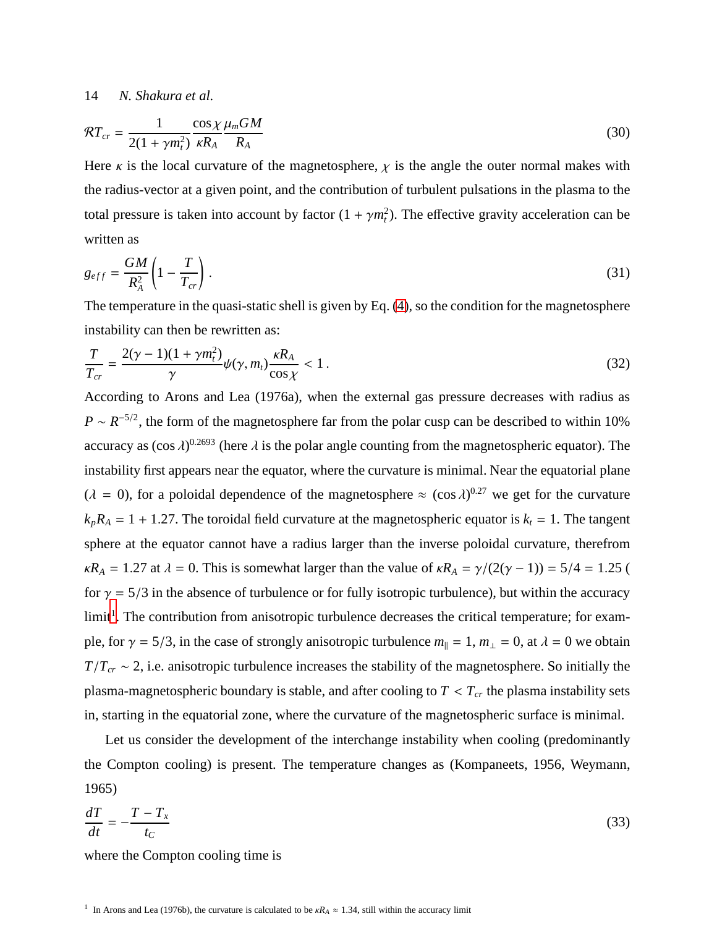$$
\mathcal{R}T_{cr} = \frac{1}{2(1+\gamma m_t^2)} \frac{\cos \chi \mu_m GM}{\kappa R_A} \tag{30}
$$

Here  $\kappa$  is the local curvature of the magnetosphere,  $\chi$  is the angle the outer normal makes with the radius-vector at a given point, and the contribution of turbulent pulsations in the plasma to the total pressure is taken into account by factor  $(1 + \gamma m_t^2)$ . The effective gravity acceleration can be written as

$$
g_{eff} = \frac{GM}{R_A^2} \left( 1 - \frac{T}{T_{cr}} \right). \tag{31}
$$

The temperature in the quasi-static shell is given by Eq. [\(4\)](#page-5-1), so the condition for the magnetosphere instability can then be rewritten as:

$$
\frac{T}{T_{cr}} = \frac{2(\gamma - 1)(1 + \gamma m_t^2)}{\gamma} \psi(\gamma, m_t) \frac{\kappa R_A}{\cos \chi} < 1. \tag{32}
$$

According to Arons and Lea (1976a), when the external gas pressure decreases with radius as  $P \sim R^{-5/2}$ , the form of the magnetosphere far from the polar cusp can be described to within 10% accuracy as  $(\cos \lambda)^{0.2693}$  (here  $\lambda$  is the polar angle counting from the magnetospheric equator). The instability first appears near the equator, where the curvature is minimal. Near the equatorial plane  $(\lambda = 0)$ , for a poloidal dependence of the magnetosphere  $\approx (\cos \lambda)^{0.27}$  we get for the curvature  $k_pR_A = 1 + 1.27$ . The toroidal field curvature at the magnetospheric equator is  $k_t = 1$ . The tangent sphere at the equator cannot have a radius larger than the inverse poloidal curvature, therefrom  $\kappa R_A = 1.27$  at  $\lambda = 0$ . This is somewhat larger than the value of  $\kappa R_A = \gamma/(2(\gamma - 1)) = 5/4 = 1.25$  ( for  $\gamma = 5/3$  in the absence of turbulence or for fully isotropic turbulence), but within the accuracy limit<sup>[1](#page-13-0)</sup>. The contribution from anisotropic turbulence decreases the critical temperature; for example, for  $\gamma = 5/3$ , in the case of strongly anisotropic turbulence  $m_{\parallel} = 1$ ,  $m_{\perp} = 0$ , at  $\lambda = 0$  we obtain *T*/*T*<sub>*cr*</sub> ∼ 2, i.e. anisotropic turbulence increases the stability of the magnetosphere. So initially the plasma-magnetospheric boundary is stable, and after cooling to  $T < T_{cr}$  the plasma instability sets in, starting in the equatorial zone, where the curvature of the magnetospheric surface is minimal.

Let us consider the development of the interchange instability when cooling (predominantly the Compton cooling) is present. The temperature changes as (Kompaneets, 1956, Weymann, 1965)

<span id="page-13-1"></span>
$$
\frac{dT}{dt} = -\frac{T - T_x}{t_C} \tag{33}
$$

<span id="page-13-0"></span>where the Compton cooling time is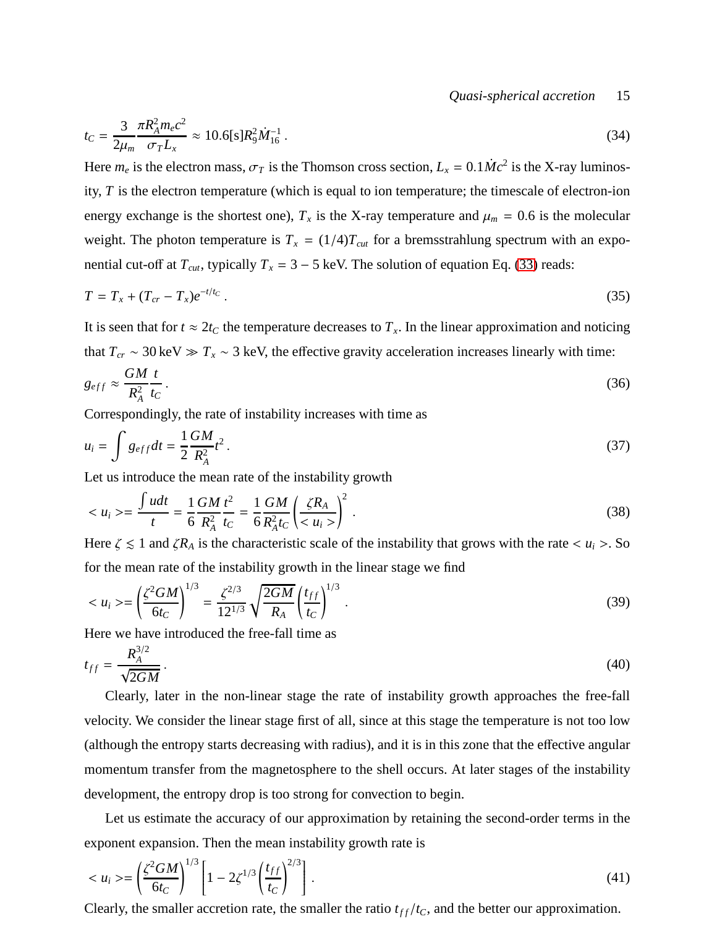*Quasi-spherical accretion* 15

<span id="page-14-1"></span>
$$
t_C = \frac{3}{2\mu_m} \frac{\pi R_A^2 m_e c^2}{\sigma_T L_x} \approx 10.6[s] R_9^2 \dot{M}_{16}^{-1} \,. \tag{34}
$$

Here  $m_e$  is the electron mass,  $\sigma_T$  is the Thomson cross section,  $L_x = 0.1 \dot{M}c^2$  is the X-ray luminosity, *T* is the electron temperature (which is equal to ion temperature; the timescale of electron-ion energy exchange is the shortest one),  $T_x$  is the X-ray temperature and  $\mu_m = 0.6$  is the molecular weight. The photon temperature is  $T_x = (1/4)T_{cut}$  for a bremsstrahlung spectrum with an exponential cut-off at  $T_{cut}$ , typically  $T_x = 3 - 5$  keV. The solution of equation Eq. [\(33\)](#page-13-1) reads:

$$
T = T_x + (T_{cr} - T_x)e^{-t/t_c} \tag{35}
$$

It is seen that for  $t \approx 2t_C$  the temperature decreases to  $T_x$ . In the linear approximation and noticing that  $T_{cr} \sim 30 \text{ keV} \gg T_x \sim 3 \text{ keV}$ , the effective gravity acceleration increases linearly with time:

$$
g_{eff} \approx \frac{GM}{R_A^2} \frac{t}{t_C} \,. \tag{36}
$$

Correspondingly, the rate of instability increases with time as

$$
u_i = \int g_{eff} dt = \frac{1}{2} \frac{GM}{R_A^2} t^2 \,. \tag{37}
$$

Let us introduce the mean rate of the instability growth

$$
\langle u_i \rangle = \frac{\int u dt}{t} = \frac{1}{6} \frac{GM}{R_A^2} \frac{t^2}{t_C} = \frac{1}{6} \frac{GM}{R_A^2 t_C} \left( \frac{\zeta R_A}{\zeta u_i} \right)^2 \,. \tag{38}
$$

Here  $\zeta \leq 1$  and  $\zeta R_A$  is the characteristic scale of the instability that grows with the rate  $\langle u_i \rangle$ . So for the mean rate of the instability growth in the linear stage we find

<span id="page-14-0"></span>
$$
\langle u_i \rangle = \left(\frac{\zeta^2 GM}{6t_C}\right)^{1/3} = \frac{\zeta^{2/3}}{12^{1/3}} \sqrt{\frac{2GM}{R_A}} \left(\frac{t_{ff}}{t_C}\right)^{1/3} \,. \tag{39}
$$

Here we have introduced the free-fall time as

$$
t_{ff} = \frac{R_A^{3/2}}{\sqrt{2GM}}.\tag{40}
$$

Clearly, later in the non-linear stage the rate of instability growth approaches the free-fall velocity. We consider the linear stage first of all, since at this stage the temperature is not too low (although the entropy starts decreasing with radius), and it is in this zone that the effective angular momentum transfer from the magnetosphere to the shell occurs. At later stages of the instability development, the entropy drop is too strong for convection to begin.

Let us estimate the accuracy of our approximation by retaining the second-order terms in the exponent expansion. Then the mean instability growth rate is

$$
\langle u_i \rangle = \left( \frac{\zeta^2 G M}{6t_C} \right)^{1/3} \left[ 1 - 2\zeta^{1/3} \left( \frac{t_{ff}}{t_C} \right)^{2/3} \right].
$$
\n(41)

Clearly, the smaller accretion rate, the smaller the ratio  $t_{ff}/t_c$ , and the better our approximation.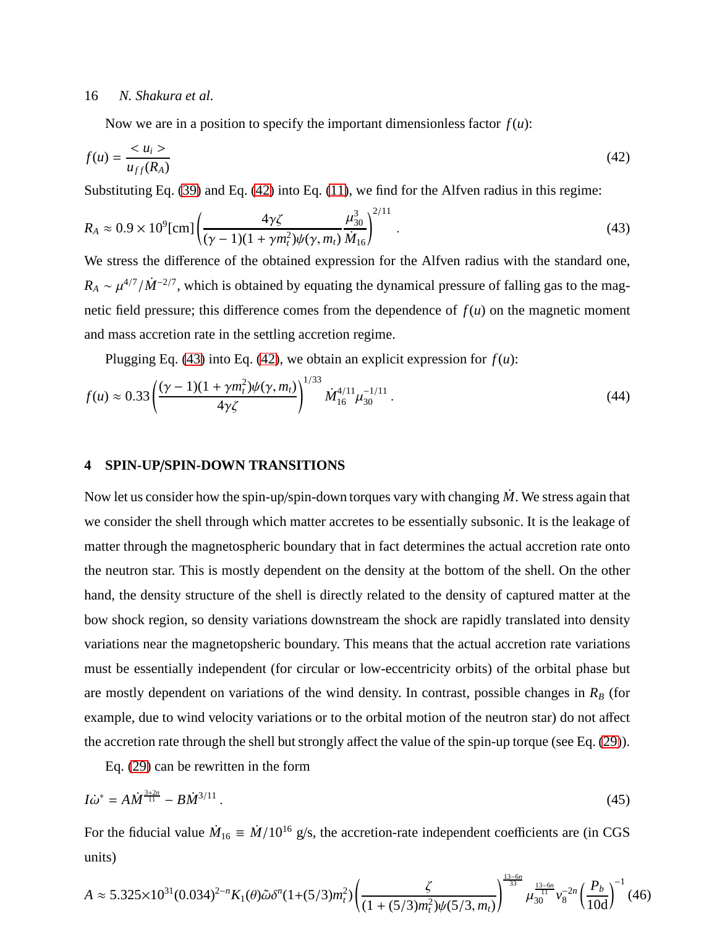Now we are in a position to specify the important dimensionless factor  $f(u)$ :

<span id="page-15-0"></span>
$$
f(u) = \frac{u_i}{u_{ff}(R_A)}\tag{42}
$$

Substituting Eq. [\(39\)](#page-14-0) and Eq. [\(42\)](#page-15-0) into Eq. [\(11\)](#page-7-0), we find for the Alfven radius in this regime:

<span id="page-15-1"></span>
$$
R_A \approx 0.9 \times 10^9 \text{[cm]} \left( \frac{4\gamma\zeta}{(\gamma - 1)(1 + \gamma m_t^2)\psi(\gamma, m_t)} \frac{\mu_{30}^3}{\dot{M}_{16}} \right)^{2/11} \,. \tag{43}
$$

We stress the difference of the obtained expression for the Alfven radius with the standard one,  $R_A \sim \mu^{4/7}/\dot{M}^{-2/7}$ , which is obtained by equating the dynamical pressure of falling gas to the magnetic field pressure; this difference comes from the dependence of  $f(u)$  on the magnetic moment and mass accretion rate in the settling accretion regime.

Plugging Eq. [\(43\)](#page-15-1) into Eq. [\(42\)](#page-15-0), we obtain an explicit expression for  $f(u)$ :

<span id="page-15-2"></span>
$$
f(u) \approx 0.33 \left( \frac{(\gamma - 1)(1 + \gamma m_t^2) \psi(\gamma, m_t)}{4 \gamma \zeta} \right)^{1/33} \dot{M}_{16}^{4/11} \mu_{30}^{-1/11} \,. \tag{44}
$$

# **4 SPIN-UP**/**SPIN-DOWN TRANSITIONS**

Now let us consider how the spin-up/spin-down torques vary with changing *M*. We stress again that we consider the shell through which matter accretes to be essentially subsonic. It is the leakage of matter through the magnetospheric boundary that in fact determines the actual accretion rate onto the neutron star. This is mostly dependent on the density at the bottom of the shell. On the other hand, the density structure of the shell is directly related to the density of captured matter at the bow shock region, so density variations downstream the shock are rapidly translated into density variations near the magnetopsheric boundary. This means that the actual accretion rate variations must be essentially independent (for circular or low-eccentricity orbits) of the orbital phase but are mostly dependent on variations of the wind density. In contrast, possible changes in  $R_B$  (for example, due to wind velocity variations or to the orbital motion of the neutron star) do not affect the accretion rate through the shell but strongly affect the value of the spin-up torque (see Eq. [\(29\)](#page-12-0)).

Eq. [\(29\)](#page-12-0) can be rewritten in the form

<span id="page-15-3"></span>
$$
I\dot{\omega}^* = A\dot{M}^{\frac{3+2n}{11}} - B\dot{M}^{3/11} \,. \tag{45}
$$

For the fiducial value  $\dot{M}_{16} \equiv \dot{M}/10^{16}$  g/s, the accretion-rate independent coefficients are (in CGS units)

<span id="page-15-4"></span>
$$
A \approx 5.325 \times 10^{31} (0.034)^{2-n} K_1(\theta) \tilde{\omega} \delta^n (1+(5/3)m_t^2) \left(\frac{\zeta}{(1+(5/3)m_t^2)\psi(5/3, m_t)}\right)^{\frac{13-6n}{33}} \mu_{30}^{\frac{13-6n}{11}} v_8^{-2n} \left(\frac{P_b}{10d}\right)^{-1} (46)
$$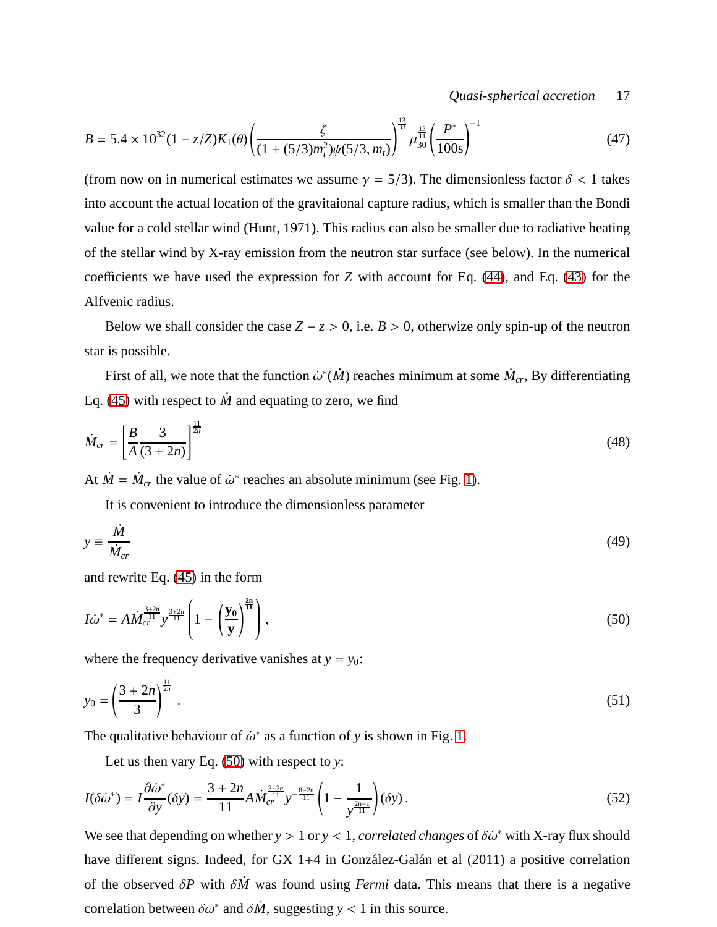*Quasi-spherical accretion* 17

$$
B = 5.4 \times 10^{32} (1 - z/Z) K_1(\theta) \left( \frac{\zeta}{(1 + (5/3)m_t^2)\psi(5/3, m_t)} \right)^{\frac{13}{33}} \mu_{30}^{\frac{13}{31}} \left( \frac{P^*}{100s} \right)^{-1}
$$
(47)

(from now on in numerical estimates we assume  $\gamma = 5/3$ ). The dimensionless factor  $\delta < 1$  takes into account the actual location of the gravitaional capture radius, which is smaller than the Bondi value for a cold stellar wind (Hunt, 1971). This radius can also be smaller due to radiative heating of the stellar wind by X-ray emission from the neutron star surface (see below). In the numerical coefficients we have used the expression for *Z* with account for Eq. [\(44\)](#page-15-2), and Eq. [\(43\)](#page-15-1) for the Alfvenic radius.

Below we shall consider the case  $Z - z > 0$ , i.e.  $B > 0$ , otherwize only spin-up of the neutron star is possible.

First of all, we note that the function  $\dot{\omega}^*(\dot{M})$  reaches minimum at some  $\dot{M}_{cr}$ , By differentiating Eq. [\(45\)](#page-15-3) with respect to  $\dot{M}$  and equating to zero, we find

$$
\dot{M}_{cr} = \left[\frac{B}{A}\frac{3}{(3+2n)}\right]^{\frac{11}{2n}}\tag{48}
$$

At  $\dot{M} = \dot{M}_{cr}$  the value of  $\dot{\omega}^*$  reaches an absolute minimum (see Fig. [1\)](#page-17-0).

It is convenient to introduce the dimensionless parameter

$$
y \equiv \frac{\dot{M}}{\dot{M}_{cr}}\tag{49}
$$

and rewrite Eq. [\(45\)](#page-15-3) in the form

<span id="page-16-0"></span>
$$
I\dot{\omega}^* = A\dot{M}_{cr}^{\frac{3+2n}{11}} y^{\frac{3+2n}{11}} \left(1 - \left(\frac{\mathbf{y_0}}{\mathbf{y}}\right)^{\frac{2n}{11}}\right),\tag{50}
$$

where the frequency derivative vanishes at  $y = y_0$ :

$$
y_0 = \left(\frac{3+2n}{3}\right)^{\frac{11}{2n}}.\tag{51}
$$

The qualitative behaviour of  $\dot{\omega}^*$  as a function of y is shown in Fig. [1.](#page-17-0)

Let us then vary Eq. [\(50\)](#page-16-0) with respect to *y*:

<span id="page-16-1"></span>
$$
I(\delta\dot{\omega}^*) = I \frac{\partial \dot{\omega}^*}{\partial y}(\delta y) = \frac{3 + 2n}{11} A M_{cr}^{\frac{3 + 2n}{11}} y^{-\frac{8 - 2n}{11}} \left( 1 - \frac{1}{y^{\frac{2n - 1}{11}}} \right) (\delta y).
$$
 (52)

We see that depending on whether  $y > 1$  or  $y < 1$ , *correlated changes* of  $\delta \dot{\omega}^*$  with X-ray flux should have different signs. Indeed, for GX 1+4 in González-Galán et al  $(2011)$  a positive correlation of the observed δ*P* with δ*M*˙ was found using *Fermi* data. This means that there is a negative correlation between  $\delta \omega^*$  and  $\delta \dot{M}$ , suggesting *y* < 1 in this source.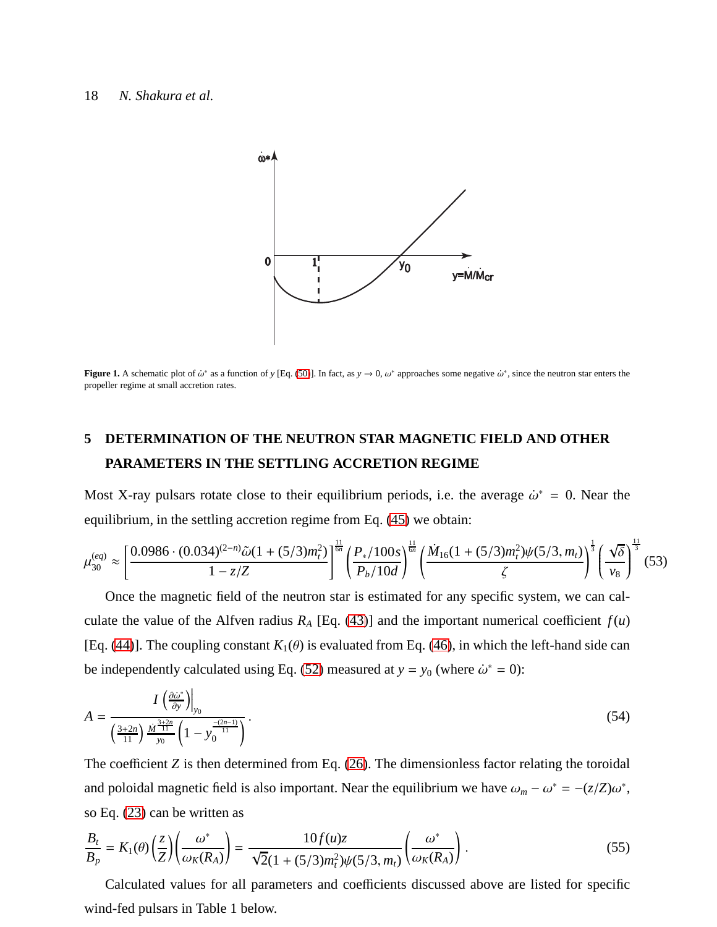

<span id="page-17-0"></span>**Figure 1.** A schematic plot of  $\omega^*$  as a function of *y* [Eq. [\(50\)](#page-16-0)]. In fact, as  $y \to 0$ ,  $\omega^*$  approaches some negative  $\omega^*$ , since the neutron star enters the propeller regime at small accretion rates.

# <span id="page-17-2"></span>**5 DETERMINATION OF THE NEUTRON STAR MAGNETIC FIELD AND OTHER PARAMETERS IN THE SETTLING ACCRETION REGIME**

Most X-ray pulsars rotate close to their equilibrium periods, i.e. the average  $\dot{\omega}^* = 0$ . Near the equilibrium, in the settling accretion regime from Eq. [\(45\)](#page-15-3) we obtain:

<span id="page-17-3"></span>
$$
\mu_{30}^{(eq)} \approx \left[\frac{0.0986 \cdot (0.034)^{(2-n)}\tilde{\omega}(1+(5/3)m_t^2)}{1-z/Z}\right]^{\frac{11}{6n}} \left(\frac{P_*/100s}{P_b/10d}\right)^{\frac{11}{6n}} \left(\frac{\dot{M}_{16}(1+(5/3)m_t^2)\psi(5/3,m_t)}{\zeta}\right)^{\frac{1}{3}} \left(\frac{\sqrt{\delta}}{v_8}\right)^{\frac{11}{3}} (53)
$$

Once the magnetic field of the neutron star is estimated for any specific system, we can calculate the value of the Alfven radius  $R_A$  [Eq. [\(43\)](#page-15-1)] and the important numerical coefficient  $f(u)$ [Eq. [\(44\)](#page-15-2)]. The coupling constant  $K_1(\theta)$  is evaluated from Eq. [\(46\)](#page-15-4), in which the left-hand side can be independently calculated using Eq. [\(52\)](#page-16-1) measured at  $y = y_0$  (where  $\dot{\omega}^* = 0$ ):

<span id="page-17-1"></span>
$$
A = \frac{I\left(\frac{\partial \dot{\omega}^*}{\partial y}\right)\Big|_{y_0}}{\left(\frac{3+2n}{11}\right) \frac{\dot{M}^{\frac{3+2n}{11}}}{y_0} \left(1 - y_0^{\frac{-(2n-1)}{11}}\right)}.
$$
\n(54)

The coefficient *Z* is then determined from Eq. [\(26\)](#page-11-1). The dimensionless factor relating the toroidal and poloidal magnetic field is also important. Near the equilibrium we have  $\omega_m - \omega^* = -(z/Z)\omega^*$ , so Eq. [\(23\)](#page-11-2) can be written as

<span id="page-17-4"></span>
$$
\frac{B_t}{B_p} = K_1(\theta) \left(\frac{z}{Z}\right) \left(\frac{\omega^*}{\omega_K(R_A)}\right) = \frac{10f(u)z}{\sqrt{2}(1+(5/3)m_t^2)\psi(5/3,m_t)} \left(\frac{\omega^*}{\omega_K(R_A)}\right). \tag{55}
$$

Calculated values for all parameters and coefficients discussed above are listed for specific wind-fed pulsars in Table 1 below.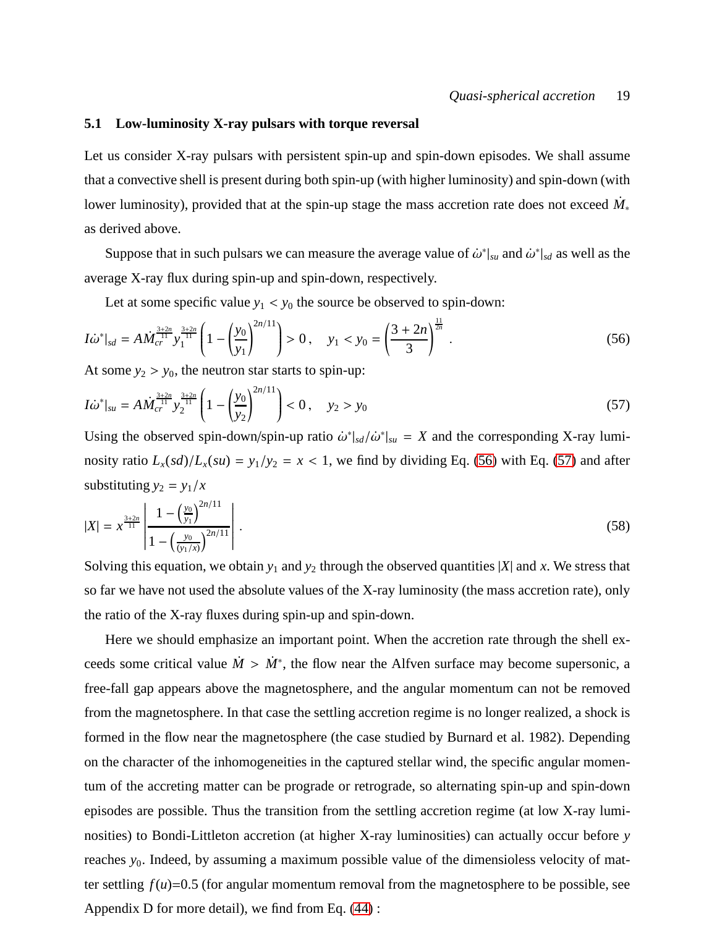#### **5.1 Low-luminosity X-ray pulsars with torque reversal**

Let us consider X-ray pulsars with persistent spin-up and spin-down episodes. We shall assume that a convective shell is present during both spin-up (with higher luminosity) and spin-down (with lower luminosity), provided that at the spin-up stage the mass accretion rate does not exceed  $\dot{M}_*$ as derived above.

Suppose that in such pulsars we can measure the average value of  $\dot{\omega}^*|_{su}$  and  $\dot{\omega}^*|_{sd}$  as well as the average X-ray flux during spin-up and spin-down, respectively.

Let at some specific value  $y_1 < y_0$  the source be observed to spin-down:

<span id="page-18-0"></span>
$$
I\dot{\omega}^*|_{sd} = A\dot{M}_{cr}^{\frac{3+2n}{11}} y_1^{\frac{3+2n}{11}} \left( 1 - \left(\frac{y_0}{y_1}\right)^{2n/11} \right) > 0 \,, \quad y_1 < y_0 = \left(\frac{3+2n}{3}\right)^{\frac{11}{2n}} \,.
$$
\n(56)

At some  $y_2 > y_0$ , the neutron star starts to spin-up:

<span id="page-18-1"></span>
$$
I\dot{\omega}^*|_{su} = A\dot{M}_{cr}^{\frac{3+2n}{11}} y_2^{\frac{3+2n}{11}} \left(1 - \left(\frac{y_0}{y_2}\right)^{2n/11}\right) < 0, \quad y_2 > y_0 \tag{57}
$$

Using the observed spin-down/spin-up ratio  $\dot{\omega}^*|_{sd}/\dot{\omega}^*|_{su} = X$  and the corresponding X-ray luminosity ratio  $L_x(sd)/L_x(su) = y_1/y_2 = x < 1$ , we find by dividing Eq. [\(56\)](#page-18-0) with Eq. [\(57\)](#page-18-1) and after substituting  $y_2 = y_1/x$ 

$$
|X| = x^{\frac{3+2n}{11}} \left| \frac{1 - \left(\frac{y_0}{y_1}\right)^{2n/11}}{1 - \left(\frac{y_0}{y_1/x}\right)^{2n/11}} \right| \,. \tag{58}
$$

Solving this equation, we obtain  $y_1$  and  $y_2$  through the observed quantities  $|X|$  and x. We stress that so far we have not used the absolute values of the X-ray luminosity (the mass accretion rate), only the ratio of the X-ray fluxes during spin-up and spin-down.

Here we should emphasize an important point. When the accretion rate through the shell exceeds some critical value  $\dot{M} > \dot{M}^*$ , the flow near the Alfven surface may become supersonic, a free-fall gap appears above the magnetosphere, and the angular momentum can not be removed from the magnetosphere. In that case the settling accretion regime is no longer realized, a shock is formed in the flow near the magnetosphere (the case studied by Burnard et al. 1982). Depending on the character of the inhomogeneities in the captured stellar wind, the specific angular momentum of the accreting matter can be prograde or retrograde, so alternating spin-up and spin-down episodes are possible. Thus the transition from the settling accretion regime (at low X-ray luminosities) to Bondi-Littleton accretion (at higher X-ray luminosities) can actually occur before *y* reaches *y*0. Indeed, by assuming a maximum possible value of the dimensioless velocity of matter settling  $f(u)=0.5$  (for angular momentum removal from the magnetosphere to be possible, see Appendix D for more detail), we find from Eq. [\(44\)](#page-15-2) :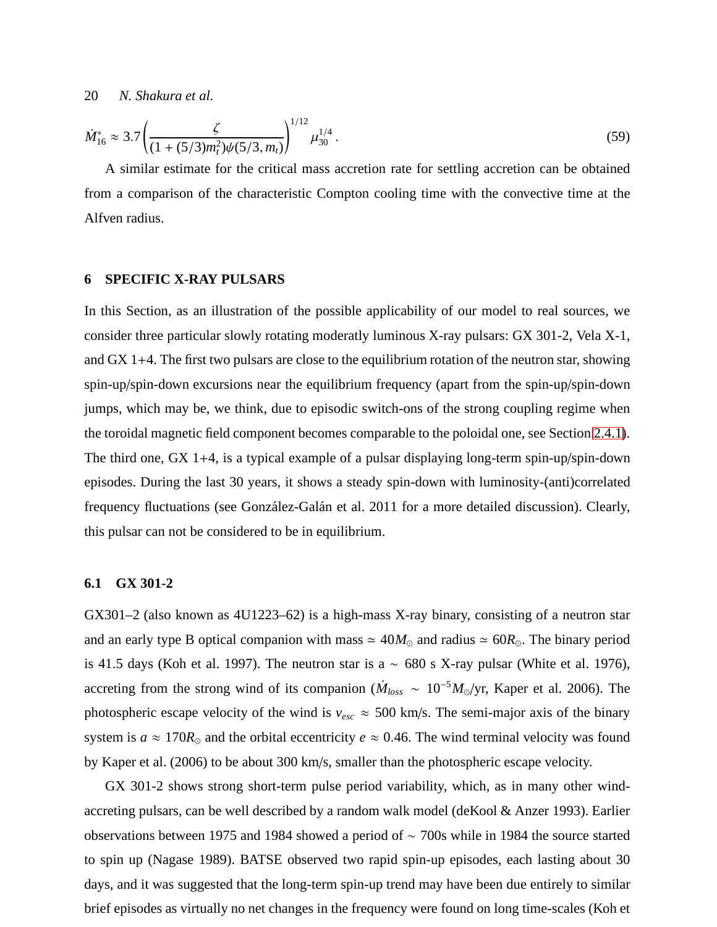<span id="page-19-0"></span>
$$
\dot{M}_{16}^* \approx 3.7 \left( \frac{\zeta}{(1 + (5/3)m_t^2)\psi(5/3, m_t)} \right)^{1/12} \mu_{30}^{1/4} \,. \tag{59}
$$

A similar estimate for the critical mass accretion rate for settling accretion can be obtained from a comparison of the characteristic Compton cooling time with the convective time at the Alfven radius.

# **6 SPECIFIC X-RAY PULSARS**

In this Section, as an illustration of the possible applicability of our model to real sources, we consider three particular slowly rotating moderatly luminous X-ray pulsars: GX 301-2, Vela X-1, and GX 1+4. The first two pulsars are close to the equilibrium rotation of the neutron star, showing spin-up/spin-down excursions near the equilibrium frequency (apart from the spin-up/spin-down jumps, which may be, we think, due to episodic switch-ons of the strong coupling regime when the toroidal magnetic field component becomes comparable to the poloidal one, see Section [2.4.1\)](#page-8-2). The third one, GX 1+4, is a typical example of a pulsar displaying long-term spin-up/spin-down episodes. During the last 30 years, it shows a steady spin-down with luminosity-(anti)correlated frequency fluctuations (see González-Galán et al. 2011 for a more detailed discussion). Clearly, this pulsar can not be considered to be in equilibrium.

#### **6.1 GX 301-2**

GX301–2 (also known as 4U1223–62) is a high-mass X-ray binary, consisting of a neutron star and an early type B optical companion with mass  $\simeq 40M_{\odot}$  and radius  $\simeq 60R_{\odot}$ . The binary period is 41.5 days (Koh et al. 1997). The neutron star is a  $\sim$  680 s X-ray pulsar (White et al. 1976), accreting from the strong wind of its companion ( $\dot{M}_{loss} \sim 10^{-5} M_{\odot}/yr$ , Kaper et al. 2006). The photospheric escape velocity of the wind is  $v_{esc} \approx 500$  km/s. The semi-major axis of the binary system is  $a \approx 170R_{\odot}$  and the orbital eccentricity  $e \approx 0.46$ . The wind terminal velocity was found by Kaper et al. (2006) to be about 300 km/s, smaller than the photospheric escape velocity.

GX 301-2 shows strong short-term pulse period variability, which, as in many other windaccreting pulsars, can be well described by a random walk model (deKool & Anzer 1993). Earlier observations between 1975 and 1984 showed a period of ∼ 700s while in 1984 the source started to spin up (Nagase 1989). BATSE observed two rapid spin-up episodes, each lasting about 30 days, and it was suggested that the long-term spin-up trend may have been due entirely to similar brief episodes as virtually no net changes in the frequency were found on long time-scales (Koh et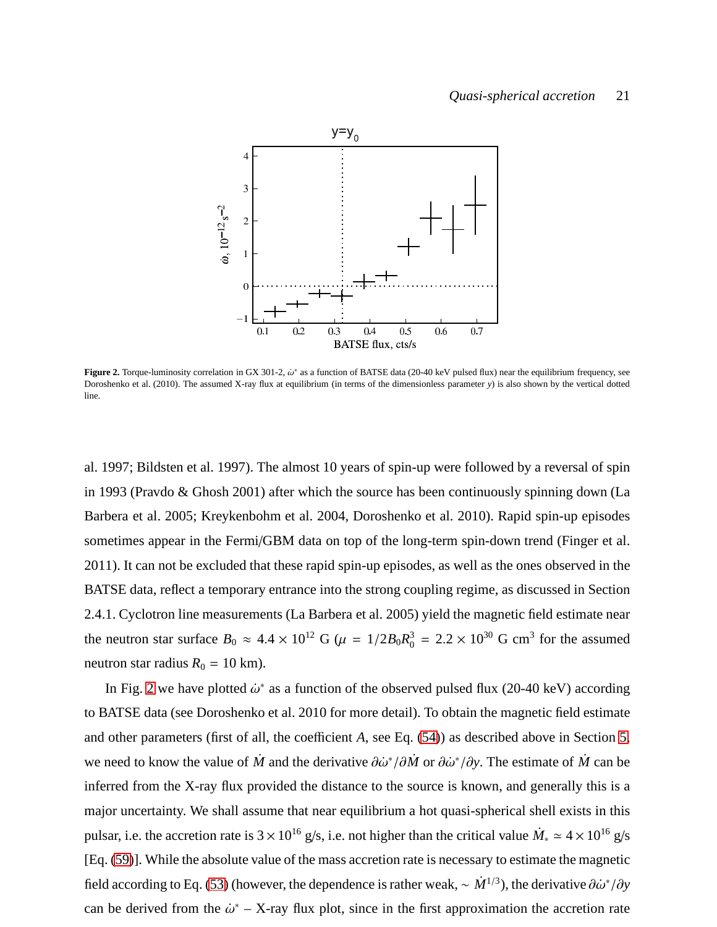### *Quasi-spherical accretion* 21



<span id="page-20-0"></span>**Figure 2.** Torque-luminosity correlation in GX 301-2,  $\dot{\omega}^*$  as a function of BATSE data (20-40 keV pulsed flux) near the equilibrium frequency, see Doroshenko et al. (2010). The assumed X-ray flux at equilibrium (in terms of the dimensionless parameter *y*) is also shown by the vertical dotted line.

al. 1997; Bildsten et al. 1997). The almost 10 years of spin-up were followed by a reversal of spin in 1993 (Pravdo & Ghosh 2001) after which the source has been continuously spinning down (La Barbera et al. 2005; Kreykenbohm et al. 2004, Doroshenko et al. 2010). Rapid spin-up episodes sometimes appear in the Fermi/GBM data on top of the long-term spin-down trend (Finger et al. 2011). It can not be excluded that these rapid spin-up episodes, as well as the ones observed in the BATSE data, reflect a temporary entrance into the strong coupling regime, as discussed in Section 2.4.1. Cyclotron line measurements (La Barbera et al. 2005) yield the magnetic field estimate near the neutron star surface  $B_0 \approx 4.4 \times 10^{12}$  G ( $\mu = 1/2B_0R_0^3$  $_0^3 = 2.2 \times 10^{30}$  G cm<sup>3</sup> for the assumed neutron star radius  $R_0 = 10$  km).

In Fig. [2](#page-20-0) we have plotted  $\dot{\omega}^*$  as a function of the observed pulsed flux (20-40 keV) according to BATSE data (see Doroshenko et al. 2010 for more detail). To obtain the magnetic field estimate and other parameters (first of all, the coefficient *A*, see Eq. [\(54\)](#page-17-1)) as described above in Section [5,](#page-17-2) we need to know the value of *M*<sup>i</sup> and the derivative  $\partial \dot{\omega}^* / \partial \dot{M}$  or  $\partial \dot{\omega}^* / \partial y$ . The estimate of *M*<sup>i</sup> can be inferred from the X-ray flux provided the distance to the source is known, and generally this is a major uncertainty. We shall assume that near equilibrium a hot quasi-spherical shell exists in this pulsar, i.e. the accretion rate is  $3 \times 10^{16}$  g/s, i.e. not higher than the critical value  $\dot{M}_* \simeq 4 \times 10^{16}$  g/s [Eq. [\(59\)](#page-19-0)]. While the absolute value of the mass accretion rate is necessary to estimate the magnetic field according to Eq. [\(53\)](#page-17-3) (however, the dependence is rather weak,  $\sim \dot{M}^{1/3}$ ), the derivative  $\partial \dot{\omega}^* / \partial y$ can be derived from the  $\dot{\omega}^*$  – X-ray flux plot, since in the first approximation the accretion rate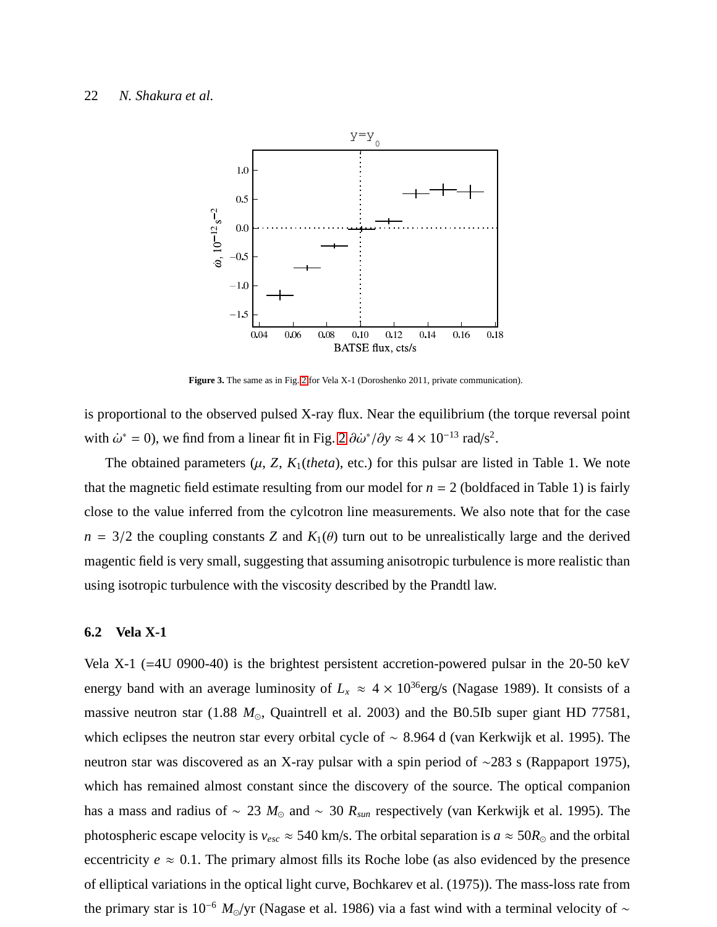

<span id="page-21-0"></span>Figure 3. The same as in Fig. [2](#page-20-0) for Vela X-1 (Doroshenko 2011, private communication).

is proportional to the observed pulsed X-ray flux. Near the equilibrium (the torque reversal point with  $\dot{\omega}^* = 0$ , we find from a linear fit in Fig. [2](#page-20-0)  $\partial \dot{\omega}^* / \partial y \approx 4 \times 10^{-13}$  rad/s<sup>2</sup>.

The obtained parameters  $(\mu, Z, K_1(theta)$ , etc.) for this pulsar are listed in Table 1. We note that the magnetic field estimate resulting from our model for  $n = 2$  (boldfaced in Table 1) is fairly close to the value inferred from the cylcotron line measurements. We also note that for the case  $n = 3/2$  the coupling constants *Z* and  $K_1(\theta)$  turn out to be unrealistically large and the derived magentic field is very small, suggesting that assuming anisotropic turbulence is more realistic than using isotropic turbulence with the viscosity described by the Prandtl law.

#### **6.2 Vela X-1**

Vela X-1 (=4U 0900-40) is the brightest persistent accretion-powered pulsar in the 20-50 keV energy band with an average luminosity of  $L<sub>x</sub> \approx 4 \times 10^{36}$  erg/s (Nagase 1989). It consists of a massive neutron star (1.88 *M*⊙, Quaintrell et al. 2003) and the B0.5Ib super giant HD 77581, which eclipses the neutron star every orbital cycle of ∼ 8.964 d (van Kerkwijk et al. 1995). The neutron star was discovered as an X-ray pulsar with a spin period of ∼283 s (Rappaport 1975), which has remained almost constant since the discovery of the source. The optical companion has a mass and radius of ∼ 23 *M*<sup>⊙</sup> and ∼ 30 *Rsun* respectively (van Kerkwijk et al. 1995). The photospheric escape velocity is  $v_{esc} \approx 540$  km/s. The orbital separation is  $a \approx 50 R_{\odot}$  and the orbital eccentricity  $e \approx 0.1$ . The primary almost fills its Roche lobe (as also evidenced by the presence of elliptical variations in the optical light curve, Bochkarev et al. (1975)). The mass-loss rate from the primary star is 10−<sup>6</sup> *<sup>M</sup>*⊙/yr (Nagase et al. 1986) via a fast wind with a terminal velocity of <sup>∼</sup>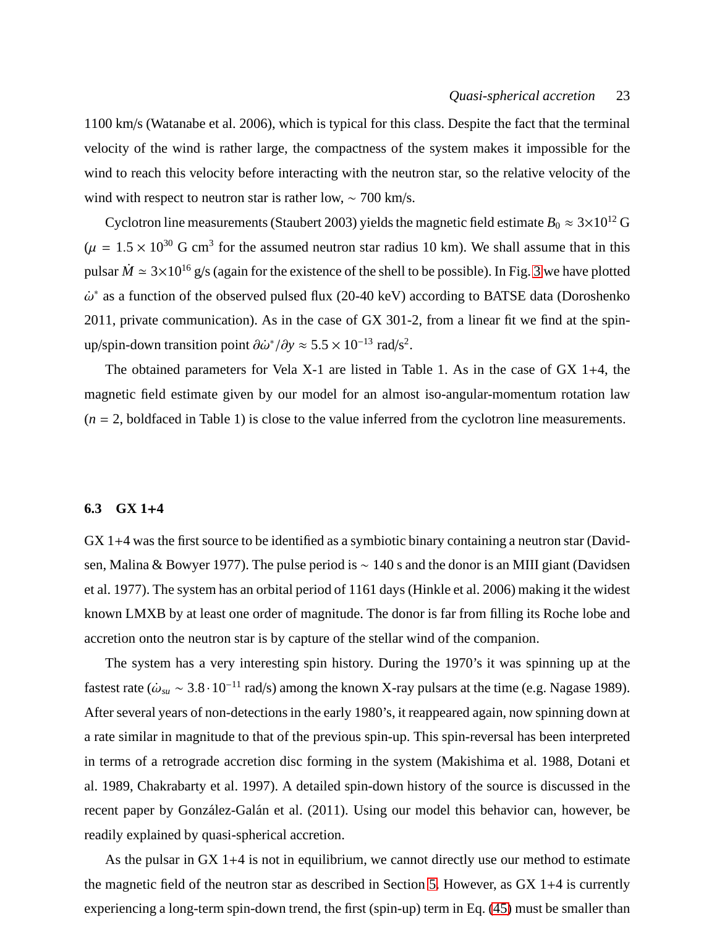1100 km/s (Watanabe et al. 2006), which is typical for this class. Despite the fact that the terminal velocity of the wind is rather large, the compactness of the system makes it impossible for the wind to reach this velocity before interacting with the neutron star, so the relative velocity of the wind with respect to neutron star is rather low,  $\sim$  700 km/s.

Cyclotron line measurements (Staubert 2003) yields the magnetic field estimate  $B_0 \approx 3 \times 10^{12}$  G  $(\mu = 1.5 \times 10^{30} \text{ G cm}^3 \text{ for the assumed neutron star radius } 10 \text{ km})$ . We shall assume that in this pulsar  $\dot{M} \simeq 3 \times 10^{16}$  $\dot{M} \simeq 3 \times 10^{16}$  $\dot{M} \simeq 3 \times 10^{16}$  g/s (again for the existence of the shell to be possible). In Fig. 3 we have plotted  $\dot{\omega}^*$  as a function of the observed pulsed flux (20-40 keV) according to BATSE data (Doroshenko 2011, private communication). As in the case of GX 301-2, from a linear fit we find at the spinup/spin-down transition point  $\partial \dot{\omega}^* / \partial y \approx 5.5 \times 10^{-13}$  rad/s<sup>2</sup>.

The obtained parameters for Vela X-1 are listed in Table 1. As in the case of GX 1+4, the magnetic field estimate given by our model for an almost iso-angular-momentum rotation law  $(n = 2, \text{boldfaced in Table 1})$  is close to the value inferred from the cyclotron line measurements.

# **6.3 GX 1**+**4**

GX 1+4 was the first source to be identified as a symbiotic binary containing a neutron star (Davidsen, Malina & Bowyer 1977). The pulse period is ~ 140 s and the donor is an MIII giant (Davidsen et al. 1977). The system has an orbital period of 1161 days (Hinkle et al. 2006) making it the widest known LMXB by at least one order of magnitude. The donor is far from filling its Roche lobe and accretion onto the neutron star is by capture of the stellar wind of the companion.

The system has a very interesting spin history. During the 1970's it was spinning up at the fastest rate ( $\dot{\omega}_{su} \sim 3.8 \cdot 10^{-11}$  rad/s) among the known X-ray pulsars at the time (e.g. Nagase 1989). After several years of non-detections in the early 1980's, it reappeared again, now spinning down at a rate similar in magnitude to that of the previous spin-up. This spin-reversal has been interpreted in terms of a retrograde accretion disc forming in the system (Makishima et al. 1988, Dotani et al. 1989, Chakrabarty et al. 1997). A detailed spin-down history of the source is discussed in the recent paper by González-Galán et al. (2011). Using our model this behavior can, however, be readily explained by quasi-spherical accretion.

As the pulsar in GX 1+4 is not in equilibrium, we cannot directly use our method to estimate the magnetic field of the neutron star as described in Section [5.](#page-17-2) However, as GX 1+4 is currently experiencing a long-term spin-down trend, the first (spin-up) term in Eq. [\(45\)](#page-15-3) must be smaller than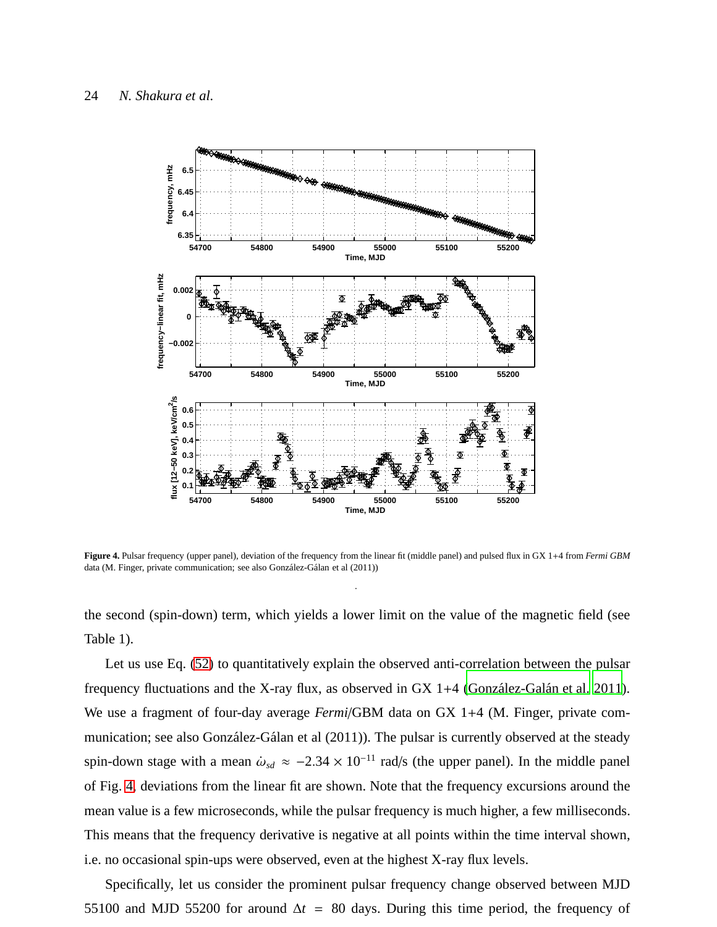

<span id="page-23-0"></span>**Figure 4.** Pulsar frequency (upper panel), deviation of the frequency from the linear fit (middle panel) and pulsed flux in GX 1+4 from *Fermi GBM* data (M. Finger, private communication; see also González-Gálan et al (2011))

.

the second (spin-down) term, which yields a lower limit on the value of the magnetic field (see Table 1).

Let us use Eq. [\(52\)](#page-16-1) to quantitatively explain the observed anti-correlation between the pulsar frequency fluctuations and the X-ray flux, as observed in GX 1+4 (González-Galán et al. 2011). We use a fragment of four-day average *Fermi*/GBM data on GX 1+4 (M. Finger, private communication; see also González-Gálan et al (2011)). The pulsar is currently observed at the steady spin-down stage with a mean  $\dot{\omega}_{sd} \approx -2.34 \times 10^{-11}$  rad/s (the upper panel). In the middle panel of Fig. [4,](#page-23-0) deviations from the linear fit are shown. Note that the frequency excursions around the mean value is a few microseconds, while the pulsar frequency is much higher, a few milliseconds. This means that the frequency derivative is negative at all points within the time interval shown, i.e. no occasional spin-ups were observed, even at the highest X-ray flux levels.

Specifically, let us consider the prominent pulsar frequency change observed between MJD 55100 and MJD 55200 for around  $\Delta t = 80$  days. During this time period, the frequency of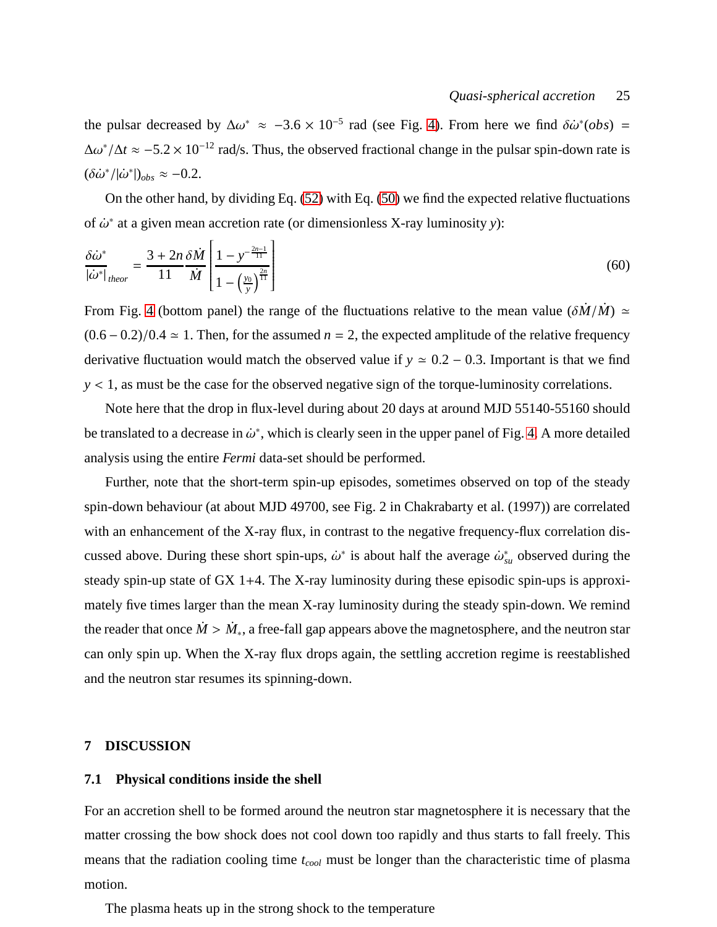the pulsar decreased by  $\Delta\omega^* \approx -3.6 \times 10^{-5}$  rad (see Fig. [4\)](#page-23-0). From here we find  $\delta\dot{\omega}^*(obs)$  = ∆ω ∗ /∆*<sup>t</sup>* ≈ −5.<sup>2</sup> <sup>×</sup> <sup>10</sup>−<sup>12</sup> rad/s. Thus, the observed fractional change in the pulsar spin-down rate is  $(\delta \dot{\omega}^* / | \dot{\omega}^* |)_{obs} \approx -0.2.$ 

On the other hand, by dividing Eq. [\(52\)](#page-16-1) with Eq. [\(50\)](#page-16-0) we find the expected relative fluctuations of  $\dot{\omega}^*$  at a given mean accretion rate (or dimensionless X-ray luminosity y):

$$
\frac{\delta \dot{\omega}^*}{|\dot{\omega}^*|_{theor}} = \frac{3 + 2n}{11} \frac{\delta \dot{M}}{\dot{M}} \left[ \frac{1 - y^{-\frac{2n-1}{11}}}{1 - \left(\frac{y_0}{y}\right)^{\frac{2n}{11}}}\right]
$$
(60)

From Fig. [4](#page-23-0) (bottom panel) the range of the fluctuations relative to the mean value  $(\delta \dot{M} / \dot{M}) \simeq$  $(0.6 - 0.2)/0.4 \approx 1$ . Then, for the assumed *n* = 2, the expected amplitude of the relative frequency derivative fluctuation would match the observed value if  $y \approx 0.2 - 0.3$ . Important is that we find *y* < 1, as must be the case for the observed negative sign of the torque-luminosity correlations.

Note here that the drop in flux-level during about 20 days at around MJD 55140-55160 should be translated to a decrease in  $\dot{\omega}^*$ , which is clearly seen in the upper panel of Fig. [4.](#page-23-0) A more detailed analysis using the entire *Fermi* data-set should be performed.

Further, note that the short-term spin-up episodes, sometimes observed on top of the steady spin-down behaviour (at about MJD 49700, see Fig. 2 in Chakrabarty et al. (1997)) are correlated with an enhancement of the X-ray flux, in contrast to the negative frequency-flux correlation discussed above. During these short spin-ups,  $\dot{\omega}^*$  is about half the average  $\dot{\omega}^*_{su}$  observed during the steady spin-up state of GX 1+4. The X-ray luminosity during these episodic spin-ups is approximately five times larger than the mean X-ray luminosity during the steady spin-down. We remind the reader that once  $\dot{M} > \dot{M}_*$ , a free-fall gap appears above the magnetosphere, and the neutron star can only spin up. When the X-ray flux drops again, the settling accretion regime is reestablished and the neutron star resumes its spinning-down.

## **7 DISCUSSION**

## **7.1 Physical conditions inside the shell**

For an accretion shell to be formed around the neutron star magnetosphere it is necessary that the matter crossing the bow shock does not cool down too rapidly and thus starts to fall freely. This means that the radiation cooling time *tcool* must be longer than the characteristic time of plasma motion.

The plasma heats up in the strong shock to the temperature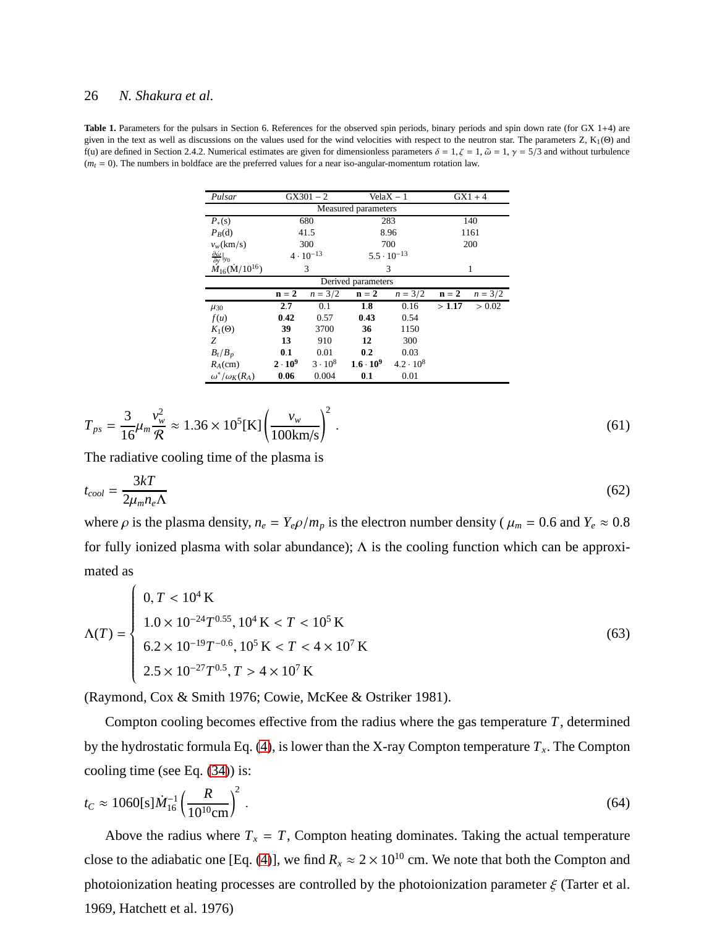Table 1. Parameters for the pulsars in Section 6. References for the observed spin periods, binary periods and spin down rate (for GX 1+4) are given in the text as well as discussions on the values used for the wind velocities with respect to the neutron star. The parameters Z, K1(Θ) and f(u) are defined in Section 2.4.2. Numerical estimates are given for dimensionless parameters  $\delta = 1, \zeta = 1, \tilde{\omega} = 1, \gamma = 5/3$  and without turbulence  $(m<sub>t</sub> = 0)$ . The numbers in boldface are the preferred values for a near iso-angular-momentum rotation law.

| Pulsar                                            | $GX301 - 2$        |                | $VelaX - 1$          |                  | $GX1 + 4$ |           |
|---------------------------------------------------|--------------------|----------------|----------------------|------------------|-----------|-----------|
| Measured parameters                               |                    |                |                      |                  |           |           |
| $P_*(s)$                                          | 680                |                | 283                  |                  | 140       |           |
| $P_B(d)$                                          | 41.5               |                | 8.96                 |                  | 1161      |           |
| $v_w(km/s)$                                       | 300                |                | 700                  |                  | 200       |           |
| $\frac{\partial \dot{\omega}}{\partial y} _{y_0}$ | $4 \cdot 10^{-13}$ |                | $5.5 \cdot 10^{-13}$ |                  |           |           |
| $\dot{M}_{16}(\dot{M}/10^{16})$                   | 3                  |                | 3                    |                  | 1         |           |
| Derived parameters                                |                    |                |                      |                  |           |           |
|                                                   | $n = 2$            | $n = 3/2$      | $n = 2$              | $n = 3/2$        | $n = 2$   | $n = 3/2$ |
| $\mu_{30}$                                        | 2.7                | 0.1            | 1.8                  | 0.16             | >1.17     | > 0.02    |
| f(u)                                              | 0.42               | 0.57           | 0.43                 | 0.54             |           |           |
| $K_1(\Theta)$                                     | 39                 | 3700           | 36                   | 1150             |           |           |
| Ζ                                                 | 13                 | 910            | 12                   | 300              |           |           |
| $B_t/B_p$                                         | 0.1                | 0.01           | 0.2                  | 0.03             |           |           |
| $R_A$ (cm)                                        | $2 \cdot 10^{9}$   | $3 \cdot 10^8$ | $1.6 \cdot 10^{9}$   | $4.2 \cdot 10^8$ |           |           |
| $\omega^*/\omega_K(R_A)$                          | 0.06               | 0.004          | 0.1                  | 0.01             |           |           |

<span id="page-25-0"></span>
$$
T_{ps} = \frac{3}{16} \mu_m \frac{v_w^2}{\mathcal{R}} \approx 1.36 \times 10^5 [\text{K}] \left( \frac{v_w}{100 \text{km/s}} \right)^2.
$$
 (61)

The radiative cooling time of the plasma is

$$
t_{cool} = \frac{3kT}{2\mu_m n_e \Lambda} \tag{62}
$$

where  $\rho$  is the plasma density,  $n_e = Y_e \rho / m_p$  is the electron number density ( $\mu_m = 0.6$  and  $Y_e \approx 0.8$ for fully ionized plasma with solar abundance);  $\Lambda$  is the cooling function which can be approximated as

$$
\Lambda(T) = \begin{cases}\n0, T < 10^4 \text{ K} \\
1.0 \times 10^{-24} T^{0.55}, 10^4 \text{ K} < T < 10^5 \text{ K} \\
6.2 \times 10^{-19} T^{-0.6}, 10^5 \text{ K} < T < 4 \times 10^7 \text{ K} \\
2.5 \times 10^{-27} T^{0.5}, T > 4 \times 10^7 \text{ K}\n\end{cases} \tag{63}
$$

(Raymond, Cox & Smith 1976; Cowie, McKee & Ostriker 1981).

Compton cooling becomes effective from the radius where the gas temperature *T*, determined by the hydrostatic formula Eq. [\(4\)](#page-5-1), is lower than the X-ray Compton temperature *T<sup>x</sup>* . The Compton cooling time (see Eq. [\(34\)](#page-14-1)) is:

$$
t_C \approx 1060 \text{[s]} \dot{M}_{16}^{-1} \left(\frac{R}{10^{10} \text{cm}}\right)^2 \,. \tag{64}
$$

Above the radius where  $T_x = T$ , Compton heating dominates. Taking the actual temperature close to the adiabatic one [Eq. [\(4\)](#page-5-1)], we find  $R_x \approx 2 \times 10^{10}$  cm. We note that both the Compton and photoionization heating processes are controlled by the photoionization parameter  $\xi$  (Tarter et al. 1969, Hatchett et al. 1976)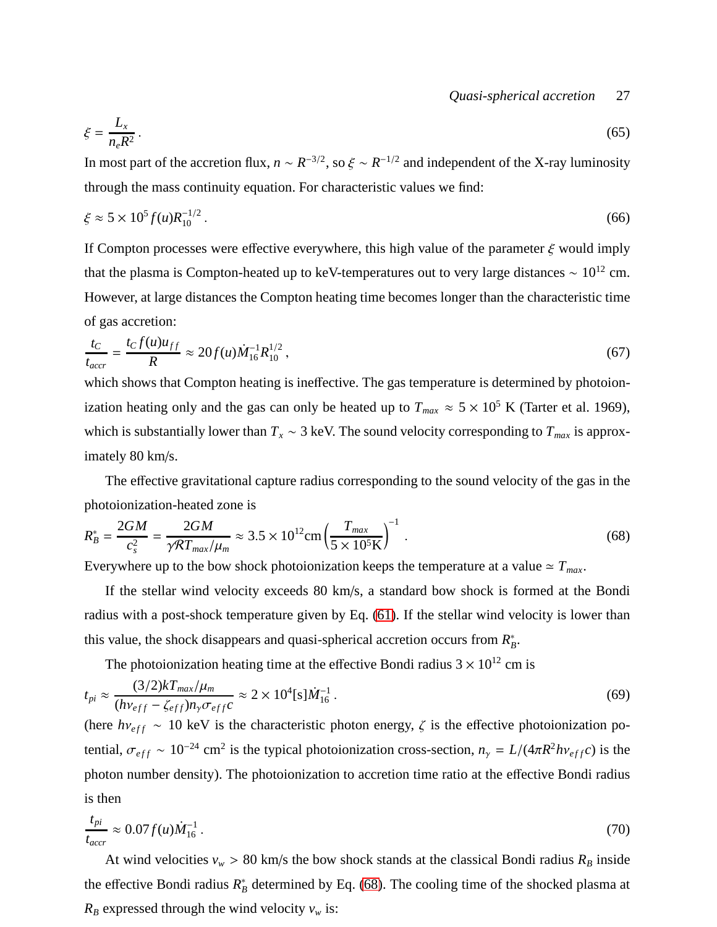## *Quasi-spherical accretion* 27

$$
\xi = \frac{L_x}{n_e R^2} \,. \tag{65}
$$

In most part of the accretion flux,  $n \sim R^{-3/2}$ , so  $\xi \sim R^{-1/2}$  and independent of the X-ray luminosity through the mass continuity equation. For characteristic values we find:

$$
\xi \approx 5 \times 10^5 f(u) R_{10}^{-1/2} \,. \tag{66}
$$

If Compton processes were effective everywhere, this high value of the parameter  $\xi$  would imply that the plasma is Compton-heated up to keV-temperatures out to very large distances  $\sim 10^{12}$  cm. However, at large distances the Compton heating time becomes longer than the characteristic time of gas accretion:

$$
\frac{t_C}{t_{accr}} = \frac{t_C f(u) u_{ff}}{R} \approx 20 f(u) \dot{M}_{16}^{-1} R_{10}^{1/2} ,\qquad (67)
$$

which shows that Compton heating is ineffective. The gas temperature is determined by photoionization heating only and the gas can only be heated up to  $T_{max} \approx 5 \times 10^5$  K (Tarter et al. 1969), which is substantially lower than  $T_x \sim 3$  keV. The sound velocity corresponding to  $T_{max}$  is approximately 80 km/s.

The effective gravitational capture radius corresponding to the sound velocity of the gas in the photoionization-heated zone is

<span id="page-26-0"></span>
$$
R_B^* = \frac{2GM}{c_s^2} = \frac{2GM}{\gamma RT_{max}/\mu_m} \approx 3.5 \times 10^{12} \text{cm} \left(\frac{T_{max}}{5 \times 10^5 \text{K}}\right)^{-1} \,. \tag{68}
$$

Everywhere up to the bow shock photoionization keeps the temperature at a value  $\approx T_{max}$ .

If the stellar wind velocity exceeds 80 km/s, a standard bow shock is formed at the Bondi radius with a post-shock temperature given by Eq. [\(61\)](#page-25-0). If the stellar wind velocity is lower than this value, the shock disappears and quasi-spherical accretion occurs from  $R_B^*$ .

The photoionization heating time at the effective Bondi radius  $3 \times 10^{12}$  cm is

$$
t_{pi} \approx \frac{(3/2)kT_{max}/\mu_m}{(h\nu_{eff} - \zeta_{eff})n_{\gamma}\sigma_{eff}c} \approx 2 \times 10^4 [s]\dot{M}_{16}^{-1}.
$$
 (69)

(here  $h\nu_{eff} \sim 10 \text{ keV}$  is the characteristic photon energy,  $\zeta$  is the effective photoionization potential,  $\sigma_{eff} \sim 10^{-24}$  cm<sup>2</sup> is the typical photoionization cross-section,  $n_{\gamma} = L/(4\pi R^2 h v_{eff} c)$  is the photon number density). The photoionization to accretion time ratio at the effective Bondi radius is then

$$
\frac{t_{pi}}{t_{accr}} \approx 0.07 f(u)\dot{M}_{16}^{-1} \,. \tag{70}
$$

At wind velocities  $v_w > 80$  km/s the bow shock stands at the classical Bondi radius  $R_B$  inside the effective Bondi radius  $R_B^*$  determined by Eq. [\(68\)](#page-26-0). The cooling time of the shocked plasma at  $R_B$  expressed through the wind velocity  $v_w$  is: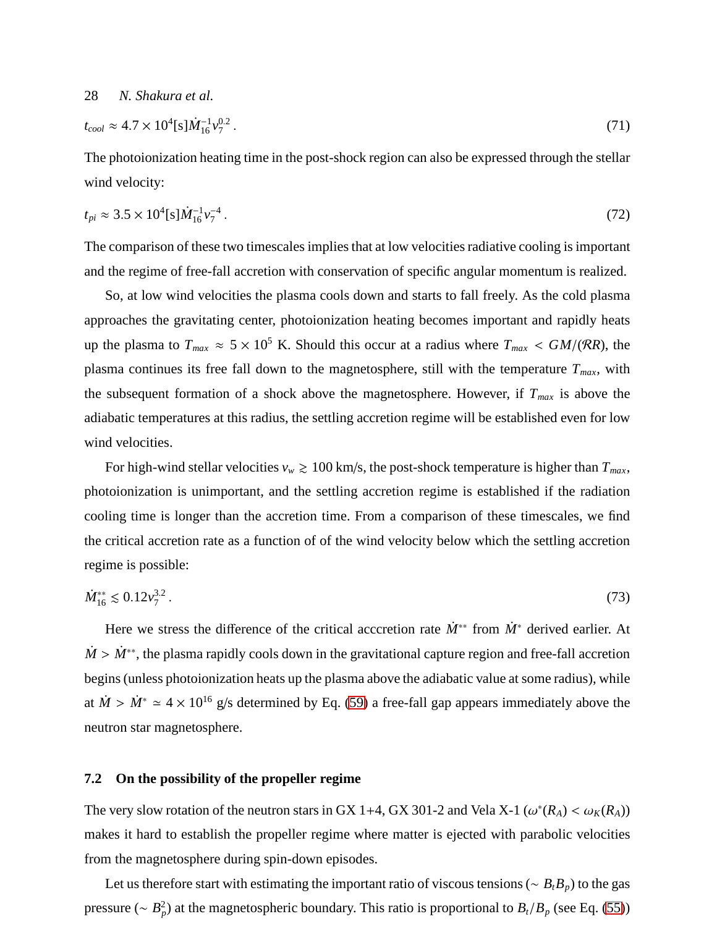$$
t_{cool} \approx 4.7 \times 10^4 \text{[s]} \dot{M}_{16}^{-1} v_7^{0.2} \,. \tag{71}
$$

The photoionization heating time in the post-shock region can also be expressed through the stellar wind velocity:

$$
t_{pi} \approx 3.5 \times 10^4 \text{[s]} \dot{M}_{16}^{-1} v_7^{-4} \,. \tag{72}
$$

The comparison of these two timescales implies that at low velocities radiative cooling is important and the regime of free-fall accretion with conservation of specific angular momentum is realized.

So, at low wind velocities the plasma cools down and starts to fall freely. As the cold plasma approaches the gravitating center, photoionization heating becomes important and rapidly heats up the plasma to  $T_{max} \approx 5 \times 10^5$  K. Should this occur at a radius where  $T_{max} < GM/(RR)$ , the plasma continues its free fall down to the magnetosphere, still with the temperature  $T_{max}$ , with the subsequent formation of a shock above the magnetosphere. However, if *Tmax* is above the adiabatic temperatures at this radius, the settling accretion regime will be established even for low wind velocities.

For high-wind stellar velocities  $v_w \ge 100$  km/s, the post-shock temperature is higher than  $T_{max}$ , photoionization is unimportant, and the settling accretion regime is established if the radiation cooling time is longer than the accretion time. From a comparison of these timescales, we find the critical accretion rate as a function of of the wind velocity below which the settling accretion regime is possible:

$$
\dot{M}_{16}^{**} \lesssim 0.12 v_7^{3.2} \,. \tag{73}
$$

Here we stress the difference of the critical acccretion rate  $\dot{M}^*$  from  $\dot{M}^*$  derived earlier. At  $\dot{M} > \dot{M}^{**}$ , the plasma rapidly cools down in the gravitational capture region and free-fall accretion begins (unless photoionization heats up the plasma above the adiabatic value at some radius), while at  $\dot{M} > \dot{M}^* \simeq 4 \times 10^{16}$  g/s determined by Eq. [\(59\)](#page-19-0) a free-fall gap appears immediately above the neutron star magnetosphere.

#### **7.2 On the possibility of the propeller regime**

The very slow rotation of the neutron stars in GX 1+4, GX 301-2 and Vela X-1 ( $\omega^*(R_A) < \omega_K(R_A)$ ) makes it hard to establish the propeller regime where matter is ejected with parabolic velocities from the magnetosphere during spin-down episodes.

Let us therefore start with estimating the important ratio of viscous tensions (∼ *BtBp*) to the gas pressure (∼ *B* 2 *p* ) at the magnetospheric boundary. This ratio is proportional to *Bt*/*B<sup>p</sup>* (see Eq. [\(55\)](#page-17-4))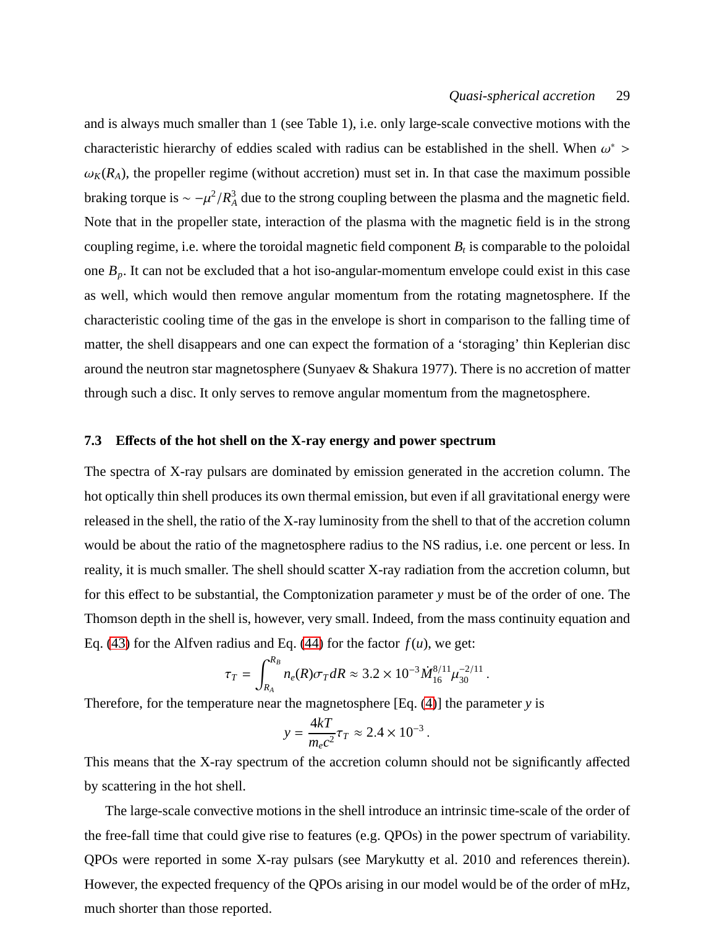and is always much smaller than 1 (see Table 1), i.e. only large-scale convective motions with the characteristic hierarchy of eddies scaled with radius can be established in the shell. When  $\omega^*$  >  $\omega_K(R_A)$ , the propeller regime (without accretion) must set in. In that case the maximum possible braking torque is  $\sim -\mu^2/R_A^3$  $A^3$  due to the strong coupling between the plasma and the magnetic field. Note that in the propeller state, interaction of the plasma with the magnetic field is in the strong coupling regime, i.e. where the toroidal magnetic field component  $B_t$  is comparable to the poloidal one  $B_p$ . It can not be excluded that a hot iso-angular-momentum envelope could exist in this case as well, which would then remove angular momentum from the rotating magnetosphere. If the characteristic cooling time of the gas in the envelope is short in comparison to the falling time of matter, the shell disappears and one can expect the formation of a 'storaging' thin Keplerian disc around the neutron star magnetosphere (Sunyaev & Shakura 1977). There is no accretion of matter through such a disc. It only serves to remove angular momentum from the magnetosphere.

#### **7.3 E**ff**ects of the hot shell on the X-ray energy and power spectrum**

The spectra of X-ray pulsars are dominated by emission generated in the accretion column. The hot optically thin shell produces its own thermal emission, but even if all gravitational energy were released in the shell, the ratio of the X-ray luminosity from the shell to that of the accretion column would be about the ratio of the magnetosphere radius to the NS radius, i.e. one percent or less. In reality, it is much smaller. The shell should scatter X-ray radiation from the accretion column, but for this effect to be substantial, the Comptonization parameter *y* must be of the order of one. The Thomson depth in the shell is, however, very small. Indeed, from the mass continuity equation and Eq. [\(43\)](#page-15-1) for the Alfven radius and Eq. [\(44\)](#page-15-2) for the factor  $f(u)$ , we get:

$$
\tau_T = \int_{R_A}^{R_B} n_e(R) \sigma_T dR \approx 3.2 \times 10^{-3} \dot{M}_{16}^{8/11} \mu_{30}^{-2/11}.
$$

Therefore, for the temperature near the magnetosphere [Eq. [\(4\)](#page-5-1)] the parameter *y* is

$$
y = \frac{4kT}{m_e c^2} \tau_T \approx 2.4 \times 10^{-3}.
$$

This means that the X-ray spectrum of the accretion column should not be significantly affected by scattering in the hot shell.

The large-scale convective motions in the shell introduce an intrinsic time-scale of the order of the free-fall time that could give rise to features (e.g. QPOs) in the power spectrum of variability. QPOs were reported in some X-ray pulsars (see Marykutty et al. 2010 and references therein). However, the expected frequency of the QPOs arising in our model would be of the order of mHz, much shorter than those reported.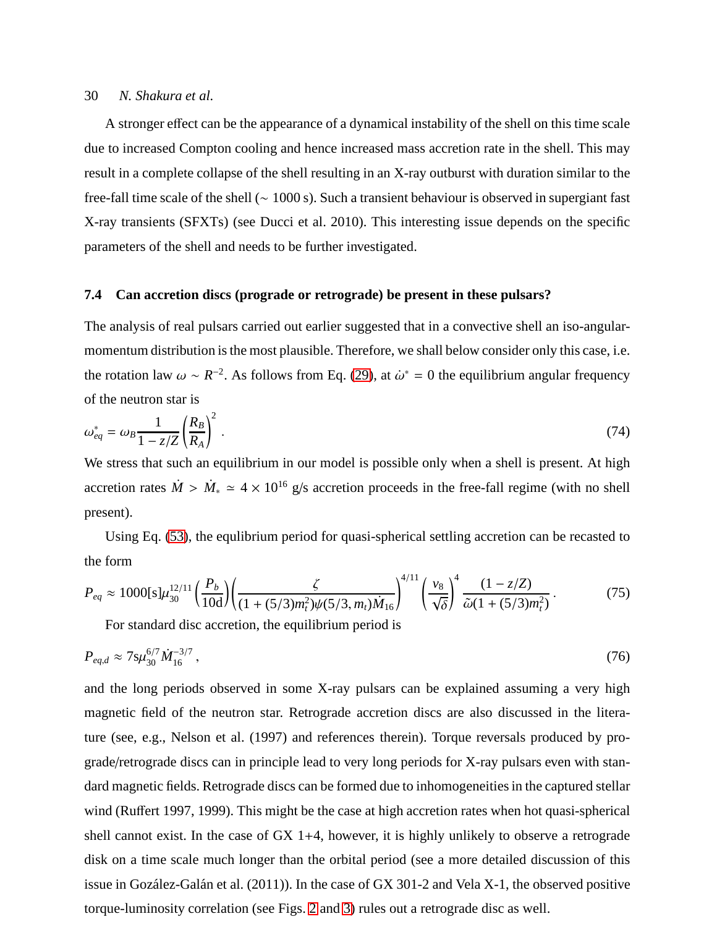A stronger effect can be the appearance of a dynamical instability of the shell on this time scale due to increased Compton cooling and hence increased mass accretion rate in the shell. This may result in a complete collapse of the shell resulting in an X-ray outburst with duration similar to the free-fall time scale of the shell (∼ 1000 s). Such a transient behaviour is observed in supergiant fast X-ray transients (SFXTs) (see Ducci et al. 2010). This interesting issue depends on the specific parameters of the shell and needs to be further investigated.

#### **7.4 Can accretion discs (prograde or retrograde) be present in these pulsars?**

The analysis of real pulsars carried out earlier suggested that in a convective shell an iso-angularmomentum distribution is the most plausible. Therefore, we shall below consider only this case, i.e. the rotation law  $\omega \sim R^{-2}$ . As follows from Eq. [\(29\)](#page-12-0), at  $\dot{\omega}^* = 0$  the equilibrium angular frequency of the neutron star is

$$
\omega_{eq}^* = \omega_B \frac{1}{1 - z/Z} \left(\frac{R_B}{R_A}\right)^2 \,. \tag{74}
$$

We stress that such an equilibrium in our model is possible only when a shell is present. At high accretion rates  $\dot{M} > \dot{M}_* \simeq 4 \times 10^{16}$  g/s accretion proceeds in the free-fall regime (with no shell present).

Using Eq. [\(53\)](#page-17-3), the equlibrium period for quasi-spherical settling accretion can be recasted to the form

$$
P_{eq} \approx 1000[s]\mu_{30}^{12/11} \left(\frac{P_b}{10d}\right) \left(\frac{\zeta}{(1+(5/3)m_t^2)\psi(5/3,m_t)\dot{M}_{16}}\right)^{4/11} \left(\frac{v_8}{\sqrt{\delta}}\right)^4 \frac{(1-z/Z)}{\tilde{\omega}(1+(5/3)m_t^2)}.
$$
(75)

For standard disc accretion, the equilibrium period is

$$
P_{eq,d} \approx 7 \, \mathrm{S} \mu_{30}^{6/7} \, \dot{M}_{16}^{-3/7} \,, \tag{76}
$$

and the long periods observed in some X-ray pulsars can be explained assuming a very high magnetic field of the neutron star. Retrograde accretion discs are also discussed in the literature (see, e.g., Nelson et al. (1997) and references therein). Torque reversals produced by prograde/retrograde discs can in principle lead to very long periods for X-ray pulsars even with standard magnetic fields. Retrograde discs can be formed due to inhomogeneities in the captured stellar wind (Ruffert 1997, 1999). This might be the case at high accretion rates when hot quasi-spherical shell cannot exist. In the case of GX 1+4, however, it is highly unlikely to observe a retrograde disk on a time scale much longer than the orbital period (see a more detailed discussion of this issue in Gozález-Galán et al. (2011)). In the case of GX 301-2 and Vela X-1, the observed positive torque-luminosity correlation (see Figs. [2](#page-20-0) and [3\)](#page-21-0) rules out a retrograde disc as well.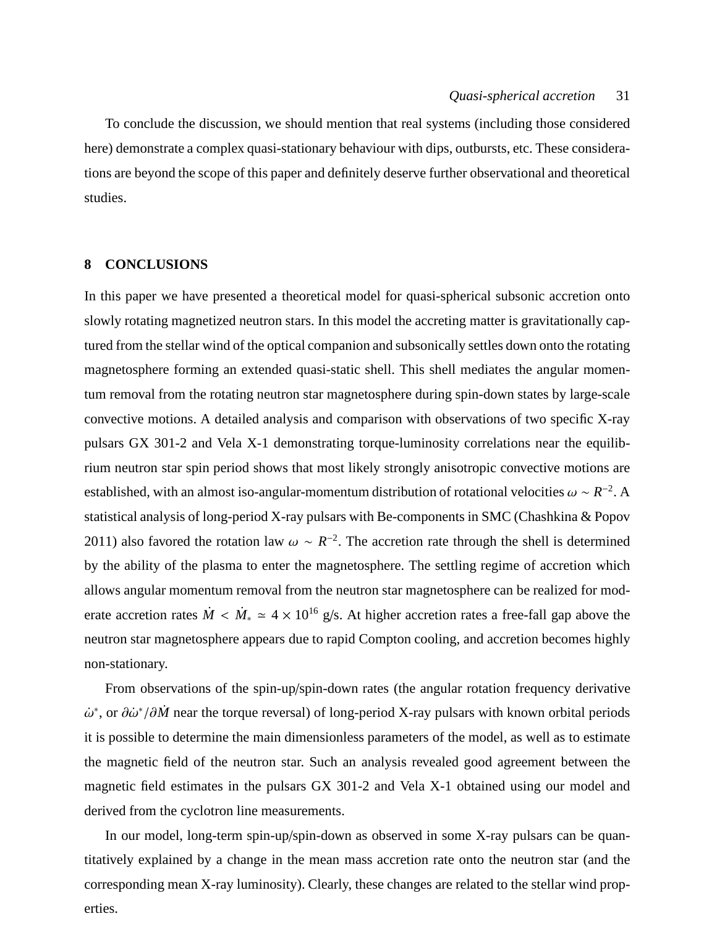To conclude the discussion, we should mention that real systems (including those considered here) demonstrate a complex quasi-stationary behaviour with dips, outbursts, etc. These considerations are beyond the scope of this paper and definitely deserve further observational and theoretical studies.

## **8 CONCLUSIONS**

In this paper we have presented a theoretical model for quasi-spherical subsonic accretion onto slowly rotating magnetized neutron stars. In this model the accreting matter is gravitationally captured from the stellar wind of the optical companion and subsonically settles down onto the rotating magnetosphere forming an extended quasi-static shell. This shell mediates the angular momentum removal from the rotating neutron star magnetosphere during spin-down states by large-scale convective motions. A detailed analysis and comparison with observations of two specific X-ray pulsars GX 301-2 and Vela X-1 demonstrating torque-luminosity correlations near the equilibrium neutron star spin period shows that most likely strongly anisotropic convective motions are established, with an almost iso-angular-momentum distribution of rotational velocities  $\omega \sim R^{-2}$ . A statistical analysis of long-period X-ray pulsars with Be-components in SMC (Chashkina & Popov 2011) also favored the rotation law  $\omega \sim R^{-2}$ . The accretion rate through the shell is determined by the ability of the plasma to enter the magnetosphere. The settling regime of accretion which allows angular momentum removal from the neutron star magnetosphere can be realized for moderate accretion rates  $\dot{M} < \dot{M}_{*} \simeq 4 \times 10^{16}$  g/s. At higher accretion rates a free-fall gap above the neutron star magnetosphere appears due to rapid Compton cooling, and accretion becomes highly non-stationary.

From observations of the spin-up/spin-down rates (the angular rotation frequency derivative  $\dot{\omega}^*$ , or  $\partial \dot{\omega}^* / \partial \dot{M}$  near the torque reversal) of long-period X-ray pulsars with known orbital periods it is possible to determine the main dimensionless parameters of the model, as well as to estimate the magnetic field of the neutron star. Such an analysis revealed good agreement between the magnetic field estimates in the pulsars GX 301-2 and Vela X-1 obtained using our model and derived from the cyclotron line measurements.

In our model, long-term spin-up/spin-down as observed in some X-ray pulsars can be quantitatively explained by a change in the mean mass accretion rate onto the neutron star (and the corresponding mean X-ray luminosity). Clearly, these changes are related to the stellar wind properties.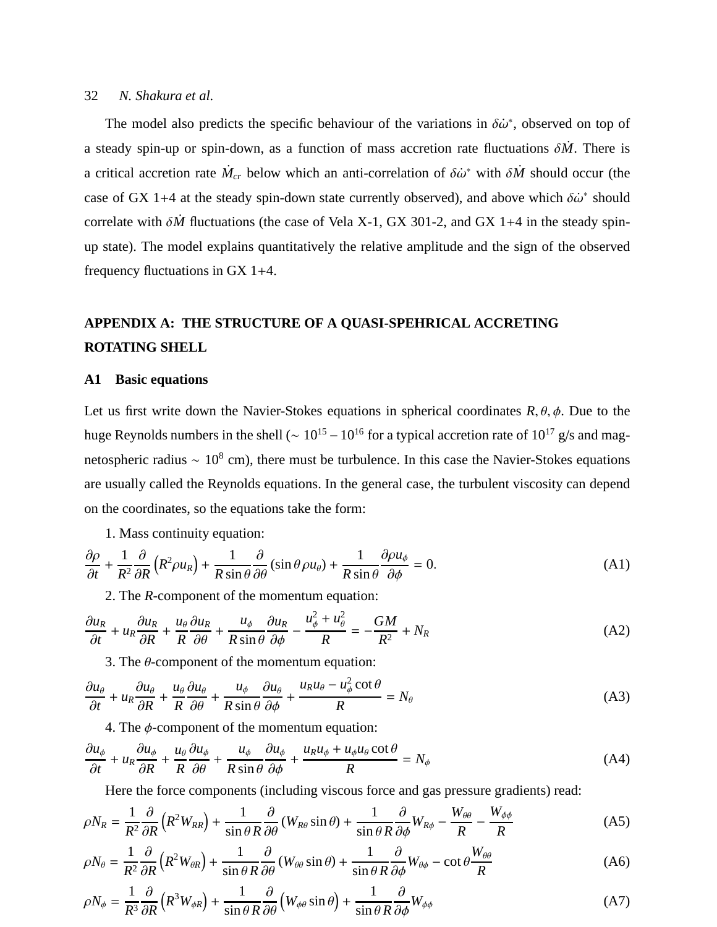The model also predicts the specific behaviour of the variations in  $\delta\dot{\omega}^*$ , observed on top of a steady spin-up or spin-down, as a function of mass accretion rate fluctuations  $\delta \dot{M}$ . There is a critical accretion rate  $\dot{M}_{cr}$  below which an anti-correlation of  $\delta \dot{\omega}^*$  with  $\delta \dot{M}$  should occur (the case of GX 1+4 at the steady spin-down state currently observed), and above which  $\delta\dot{\omega}^*$  should correlate with  $\delta \dot{M}$  fluctuations (the case of Vela X-1, GX 301-2, and GX 1+4 in the steady spinup state). The model explains quantitatively the relative amplitude and the sign of the observed frequency fluctuations in GX 1+4.

# **APPENDIX A: THE STRUCTURE OF A QUASI-SPEHRICAL ACCRETING ROTATING SHELL**

## **A1 Basic equations**

Let us first write down the Navier-Stokes equations in spherical coordinates  $R, \theta, \phi$ . Due to the huge Reynolds numbers in the shell ( $\sim 10^{15} - 10^{16}$  for a typical accretion rate of  $10^{17}$  g/s and magnetospheric radius  $\sim 10^8$  cm), there must be turbulence. In this case the Navier-Stokes equations are usually called the Reynolds equations. In the general case, the turbulent viscosity can depend on the coordinates, so the equations take the form:

1. Mass continuity equation:

<span id="page-31-0"></span>
$$
\frac{\partial \rho}{\partial t} + \frac{1}{R^2} \frac{\partial}{\partial R} \left( R^2 \rho u_R \right) + \frac{1}{R \sin \theta} \frac{\partial}{\partial \theta} \left( \sin \theta \rho u_\theta \right) + \frac{1}{R \sin \theta} \frac{\partial \rho u_\phi}{\partial \phi} = 0. \tag{A1}
$$

2. The *R*-component of the momentum equation:

<span id="page-31-1"></span>
$$
\frac{\partial u_R}{\partial t} + u_R \frac{\partial u_R}{\partial R} + \frac{u_\theta}{R} \frac{\partial u_R}{\partial \theta} + \frac{u_\phi}{R \sin \theta} \frac{\partial u_R}{\partial \phi} - \frac{u_\phi^2 + u_\theta^2}{R} = -\frac{GM}{R^2} + N_R
$$
(A2)

3. The  $\theta$ -component of the momentum equation:

$$
\frac{\partial u_{\theta}}{\partial t} + u_{R} \frac{\partial u_{\theta}}{\partial R} + \frac{u_{\theta}}{R} \frac{\partial u_{\theta}}{\partial \theta} + \frac{u_{\phi}}{R \sin \theta} \frac{\partial u_{\theta}}{\partial \phi} + \frac{u_{R} u_{\theta} - u_{\phi}^{2} \cot \theta}{R} = N_{\theta}
$$
(A3)

4. The  $\phi$ -component of the momentum equation:

$$
\frac{\partial u_{\phi}}{\partial t} + u_{R} \frac{\partial u_{\phi}}{\partial R} + \frac{u_{\theta}}{R} \frac{\partial u_{\phi}}{\partial \theta} + \frac{u_{\phi}}{R \sin \theta} \frac{\partial u_{\phi}}{\partial \phi} + \frac{u_{R} u_{\phi} + u_{\phi} u_{\theta} \cot \theta}{R} = N_{\phi}
$$
(A4)

Here the force components (including viscous force and gas pressure gradients) read:

$$
\rho N_R = \frac{1}{R^2} \frac{\partial}{\partial R} \left( R^2 W_{RR} \right) + \frac{1}{\sin \theta R} \frac{\partial}{\partial \theta} \left( W_{R\theta} \sin \theta \right) + \frac{1}{\sin \theta R} \frac{\partial}{\partial \phi} W_{R\phi} - \frac{W_{\theta\theta}}{R} - \frac{W_{\phi\phi}}{R}
$$
(A5)

$$
\rho N_{\theta} = \frac{1}{R^2} \frac{\partial}{\partial R} \left( R^2 W_{\theta R} \right) + \frac{1}{\sin \theta R} \frac{\partial}{\partial \theta} \left( W_{\theta \theta} \sin \theta \right) + \frac{1}{\sin \theta R} \frac{\partial}{\partial \phi} W_{\theta \phi} - \cot \theta \frac{W_{\theta \theta}}{R}
$$
(A6)

$$
\rho N_{\phi} = \frac{1}{R^3} \frac{\partial}{\partial R} \left( R^3 W_{\phi R} \right) + \frac{1}{\sin \theta R} \frac{\partial}{\partial \theta} \left( W_{\phi \theta} \sin \theta \right) + \frac{1}{\sin \theta R} \frac{\partial}{\partial \phi} W_{\phi \phi} \tag{A7}
$$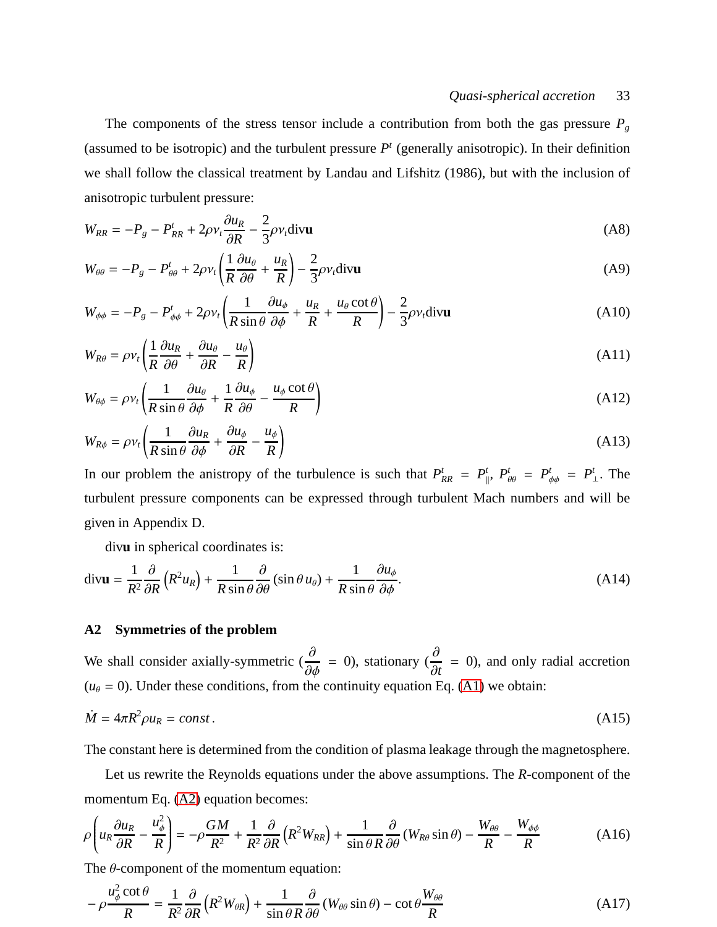#### *Quasi-spherical accretion* 33

The components of the stress tensor include a contribution from both the gas pressure *P<sup>g</sup>* (assumed to be isotropic) and the turbulent pressure  $P<sup>t</sup>$  (generally anisotropic). In their definition we shall follow the classical treatment by Landau and Lifshitz (1986), but with the inclusion of anisotropic turbulent pressure:

$$
W_{RR} = -P_g - P_{RR}^t + 2\rho v_t \frac{\partial u_R}{\partial R} - \frac{2}{3}\rho v_t \text{div} \mathbf{u}
$$
 (A8)

$$
W_{\theta\theta} = -P_g - P_{\theta\theta}^t + 2\rho v_t \left(\frac{1}{R}\frac{\partial u_\theta}{\partial \theta} + \frac{u_R}{R}\right) - \frac{2}{3}\rho v_t \text{div}\mathbf{u}
$$
 (A9)

$$
W_{\phi\phi} = -P_g - P_{\phi\phi}^t + 2\rho v_t \left( \frac{1}{R \sin \theta} \frac{\partial u_\phi}{\partial \phi} + \frac{u_R}{R} + \frac{u_\theta \cot \theta}{R} \right) - \frac{2}{3} \rho v_t \text{div} \mathbf{u}
$$
(A10)

$$
W_{R\theta} = \rho v_t \left( \frac{1}{R} \frac{\partial u_R}{\partial \theta} + \frac{\partial u_\theta}{\partial R} - \frac{u_\theta}{R} \right) \tag{A11}
$$

$$
W_{\theta\phi} = \rho v_t \left( \frac{1}{R \sin \theta} \frac{\partial u_\theta}{\partial \phi} + \frac{1}{R} \frac{\partial u_\phi}{\partial \theta} - \frac{u_\phi \cot \theta}{R} \right)
$$
(A12)

$$
W_{R\phi} = \rho v_t \left( \frac{1}{R \sin \theta} \frac{\partial u_R}{\partial \phi} + \frac{\partial u_\phi}{\partial R} - \frac{u_\phi}{R} \right)
$$
(A13)

In our problem the anistropy of the turbulence is such that  $P_{RR}^t = P_{\parallel}^t$  $P_{\theta\theta}^t = P_{\phi\phi}^t = P_{-\phi}^t$  $<sup>t</sup><sub>⊥</sub>$ . The</sup> turbulent pressure components can be expressed through turbulent Mach numbers and will be given in Appendix D.

div**u** in spherical coordinates is:

$$
\operatorname{div} \mathbf{u} = \frac{1}{R^2} \frac{\partial}{\partial R} \left( R^2 u_R \right) + \frac{1}{R \sin \theta} \frac{\partial}{\partial \theta} \left( \sin \theta u_\theta \right) + \frac{1}{R \sin \theta} \frac{\partial u_\phi}{\partial \phi}.
$$
 (A14)

#### **A2 Symmetries of the problem**

We shall consider axially-symmetric ( $\frac{\partial}{\partial \phi} = 0$ ), stationary ( $\frac{\partial}{\partial t}$ = 0), and only radial accretion  $(u_\theta = 0)$ . Under these conditions, from the continuity equation Eq. [\(A1\)](#page-31-0) we obtain:

$$
\dot{M} = 4\pi R^2 \rho u_R = const.
$$
\n(A15)

The constant here is determined from the condition of plasma leakage through the magnetosphere.

Let us rewrite the Reynolds equations under the above assumptions. The *R*-component of the momentum Eq. [\(A2\)](#page-31-1) equation becomes:

<span id="page-32-0"></span>
$$
\rho \left( u_R \frac{\partial u_R}{\partial R} - \frac{u_\phi^2}{R} \right) = -\rho \frac{GM}{R^2} + \frac{1}{R^2} \frac{\partial}{\partial R} \left( R^2 W_{RR} \right) + \frac{1}{\sin \theta R} \frac{\partial}{\partial \theta} \left( W_{R\theta} \sin \theta \right) - \frac{W_{\theta\theta}}{R} - \frac{W_{\phi\phi}}{R} \tag{A16}
$$

The  $\theta$ -component of the momentum equation:

$$
-\rho \frac{u_{\phi}^{2} \cot \theta}{R} = \frac{1}{R^{2}} \frac{\partial}{\partial R} \left( R^{2} W_{\theta R} \right) + \frac{1}{\sin \theta R} \frac{\partial}{\partial \theta} \left( W_{\theta \theta} \sin \theta \right) - \cot \theta \frac{W_{\theta \theta}}{R}
$$
(A17)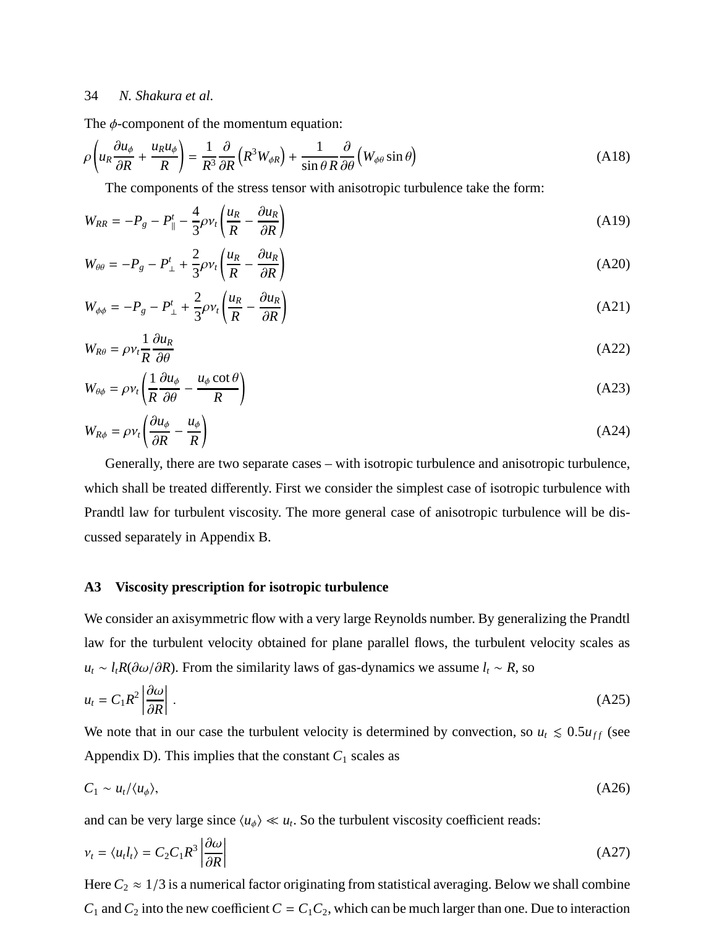The  $\phi$ -component of the momentum equation:

<span id="page-33-2"></span>
$$
\rho \left( u_R \frac{\partial u_\phi}{\partial R} + \frac{u_R u_\phi}{R} \right) = \frac{1}{R^3} \frac{\partial}{\partial R} \left( R^3 W_{\phi R} \right) + \frac{1}{\sin \theta R} \frac{\partial}{\partial \theta} \left( W_{\phi \theta} \sin \theta \right) \tag{A18}
$$

The components of the stress tensor with anisotropic turbulence take the form:

<span id="page-33-0"></span>
$$
W_{RR} = -P_g - P_{\parallel}^t - \frac{4}{3}\rho v_t \left(\frac{u_R}{R} - \frac{\partial u_R}{\partial R}\right)
$$
(A19)

$$
W_{\theta\theta} = -P_g - P^t_{\perp} + \frac{2}{3}\rho v_t \left(\frac{u_R}{R} - \frac{\partial u_R}{\partial R}\right) \tag{A20}
$$

<span id="page-33-1"></span>
$$
W_{\phi\phi} = -P_g - P^t_{\perp} + \frac{2}{3}\rho v_t \left(\frac{u_R}{R} - \frac{\partial u_R}{\partial R}\right)
$$
(A21)

$$
W_{R\theta} = \rho v_t \frac{1}{R} \frac{\partial u_R}{\partial \theta} \tag{A22}
$$

<span id="page-33-3"></span>
$$
W_{\theta\phi} = \rho v_t \left( \frac{1}{R} \frac{\partial u_\phi}{\partial \theta} - \frac{u_\phi \cot \theta}{R} \right) \tag{A23}
$$

<span id="page-33-4"></span>
$$
W_{R\phi} = \rho v_t \left( \frac{\partial u_\phi}{\partial R} - \frac{u_\phi}{R} \right) \tag{A24}
$$

Generally, there are two separate cases – with isotropic turbulence and anisotropic turbulence, which shall be treated differently. First we consider the simplest case of isotropic turbulence with Prandtl law for turbulent viscosity. The more general case of anisotropic turbulence will be discussed separately in Appendix B.

#### **A3 Viscosity prescription for isotropic turbulence**

We consider an axisymmetric flow with a very large Reynolds number. By generalizing the Prandtl law for the turbulent velocity obtained for plane parallel flows, the turbulent velocity scales as  $u_t \sim l_t R(\partial \omega / \partial R)$ . From the similarity laws of gas-dynamics we assume  $l_t \sim R$ , so

$$
u_t = C_1 R^2 \left| \frac{\partial \omega}{\partial R} \right| \,. \tag{A25}
$$

We note that in our case the turbulent velocity is determined by convection, so  $u_t \leq 0.5u_{ff}$  (see Appendix D). This implies that the constant  $C_1$  scales as

$$
C_1 \sim u_t/\langle u_\phi \rangle, \tag{A26}
$$

and can be very large since  $\langle u_{\phi} \rangle \ll u_t$ . So the turbulent viscosity coefficient reads:

<span id="page-33-5"></span>
$$
v_t = \langle u_t l_t \rangle = C_2 C_1 R^3 \left| \frac{\partial \omega}{\partial R} \right| \tag{A27}
$$

Here  $C_2 \approx 1/3$  is a numerical factor originating from statistical averaging. Below we shall combine  $C_1$  and  $C_2$  into the new coefficient  $C = C_1 C_2$ , which can be much larger than one. Due to interaction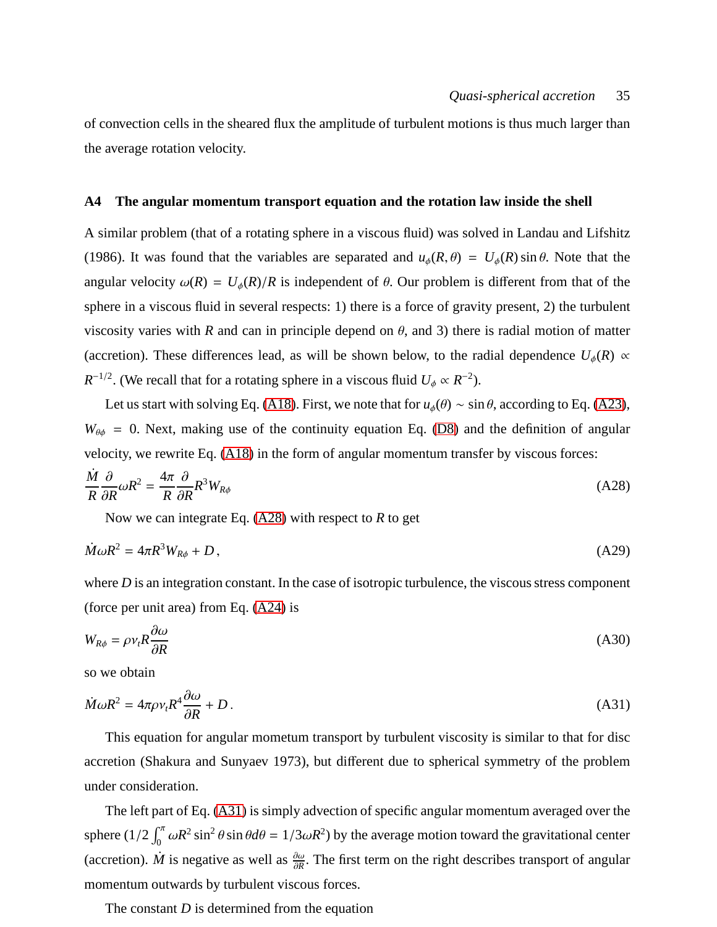of convection cells in the sheared flux the amplitude of turbulent motions is thus much larger than the average rotation velocity.

#### **A4 The angular momentum transport equation and the rotation law inside the shell**

A similar problem (that of a rotating sphere in a viscous fluid) was solved in Landau and Lifshitz (1986). It was found that the variables are separated and  $u_{\phi}(R, \theta) = U_{\phi}(R) \sin \theta$ . Note that the angular velocity  $\omega(R) = U_{\phi}(R)/R$  is independent of  $\theta$ . Our problem is different from that of the sphere in a viscous fluid in several respects: 1) there is a force of gravity present, 2) the turbulent viscosity varies with *R* and can in principle depend on  $\theta$ , and 3) there is radial motion of matter (accretion). These differences lead, as will be shown below, to the radial dependence  $U_{\phi}(R) \propto$  $R^{-1/2}$ . (We recall that for a rotating sphere in a viscous fluid  $U_{\phi} \propto R^{-2}$ ).

Let us start with solving Eq. [\(A18\)](#page-33-2). First, we note that for  $u_{\phi}(\theta) \sim \sin \theta$ , according to Eq. [\(A23\)](#page-33-3),  $W_{\theta\phi}$  = 0. Next, making use of the continuity equation Eq. [\(D8\)](#page-42-0) and the definition of angular velocity, we rewrite Eq. [\(A18\)](#page-33-2) in the form of angular momentum transfer by viscous forces:

<span id="page-34-0"></span>
$$
\frac{\dot{M}}{R}\frac{\partial}{\partial R}\omega R^2 = \frac{4\pi}{R}\frac{\partial}{\partial R}R^3 W_{R\phi}
$$
\n(A28)

Now we can integrate Eq. [\(A28\)](#page-34-0) with respect to *R* to get

<span id="page-34-2"></span>
$$
\dot{M}\omega R^2 = 4\pi R^3 W_{R\phi} + D\,,\tag{A29}
$$

where *D* is an integration constant. In the case of isotropic turbulence, the viscous stress component (force per unit area) from Eq. [\(A24\)](#page-33-4) is

$$
W_{R\phi} = \rho v_t R \frac{\partial \omega}{\partial R} \tag{A30}
$$

so we obtain

<span id="page-34-1"></span>
$$
\dot{M}\omega R^2 = 4\pi \rho v_t R^4 \frac{\partial \omega}{\partial R} + D \,. \tag{A31}
$$

This equation for angular mometum transport by turbulent viscosity is similar to that for disc accretion (Shakura and Sunyaev 1973), but different due to spherical symmetry of the problem under consideration.

The left part of Eq. [\(A31\)](#page-34-1) is simply advection of specific angular momentum averaged over the sphere  $(1/2 \int_0^{\pi} \omega R^2 \sin^2 \theta \sin \theta d\theta = 1/3 \omega R^2)$  by the average motion toward the gravitational center (accretion).  $\dot{M}$  is negative as well as  $\frac{\partial \omega}{\partial R}$ . The first term on the right describes transport of angular momentum outwards by turbulent viscous forces.

The constant *D* is determined from the equation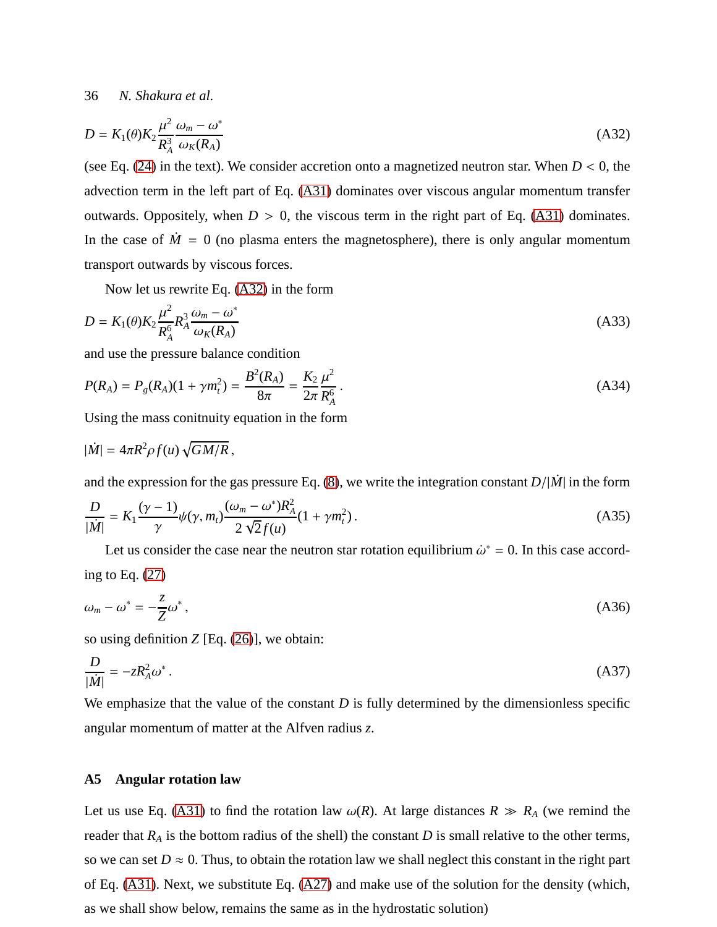<span id="page-35-0"></span>
$$
D = K_1(\theta) K_2 \frac{\mu^2}{R_A^3} \frac{\omega_m - \omega^*}{\omega_K(R_A)}
$$
(A32)

(see Eq.  $(24)$  in the text). We consider accretion onto a magnetized neutron star. When  $D < 0$ , the advection term in the left part of Eq. [\(A31\)](#page-34-1) dominates over viscous angular momentum transfer outwards. Oppositely, when  $D > 0$ , the viscous term in the right part of Eq. [\(A31\)](#page-34-1) dominates. In the case of  $\dot{M} = 0$  (no plasma enters the magnetosphere), there is only angular momentum transport outwards by viscous forces.

Now let us rewrite Eq. [\(A32\)](#page-35-0) in the form

$$
D = K_1(\theta) K_2 \frac{\mu^2}{R_A^6} R_A^3 \frac{\omega_m - \omega^*}{\omega_K(R_A)}
$$
(A33)

and use the pressure balance condition

$$
P(R_A) = P_g(R_A)(1 + \gamma m_t^2) = \frac{B^2(R_A)}{8\pi} = \frac{K_2}{2\pi} \frac{\mu^2}{R_A^6} \,. \tag{A34}
$$

Using the mass conitnuity equation in the form

$$
|\dot{M}| = 4\pi R^2 \rho f(u) \sqrt{GM/R},
$$

and the expression for the gas pressure Eq. [\(8\)](#page-6-0), we write the integration constant  $D/|M|$  in the form

$$
\frac{D}{|\dot{M}|} = K_1 \frac{(\gamma - 1)}{\gamma} \psi(\gamma, m_t) \frac{(\omega_m - \omega^*) R_A^2}{2 \sqrt{2} f(u)} (1 + \gamma m_t^2).
$$
\n(A35)

Let us consider the case near the neutron star rotation equilibrium  $\dot{\omega}^* = 0$ . In this case according to Eq.  $(27)$ 

<span id="page-35-1"></span>
$$
\omega_m - \omega^* = -\frac{z}{Z}\omega^*,\tag{A36}
$$

so using definition *Z* [Eq. [\(26\)](#page-11-1)], we obtain:

$$
\frac{D}{|\dot{M}|} = -zR_A^2 \omega^* \,. \tag{A37}
$$

We emphasize that the value of the constant *D* is fully determined by the dimensionless specific angular momentum of matter at the Alfven radius *z*.

# **A5 Angular rotation law**

Let us use Eq. [\(A31\)](#page-34-1) to find the rotation law  $\omega(R)$ . At large distances  $R \gg R_A$  (we remind the reader that  $R_A$  is the bottom radius of the shell) the constant  $D$  is small relative to the other terms, so we can set  $D \approx 0$ . Thus, to obtain the rotation law we shall neglect this constant in the right part of Eq. [\(A31\)](#page-34-1). Next, we substitute Eq. [\(A27\)](#page-33-5) and make use of the solution for the density (which, as we shall show below, remains the same as in the hydrostatic solution)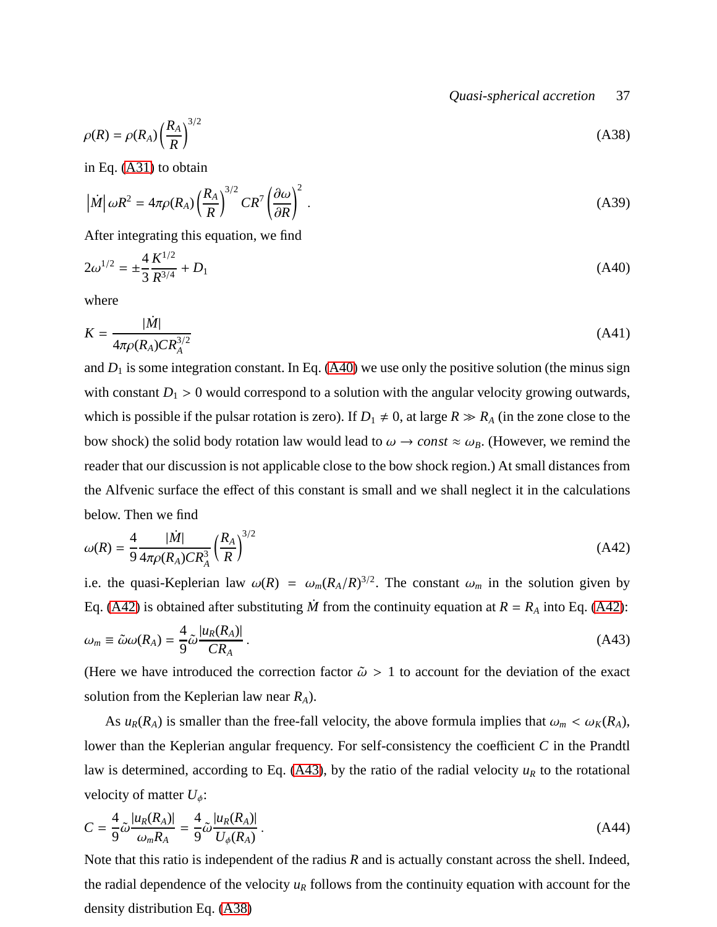*Quasi-spherical accretion* 37

<span id="page-36-3"></span>
$$
\rho(R) = \rho(R_A) \left(\frac{R_A}{R}\right)^{3/2} \tag{A38}
$$

in Eq. [\(A31\)](#page-34-1) to obtain

$$
\left|\dot{M}\right|\omega R^2 = 4\pi\rho(R_A)\left(\frac{R_A}{R}\right)^{3/2}CR^7\left(\frac{\partial\omega}{\partial R}\right)^2\,. \tag{A39}
$$

After integrating this equation, we find

<span id="page-36-0"></span>
$$
2\omega^{1/2} = \pm \frac{4}{3} \frac{K^{1/2}}{R^{3/4}} + D_1 \tag{A40}
$$

where

$$
K = \frac{|\dot{M}|}{4\pi \rho (R_A) C R_A^{3/2}}
$$
 (A41)

and  $D_1$  is some integration constant. In Eq. [\(A40\)](#page-36-0) we use only the positive solution (the minus sign with constant  $D_1 > 0$  would correspond to a solution with the angular velocity growing outwards, which is possible if the pulsar rotation is zero). If  $D_1 \neq 0$ , at large  $R \gg R_A$  (in the zone close to the bow shock) the solid body rotation law would lead to  $\omega \to const \approx \omega_B$ . (However, we remind the reader that our discussion is not applicable close to the bow shock region.) At small distances from the Alfvenic surface the effect of this constant is small and we shall neglect it in the calculations below. Then we find

<span id="page-36-1"></span>
$$
\omega(R) = \frac{4}{9} \frac{|\dot{M}|}{4\pi \rho(R_A)CR_A^3} \left(\frac{R_A}{R}\right)^{3/2} \tag{A42}
$$

i.e. the quasi-Keplerian law  $\omega(R) = \omega_m(R_A/R)^{3/2}$ . The constant  $\omega_m$  in the solution given by Eq. [\(A42\)](#page-36-1) is obtained after substituting  $\dot{M}$  from the continuity equation at  $R = R_A$  into Eq. [\(A42\)](#page-36-1):

<span id="page-36-2"></span>
$$
\omega_m \equiv \tilde{\omega}\omega(R_A) = \frac{4}{9}\tilde{\omega}\frac{|u_R(R_A)|}{CR_A} \,. \tag{A43}
$$

(Here we have introduced the correction factor  $\tilde{\omega} > 1$  to account for the deviation of the exact solution from the Keplerian law near *RA*).

As  $u_R(R_A)$  is smaller than the free-fall velocity, the above formula implies that  $\omega_m < \omega_K(R_A)$ , lower than the Keplerian angular frequency. For self-consistency the coefficient *C* in the Prandtl law is determined, according to Eq. [\(A43\)](#page-36-2), by the ratio of the radial velocity  $u_R$  to the rotational velocity of matter  $U_{\phi}$ :

$$
C = \frac{4}{9} \tilde{\omega} \frac{|u_R(R_A)|}{\omega_m R_A} = \frac{4}{9} \tilde{\omega} \frac{|u_R(R_A)|}{U_\phi(R_A)}.
$$
\n(A44)

Note that this ratio is independent of the radius *R* and is actually constant across the shell. Indeed, the radial dependence of the velocity  $u_R$  follows from the continuity equation with account for the density distribution Eq. [\(A38\)](#page-36-3)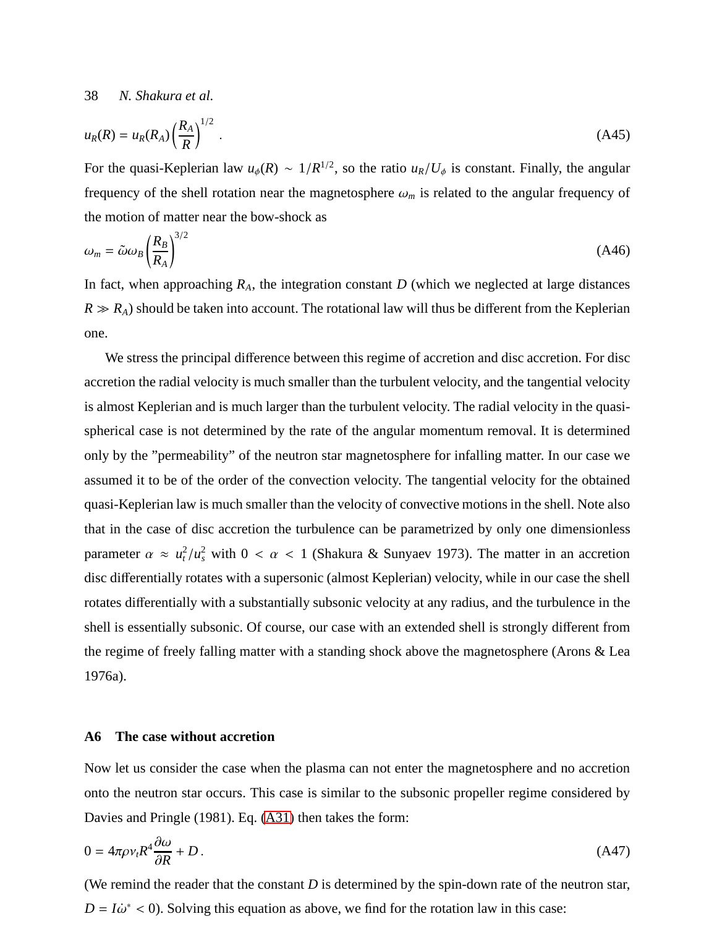$$
u_R(R) = u_R(R_A) \left(\frac{R_A}{R}\right)^{1/2} \tag{A45}
$$

For the quasi-Keplerian law  $u_{\phi}(R) \sim 1/R^{1/2}$ , so the ratio  $u_R/U_{\phi}$  is constant. Finally, the angular frequency of the shell rotation near the magnetosphere  $\omega_m$  is related to the angular frequency of the motion of matter near the bow-shock as

$$
\omega_m = \tilde{\omega}\omega_B \left(\frac{R_B}{R_A}\right)^{3/2} \tag{A46}
$$

In fact, when approaching  $R_A$ , the integration constant  $D$  (which we neglected at large distances  $R \gg R_A$ ) should be taken into account. The rotational law will thus be different from the Keplerian one.

We stress the principal difference between this regime of accretion and disc accretion. For disc accretion the radial velocity is much smaller than the turbulent velocity, and the tangential velocity is almost Keplerian and is much larger than the turbulent velocity. The radial velocity in the quasispherical case is not determined by the rate of the angular momentum removal. It is determined only by the "permeability" of the neutron star magnetosphere for infalling matter. In our case we assumed it to be of the order of the convection velocity. The tangential velocity for the obtained quasi-Keplerian law is much smaller than the velocity of convective motions in the shell. Note also that in the case of disc accretion the turbulence can be parametrized by only one dimensionless parameter  $\alpha \approx u_t^2/u_s^2$  with  $0 < \alpha < 1$  (Shakura & Sunyaev 1973). The matter in an accretion disc differentially rotates with a supersonic (almost Keplerian) velocity, while in our case the shell rotates differentially with a substantially subsonic velocity at any radius, and the turbulence in the shell is essentially subsonic. Of course, our case with an extended shell is strongly different from the regime of freely falling matter with a standing shock above the magnetosphere (Arons & Lea 1976a).

## **A6 The case without accretion**

Now let us consider the case when the plasma can not enter the magnetosphere and no accretion onto the neutron star occurs. This case is similar to the subsonic propeller regime considered by Davies and Pringle (1981). Eq. [\(A31\)](#page-34-1) then takes the form:

$$
0 = 4\pi \rho v_t R^4 \frac{\partial \omega}{\partial R} + D \,. \tag{A47}
$$

(We remind the reader that the constant *D* is determined by the spin-down rate of the neutron star,  $D = I\dot{\omega}^* < 0$ ). Solving this equation as above, we find for the rotation law in this case: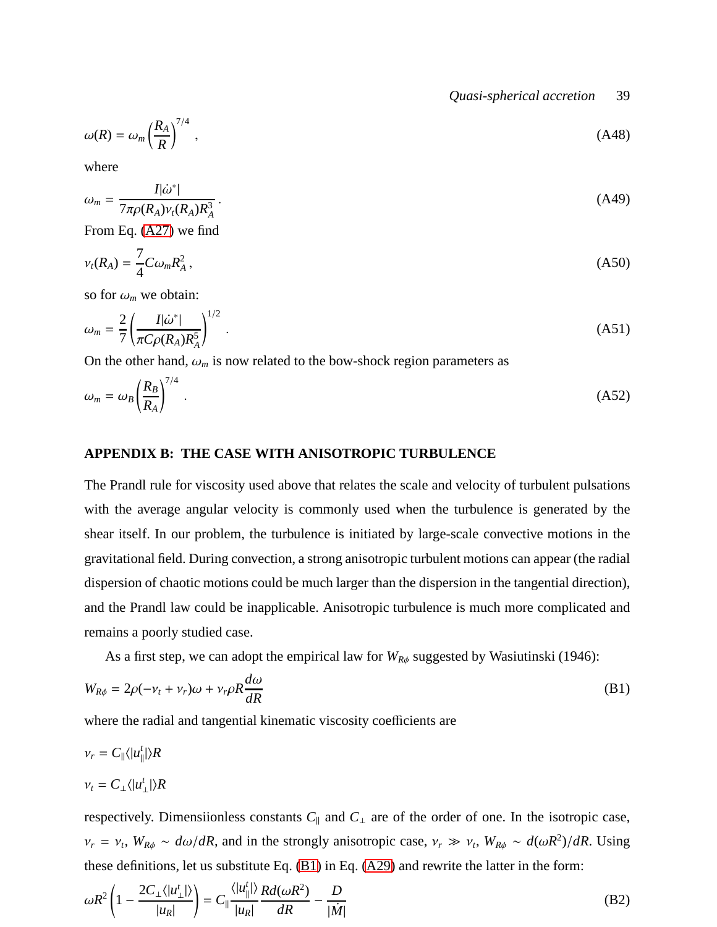*Quasi-spherical accretion* 39

$$
\omega(R) = \omega_m \left(\frac{R_A}{R}\right)^{7/4},\tag{A48}
$$

where

$$
\omega_m = \frac{I|\dot{\omega}^*|}{7\pi\rho(R_A)\nu_t(R_A)R_A^3} \,. \tag{A49}
$$

From Eq. [\(A27\)](#page-33-5) we find

$$
\nu_t(R_A) = \frac{7}{4} C \omega_m R_A^2 \,,\tag{A50}
$$

so for  $\omega_m$  we obtain:

$$
\omega_m = \frac{2}{7} \left( \frac{I |\dot{\omega}^*|}{\pi C \rho (R_A) R_A^5} \right)^{1/2} \,. \tag{A51}
$$

On the other hand,  $\omega_m$  is now related to the bow-shock region parameters as

$$
\omega_m = \omega_B \left(\frac{R_B}{R_A}\right)^{7/4} \,. \tag{A52}
$$

## **APPENDIX B: THE CASE WITH ANISOTROPIC TURBULENCE**

The Prandl rule for viscosity used above that relates the scale and velocity of turbulent pulsations with the average angular velocity is commonly used when the turbulence is generated by the shear itself. In our problem, the turbulence is initiated by large-scale convective motions in the gravitational field. During convection, a strong anisotropic turbulent motions can appear (the radial dispersion of chaotic motions could be much larger than the dispersion in the tangential direction), and the Prandl law could be inapplicable. Anisotropic turbulence is much more complicated and remains a poorly studied case.

As a first step, we can adopt the empirical law for  $W_{R\phi}$  suggested by Wasiutinski (1946):

<span id="page-38-0"></span>
$$
W_{R\phi} = 2\rho(-\nu_t + \nu_r)\omega + \nu_r\rho R \frac{d\omega}{dR}
$$
 (B1)

where the radial and tangential kinematic viscosity coefficients are

$$
\nu_r = C_{\parallel} \langle |u_{\parallel}^t| \rangle R
$$
  

$$
\nu_t = C_{\perp} \langle |u_{\perp}^t| \rangle R
$$

respectively. Dimensiionless constants  $C_{\parallel}$  and  $C_{\perp}$  are of the order of one. In the isotropic case,  $\nu_r = \nu_t$ ,  $W_{R\phi} \sim d\omega/dR$ , and in the strongly anisotropic case,  $\nu_r \gg \nu_t$ ,  $W_{R\phi} \sim d(\omega R^2)/dR$ . Using these definitions, let us substitute Eq. [\(B1\)](#page-38-0) in Eq. [\(A29\)](#page-34-2) and rewrite the latter in the form:

$$
\omega R^2 \left( 1 - \frac{2C_\perp \langle |u_\perp'|\rangle}{|u_R|} \right) = C_\parallel \frac{\langle |u_\parallel'|\rangle}{|u_R|} \frac{R d(\omega R^2)}{dR} - \frac{D}{|\dot{M}|} \tag{B2}
$$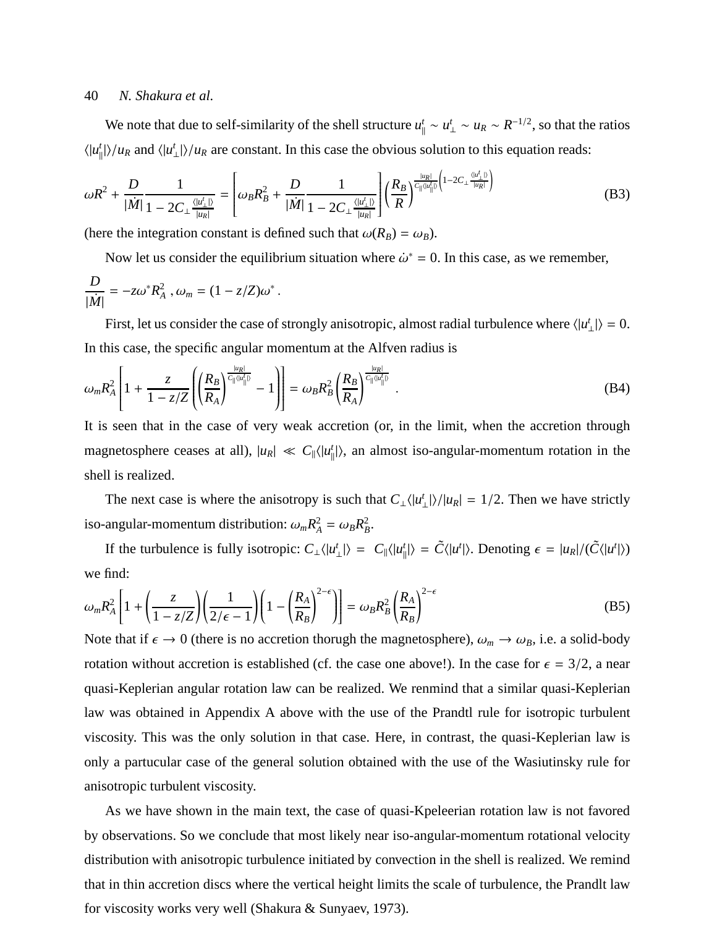We note that due to self-similarity of the shell structure  $u_1^t$  $\mu_{\parallel}^t$  ∼  $u_R$  ~  $R^{-1/2}$ , so that the ratios  $\langle |u_{i}^{t}$  $\langle u_{R}^t | u \rangle / u_{R}$  and  $\langle u_{R}^t |$  $\binom{t}{\perp}$ // $u_R$  are constant. In this case the obvious solution to this equation reads:

$$
\omega R^2 + \frac{D}{|\dot{M}|} \frac{1}{1 - 2C_{\perp} \frac{\langle |u'_{\perp}| \rangle}{|u_R|}} = \left[ \omega_B R_B^2 + \frac{D}{|\dot{M}|} \frac{1}{1 - 2C_{\perp} \frac{\langle |u'_{\perp}| \rangle}{|u_R|}} \right] \left( \frac{R_B}{R} \right)^{\frac{|u_R|}{C_{\parallel} \langle |u'_{\parallel}| \rangle} \left( 1 - 2C_{\perp} \frac{\langle |u'_{\perp}| \rangle}{|u_R|} \right)} \tag{B3}
$$

(here the integration constant is defined such that  $\omega(R_B) = \omega_B$ ).

Now let us consider the equilibrium situation where  $\dot{\omega}^* = 0$ . In this case, as we remember, *D*  $\frac{D}{|\dot{M}|} = -z\omega^* R_A^2$ ,  $\omega_m = (1 - z/Z)\omega^*$ .

First, let us consider the case of strongly anisotropic, almost radial turbulence where  $\langle |u^i\rangle$  $|\mathbf{L}| = 0.$ In this case, the specific angular momentum at the Alfven radius is

$$
\omega_m R_A^2 \left[ 1 + \frac{z}{1 - z/Z} \left( \left( \frac{R_B}{R_A} \right)^{\frac{|u_R|}{C_{\|}(|u_{\|}^l|)}} - 1 \right) \right] = \omega_B R_B^2 \left( \frac{R_B}{R_A} \right)^{\frac{|u_R|}{C_{\|}(|u_{\|}^l|)}}.
$$
\n(B4)

It is seen that in the case of very weak accretion (or, in the limit, when the accretion through magnetosphere ceases at all),  $|u_R| \ll C_{\parallel} \langle |u_{\parallel}^t|$  $\binom{t}{\parallel}$ , an almost iso-angular-momentum rotation in the shell is realized.

The next case is where the anisotropy is such that  $C_{\perp} \langle |u^t \rangle$  $\binom{t}{\perp}$ / $|u_R|$  = 1/2. Then we have strictly iso-angular-momentum distribution:  $\omega_m R_A^2 = \omega_B R_B^2$ .

If the turbulence is fully isotropic:  $C_{\perp} \langle |u_{\perp}^t \rangle$  $\langle L_{\perp}^t|\rangle = C_{\parallel} \langle |u_{\parallel}^t\rangle$  $\langle f_{\parallel} \rangle = \tilde{C} \langle |u^t| \rangle$ . Denoting  $\epsilon = |u_R|/(\tilde{C} \langle |u^t| \rangle)$ we find:

$$
\omega_m R_A^2 \left[ 1 + \left( \frac{z}{1 - z/Z} \right) \left( \frac{1}{2/\epsilon - 1} \right) \left( 1 - \left( \frac{R_A}{R_B} \right)^{2 - \epsilon} \right) \right] = \omega_B R_B^2 \left( \frac{R_A}{R_B} \right)^{2 - \epsilon} \tag{B5}
$$

Note that if  $\epsilon \to 0$  (there is no accretion thorugh the magnetosphere),  $\omega_m \to \omega_B$ , i.e. a solid-body rotation without accretion is established (cf. the case one above!). In the case for  $\epsilon = 3/2$ , a near quasi-Keplerian angular rotation law can be realized. We renmind that a similar quasi-Keplerian law was obtained in Appendix A above with the use of the Prandtl rule for isotropic turbulent viscosity. This was the only solution in that case. Here, in contrast, the quasi-Keplerian law is only a partucular case of the general solution obtained with the use of the Wasiutinsky rule for anisotropic turbulent viscosity.

As we have shown in the main text, the case of quasi-Kpeleerian rotation law is not favored by observations. So we conclude that most likely near iso-angular-momentum rotational velocity distribution with anisotropic turbulence initiated by convection in the shell is realized. We remind that in thin accretion discs where the vertical height limits the scale of turbulence, the Prandlt law for viscosity works very well (Shakura & Sunyaev, 1973).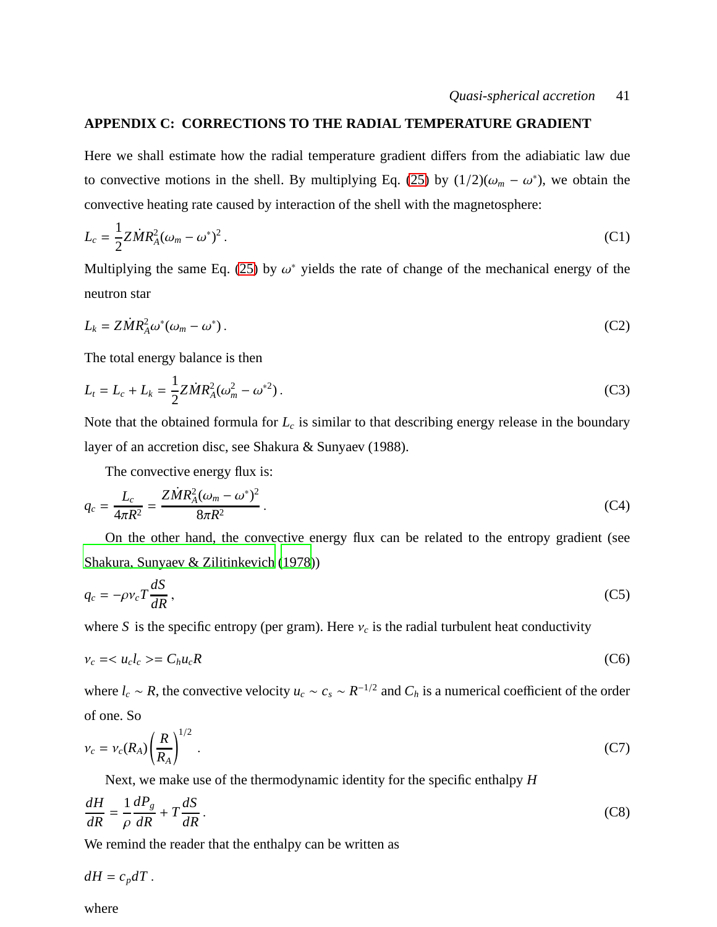### **APPENDIX C: CORRECTIONS TO THE RADIAL TEMPERATURE GRADIENT**

Here we shall estimate how the radial temperature gradient differs from the adiabiatic law due to convective motions in the shell. By multiplying Eq. [\(25\)](#page-11-4) by  $(1/2)(\omega_m - \omega^*)$ , we obtain the convective heating rate caused by interaction of the shell with the magnetosphere:

$$
L_c = \frac{1}{2} Z \dot{M} R_A^2 (\omega_m - \omega^*)^2 \,. \tag{C1}
$$

Multiplying the same Eq. [\(25\)](#page-11-4) by  $\omega^*$  yields the rate of change of the mechanical energy of the neutron star

$$
L_k = Z\dot{M}R_A^2\omega^*(\omega_m - \omega^*)\,. \tag{C2}
$$

The total energy balance is then

$$
L_t = L_c + L_k = \frac{1}{2} Z \dot{M} R_A^2 (\omega_m^2 - \omega^{*2}).
$$
 (C3)

Note that the obtained formula for *L<sup>c</sup>* is similar to that describing energy release in the boundary layer of an accretion disc, see Shakura & Sunyaev (1988).

The convective energy flux is:

$$
q_c = \frac{L_c}{4\pi R^2} = \frac{Z\dot{M}R_A^2(\omega_m - \omega^*)^2}{8\pi R^2}.
$$
 (C4)

On the other hand, the convective energy flux can be related to the entropy gradient (see [Shakura, Sunyaev & Zilitinkevich \(1978](#page-47-0)))

<span id="page-40-0"></span>
$$
q_c = -\rho v_c T \frac{dS}{dR},\tag{C5}
$$

where *S* is the specific entropy (per gram). Here  $v_c$  is the radial turbulent heat conductivity

$$
\nu_c = \langle u_c l_c \rangle = C_h u_c R \tag{C6}
$$

where  $l_c \sim R$ , the convective velocity  $u_c \sim c_s \sim R^{-1/2}$  and  $C_h$  is a numerical coefficient of the order of one. So

$$
v_c = v_c(R_A) \left(\frac{R}{R_A}\right)^{1/2} \,. \tag{C7}
$$

Next, we make use of the thermodynamic identity for the specific enthalpy *H*

<span id="page-40-1"></span>
$$
\frac{dH}{dR} = \frac{1}{\rho} \frac{dP_g}{dR} + T \frac{dS}{dR} \,. \tag{C8}
$$

We remind the reader that the enthalpy can be written as

 $dH = c_p dT$ .

where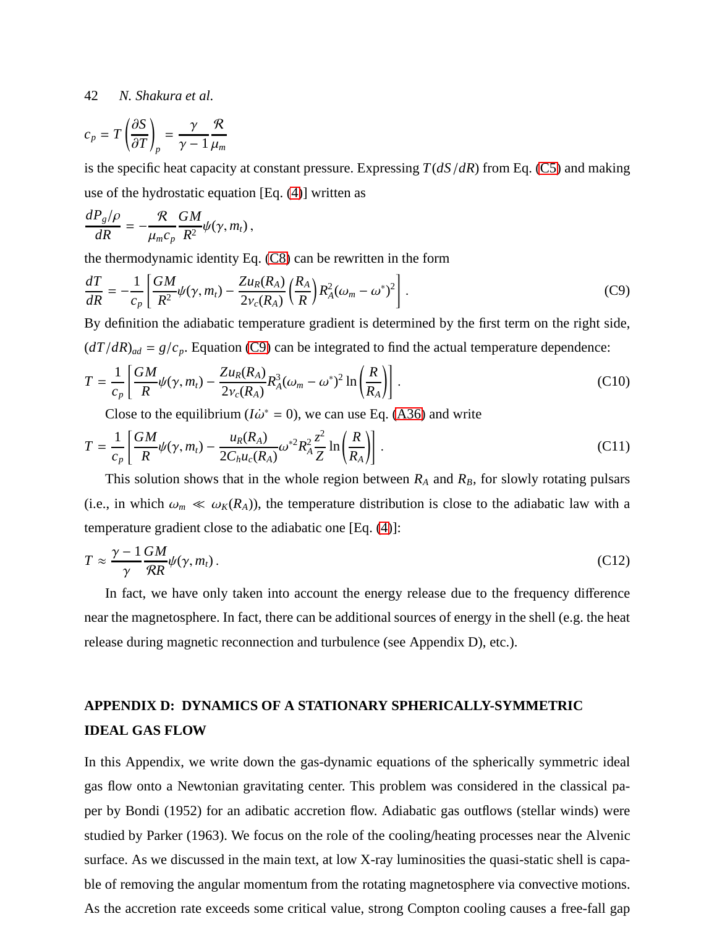$$
c_p = T \left(\frac{\partial S}{\partial T}\right)_p = \frac{\gamma}{\gamma - 1} \frac{R}{\mu_m}
$$

is the specific heat capacity at constant pressure. Expressing *T*(*dS*/*dR*) from Eq. [\(C5\)](#page-40-0) and making use of the hydrostatic equation [Eq. [\(4\)](#page-5-1)] written as

$$
\frac{dP_g/\rho}{dR}=-\frac{\mathcal{R}}{\mu_m c_p}\frac{GM}{R^2}\psi(\gamma,m_t)\,,
$$

the thermodynamic identity Eq. [\(C8\)](#page-40-1) can be rewritten in the form

<span id="page-41-0"></span>
$$
\frac{dT}{dR} = -\frac{1}{c_p} \left[ \frac{GM}{R^2} \psi(\gamma, m_t) - \frac{Z u_R(R_A)}{2 v_c(R_A)} \left( \frac{R_A}{R} \right) R_A^2 (\omega_m - \omega^*)^2 \right].
$$
\n(C9)

By definition the adiabatic temperature gradient is determined by the first term on the right side,  $(dT/dR)_{ad} = g/c_p$ . Equation [\(C9\)](#page-41-0) can be integrated to find the actual temperature dependence:

$$
T = \frac{1}{c_p} \left[ \frac{GM}{R} \psi(\gamma, m_t) - \frac{Z u_R(R_A)}{2 v_c(R_A)} R_A^3 (\omega_m - \omega^*)^2 \ln \left( \frac{R}{R_A} \right) \right].
$$
 (C10)

Close to the equilibrium ( $I\dot{\omega}^* = 0$ ), we can use Eq. [\(A36\)](#page-35-1) and write

$$
T = \frac{1}{c_p} \left[ \frac{GM}{R} \psi(\gamma, m_t) - \frac{u_R(R_A)}{2C_h u_c(R_A)} \omega^{*2} R_A^2 \frac{z^2}{Z} \ln\left(\frac{R}{R_A}\right) \right].
$$
 (C11)

This solution shows that in the whole region between  $R_A$  and  $R_B$ , for slowly rotating pulsars (i.e., in which  $\omega_m \ll \omega_K(R_A)$ ), the temperature distribution is close to the adiabatic law with a temperature gradient close to the adiabatic one [Eq. [\(4\)](#page-5-1)]:

$$
T \approx \frac{\gamma - 1}{\gamma} \frac{GM}{RR} \psi(\gamma, m_t).
$$
 (C12)

In fact, we have only taken into account the energy release due to the frequency difference near the magnetosphere. In fact, there can be additional sources of energy in the shell (e.g. the heat release during magnetic reconnection and turbulence (see Appendix D), etc.).

# **APPENDIX D: DYNAMICS OF A STATIONARY SPHERICALLY-SYMMETRIC IDEAL GAS FLOW**

In this Appendix, we write down the gas-dynamic equations of the spherically symmetric ideal gas flow onto a Newtonian gravitating center. This problem was considered in the classical paper by Bondi (1952) for an adibatic accretion flow. Adiabatic gas outflows (stellar winds) were studied by Parker (1963). We focus on the role of the cooling/heating processes near the Alvenic surface. As we discussed in the main text, at low X-ray luminosities the quasi-static shell is capable of removing the angular momentum from the rotating magnetosphere via convective motions. As the accretion rate exceeds some critical value, strong Compton cooling causes a free-fall gap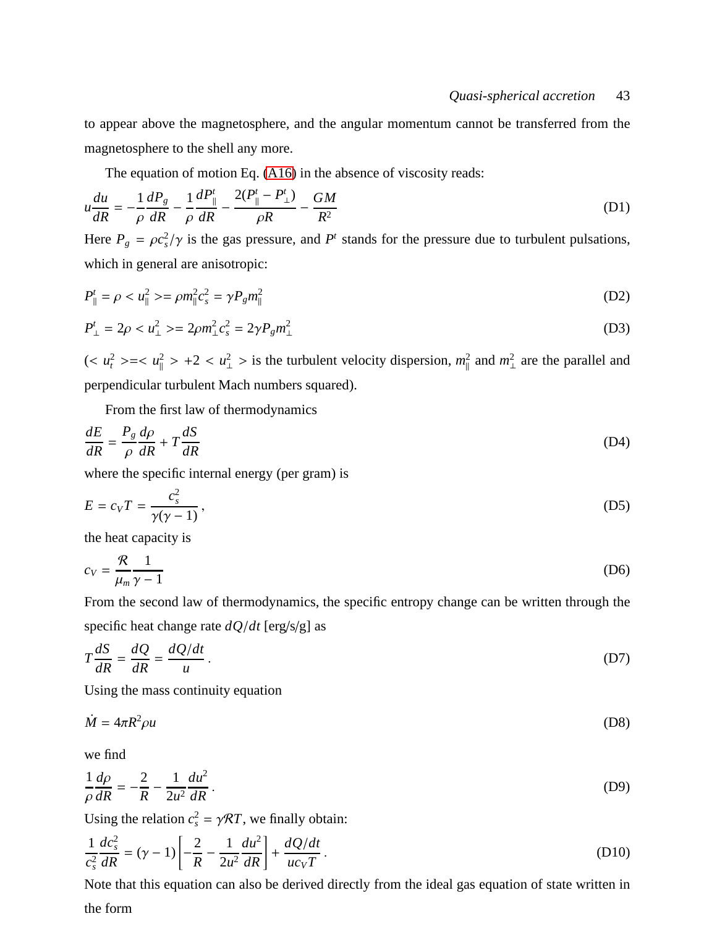to appear above the magnetosphere, and the angular momentum cannot be transferred from the magnetosphere to the shell any more.

The equation of motion Eq. [\(A16\)](#page-32-0) in the absence of viscosity reads:

$$
u\frac{du}{dR} = -\frac{1}{\rho}\frac{dP_g}{dR} - \frac{1}{\rho}\frac{dP_{\parallel}^t}{dR} - \frac{2(P_{\parallel}^t - P_{\perp}^t)}{\rho R} - \frac{GM}{R^2}
$$
(D1)

Here  $P_g = \rho c_s^2 / \gamma$  is the gas pressure, and  $P^t$  stands for the pressure due to turbulent pulsations, which in general are anisotropic:

$$
P_{\parallel}^t = \rho < u_{\parallel}^2 > = \rho m_{\parallel}^2 c_s^2 = \gamma P_g m_{\parallel}^2 \tag{D2}
$$

$$
P_{\perp}^{t} = 2\rho < u_{\perp}^{2} > = 2\rho m_{\perp}^{2} c_{s}^{2} = 2\gamma P_{g} m_{\perp}^{2} \tag{D3}
$$

 $\left(\langle u_t^2 \rangle \rangle = \langle u_\parallel^2 \rangle + 2 \langle u_\perp^2 \rangle \right)$  is the turbulent velocity dispersion,  $m_\parallel^2$  $\frac{2}{\parallel}$  and  $m_{\perp}^2$  $\frac{2}{1}$  are the parallel and perpendicular turbulent Mach numbers squared).

From the first law of thermodynamics

$$
\frac{dE}{dR} = \frac{P_g}{\rho} \frac{d\rho}{dR} + T \frac{dS}{dR}
$$
(D4)

where the specific internal energy (per gram) is

$$
E = c_V T = \frac{c_s^2}{\gamma(\gamma - 1)},
$$
\n(D5)

the heat capacity is

$$
c_V = \frac{\mathcal{R}}{\mu_m} \frac{1}{\gamma - 1} \tag{D6}
$$

From the second law of thermodynamics, the specific entropy change can be written through the specific heat change rate *dQ*/*dt* [erg/s/g] as

$$
T\frac{dS}{dR} = \frac{dQ}{dR} = \frac{dQ/dt}{u}.
$$
 (D7)

Using the mass continuity equation

<span id="page-42-0"></span>
$$
\dot{M} = 4\pi R^2 \rho u \tag{D8}
$$

we find

$$
\frac{1}{\rho}\frac{d\rho}{dR} = -\frac{2}{R} - \frac{1}{2u^2}\frac{du^2}{dR}.
$$
\n(D9)

Using the relation  $c_s^2 = \gamma \mathcal{R}T$ , we finally obtain:

<span id="page-42-1"></span>
$$
\frac{1}{c_s^2} \frac{dc_s^2}{dR} = (\gamma - 1) \left[ -\frac{2}{R} - \frac{1}{2u^2} \frac{du^2}{dR} \right] + \frac{dQ/dt}{uc_V T}.
$$
\n(D10)

Note that this equation can also be derived directly from the ideal gas equation of state written in the form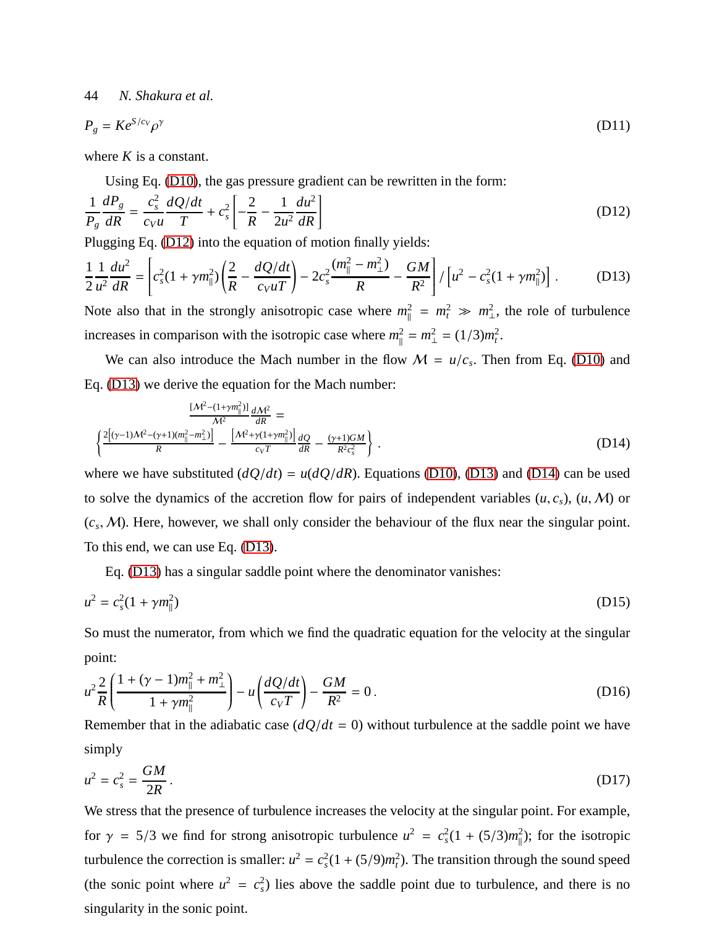$$
P_g = Ke^{S/c_V} \rho^{\gamma}
$$
 (D11)

where *K* is a constant.

Using Eq. [\(D10\)](#page-42-1), the gas pressure gradient can be rewritten in the form:

<span id="page-43-0"></span>
$$
\frac{1}{P_g} \frac{dP_g}{dR} = \frac{c_s^2}{c_V u} \frac{dQ/dt}{T} + c_s^2 \left[ -\frac{2}{R} - \frac{1}{2u^2} \frac{du^2}{dR} \right]
$$
(D12)

Plugging Eq. [\(D12\)](#page-43-0) into the equation of motion finally yields:

<span id="page-43-1"></span>
$$
\frac{1}{2}\frac{1}{u^2}\frac{du^2}{dR} = \left[c_s^2(1+\gamma m_\parallel^2)\left(\frac{2}{R}-\frac{dQ/dt}{c_VuT}\right)-2c_s^2\frac{(m_\parallel^2-m_\perp^2)}{R}-\frac{GM}{R^2}\right]/\left[u^2-c_s^2(1+\gamma m_\parallel^2)\right].
$$
 (D13)

Note also that in the strongly anisotropic case where  $m_{\parallel}^2 = m_t^2 \gg m_{\perp}^2$  $\frac{2}{1}$ , the role of turbulence increases in comparison with the isotropic case where  $m_{\parallel}^2$  $\mu_{\parallel}^2 = m_{\perp}^2 = (1/3)m_t^2$ .

We can also introduce the Mach number in the flow  $M = u/c_s$ . Then from Eq. [\(D10\)](#page-42-1) and Eq. [\(D13\)](#page-43-1) we derive the equation for the Mach number:

<span id="page-43-2"></span>
$$
\frac{[M^2 - (1 + \gamma m_{\parallel}^2)]}{M^2} \frac{dM^2}{dR} =
$$
\n
$$
\left\{ \frac{2[(\gamma - 1)M^2 - (\gamma + 1)(m_{\parallel}^2 - m_{\perp}^2)]}{R} - \frac{[M^2 + \gamma(1 + \gamma m_{\parallel}^2)]}{c_V T} \frac{dQ}{dR} - \frac{(\gamma + 1)GM}{R^2 c_s^2} \right\}.
$$
\n(D14)

where we have substituted  $(dQ/dt) = u(dQ/dR)$ . Equations [\(D10\)](#page-42-1), [\(D13\)](#page-43-1) and [\(D14\)](#page-43-2) can be used to solve the dynamics of the accretion flow for pairs of independent variables  $(u, c_s)$ ,  $(u, M)$  or  $(c_s, M)$ . Here, however, we shall only consider the behaviour of the flux near the singular point. To this end, we can use Eq. [\(D13\)](#page-43-1).

Eq. [\(D13\)](#page-43-1) has a singular saddle point where the denominator vanishes:

$$
u^2 = c_s^2 (1 + \gamma m_{\parallel}^2) \tag{D15}
$$

So must the numerator, from which we find the quadratic equation for the velocity at the singular point:

<span id="page-43-3"></span>
$$
u^{2} \frac{2}{R} \left( \frac{1 + (\gamma - 1)m_{\parallel}^{2} + m_{\perp}^{2}}{1 + \gamma m_{\parallel}^{2}} \right) - u \left( \frac{dQ/dt}{c_{V}T} \right) - \frac{GM}{R^{2}} = 0.
$$
 (D16)

Remember that in the adiabatic case  $\frac{dQ}{dt} = 0$  without turbulence at the saddle point we have simply

$$
u^2 = c_s^2 = \frac{GM}{2R} \,. \tag{D17}
$$

We stress that the presence of turbulence increases the velocity at the singular point. For example, for  $\gamma = 5/3$  we find for strong anisotropic turbulence  $u^2 = c_s^2(1 + (5/3)m_{\parallel}^2)$  $\binom{2}{\parallel}$ ; for the isotropic turbulence the correction is smaller:  $u^2 = c_s^2(1 + (5/9)m_t^2)$ . The transition through the sound speed (the sonic point where  $u^2 = c_s^2$ ) lies above the saddle point due to turbulence, and there is no singularity in the sonic point.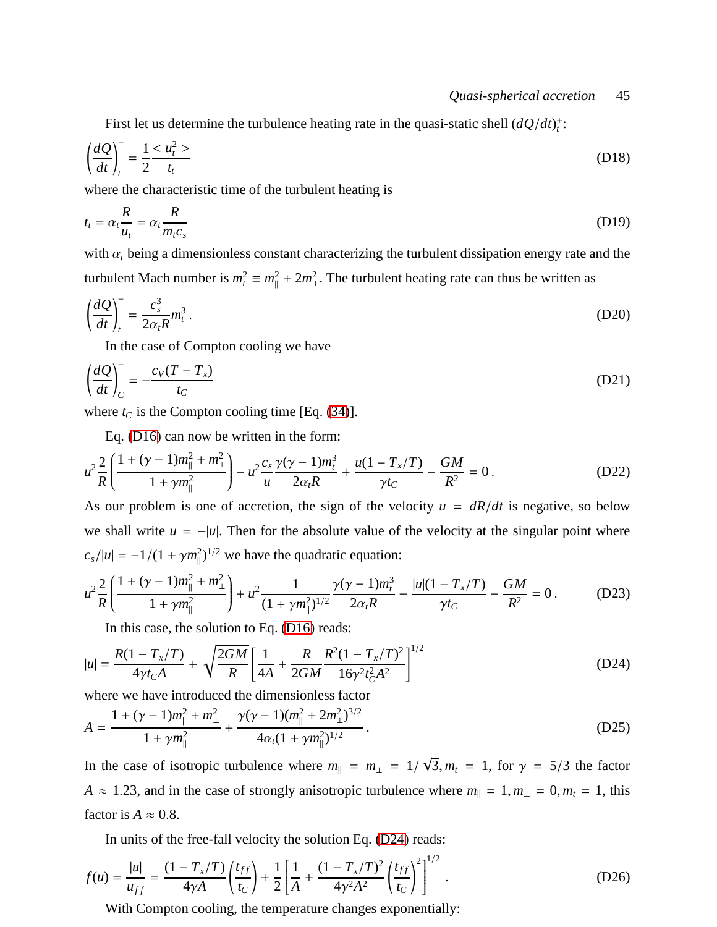First let us determine the turbulence heating rate in the quasi-static shell  $(dQ/dt)<sub>t</sub>$ <sup>+</sup>:

$$
\left(\frac{dQ}{dt}\right)_t^+ = \frac{1}{2} \frac{d^2Z}{dt} \tag{D18}
$$

where the characteristic time of the turbulent heating is

$$
t_t = \alpha_t \frac{R}{u_t} = \alpha_t \frac{R}{m_t c_s}
$$
 (D19)

with  $\alpha_t$  being a dimensionless constant characterizing the turbulent dissipation energy rate and the turbulent Mach number is  $m_t^2 \equiv m_{\parallel}^2$  $\binom{2}{\parallel} + 2m_{\perp}^2$  $\frac{2}{1}$ . The turbulent heating rate can thus be written as

$$
\left(\frac{dQ}{dt}\right)_t^+ = \frac{c_s^3}{2\alpha_t R} m_t^3 \,. \tag{D20}
$$

In the case of Compton cooling we have

$$
\left(\frac{dQ}{dt}\right)_C^- = -\frac{c_V(T - T_x)}{t_C} \tag{D21}
$$

where  $t_C$  is the Compton cooling time [Eq. [\(34\)](#page-14-1)].

Eq. [\(D16\)](#page-43-3) can now be written in the form:

$$
u^{2} \frac{2}{R} \left( \frac{1 + (\gamma - 1)m_{\parallel}^{2} + m_{\perp}^{2}}{1 + \gamma m_{\parallel}^{2}} \right) - u^{2} \frac{c_{s}}{u} \frac{\gamma(\gamma - 1)m_{t}^{3}}{2\alpha_{t}R} + \frac{u(1 - T_{x}/T)}{\gamma t_{C}} - \frac{GM}{R^{2}} = 0.
$$
 (D22)

As our problem is one of accretion, the sign of the velocity  $u = dR/dt$  is negative, so below we shall write  $u = -|u|$ . Then for the absolute value of the velocity at the singular point where  $c_s/|u| = -1/(1 + \gamma m_{\parallel}^2)$  $k_{\parallel}^2$ )<sup>1/2</sup> we have the quadratic equation:

$$
u^{2} \frac{2}{R} \left( \frac{1 + (\gamma - 1)m_{\parallel}^{2} + m_{\perp}^{2}}{1 + \gamma m_{\parallel}^{2}} \right) + u^{2} \frac{1}{(1 + \gamma m_{\parallel}^{2})^{1/2}} \frac{\gamma(\gamma - 1)m_{t}^{3}}{2\alpha_{t}R} - \frac{|u|(1 - T_{x}/T)}{\gamma t_{C}} - \frac{GM}{R^{2}} = 0.
$$
 (D23)

In this case, the solution to Eq. [\(D16\)](#page-43-3) reads:

<span id="page-44-0"></span>
$$
|u| = \frac{R(1 - T_x/T)}{4\gamma t_c A} + \sqrt{\frac{2GM}{R}} \left[ \frac{1}{4A} + \frac{R}{2GM} \frac{R^2 (1 - T_x/T)^2}{16\gamma^2 t_c^2 A^2} \right]^{1/2}
$$
(D24)

where we have introduced the dimensionless factor

$$
A = \frac{1 + (\gamma - 1)m_{\parallel}^2 + m_{\perp}^2}{1 + \gamma m_{\parallel}^2} + \frac{\gamma(\gamma - 1)(m_{\parallel}^2 + 2m_{\perp}^2)^{3/2}}{4\alpha_t(1 + \gamma m_{\parallel}^2)^{1/2}}.
$$
 (D25)

In the case of isotropic turbulence where  $m_{\parallel} = m_{\perp} = 1/\sqrt{3}$ ,  $m_t = 1$ , for  $\gamma = 5/3$  the factor *A* ≈ 1.23, and in the case of strongly anisotropic turbulence where  $m_{\parallel} = 1, m_{\perp} = 0, m_t = 1$ , this factor is  $A \approx 0.8$ .

In units of the free-fall velocity the solution Eq. [\(D24\)](#page-44-0) reads:

$$
f(u) = \frac{|u|}{u_{ff}} = \frac{(1 - T_x/T)}{4\gamma A} \left(\frac{t_{ff}}{t_C}\right) + \frac{1}{2} \left[\frac{1}{A} + \frac{(1 - T_x/T)^2}{4\gamma^2 A^2} \left(\frac{t_{ff}}{t_C}\right)^2\right]^{1/2}.
$$
 (D26)

With Compton cooling, the temperature changes exponentially: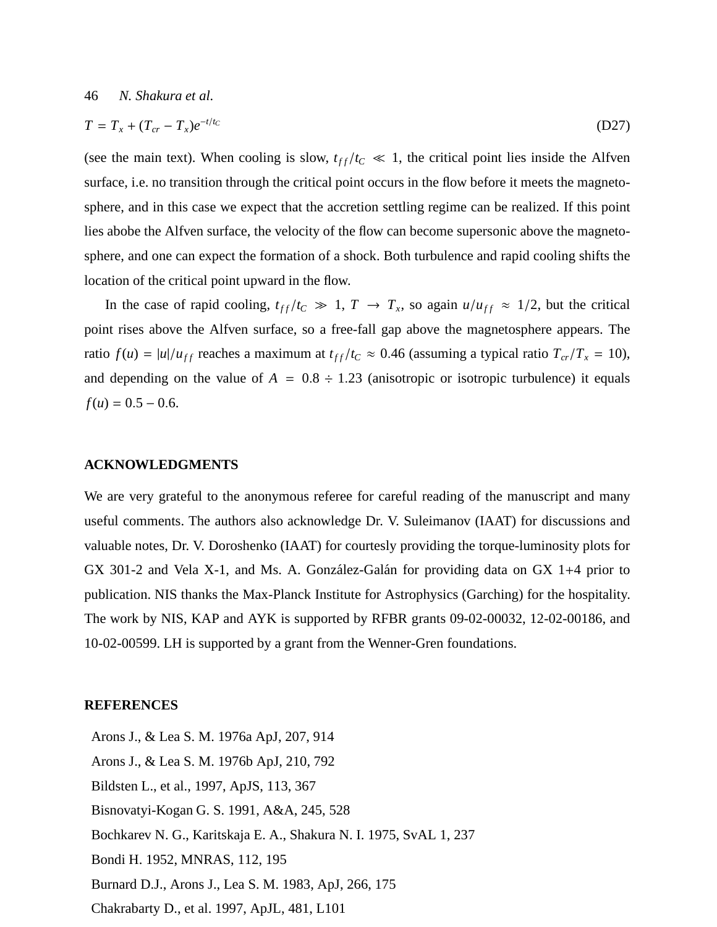$$
T = T_x + (T_{cr} - T_x)e^{-t/t_C}
$$
 (D27)

(see the main text). When cooling is slow,  $t_{ff}/t_c \ll 1$ , the critical point lies inside the Alfven surface, i.e. no transition through the critical point occurs in the flow before it meets the magnetosphere, and in this case we expect that the accretion settling regime can be realized. If this point lies abobe the Alfven surface, the velocity of the flow can become supersonic above the magnetosphere, and one can expect the formation of a shock. Both turbulence and rapid cooling shifts the location of the critical point upward in the flow.

In the case of rapid cooling,  $t_{ff}/t_c \gg 1$ ,  $T \rightarrow T_x$ , so again  $u/u_{ff} \approx 1/2$ , but the critical point rises above the Alfven surface, so a free-fall gap above the magnetosphere appears. The ratio  $f(u) = |u|/u_{ff}$  reaches a maximum at  $t_{ff}/t_c \approx 0.46$  (assuming a typical ratio  $T_{cr}/T_x = 10$ ), and depending on the value of  $A = 0.8 \div 1.23$  (anisotropic or isotropic turbulence) it equals  $f(u) = 0.5 - 0.6$ .

#### **ACKNOWLEDGMENTS**

We are very grateful to the anonymous referee for careful reading of the manuscript and many useful comments. The authors also acknowledge Dr. V. Suleimanov (IAAT) for discussions and valuable notes, Dr. V. Doroshenko (IAAT) for courtesly providing the torque-luminosity plots for GX 301-2 and Vela X-1, and Ms. A. González-Galán for providing data on GX 1+4 prior to publication. NIS thanks the Max-Planck Institute for Astrophysics (Garching) for the hospitality. The work by NIS, KAP and AYK is supported by RFBR grants 09-02-00032, 12-02-00186, and 10-02-00599. LH is supported by a grant from the Wenner-Gren foundations.

#### **REFERENCES**

Arons J., & Lea S. M. 1976a ApJ, 207, 914 Arons J., & Lea S. M. 1976b ApJ, 210, 792 Bildsten L., et al., 1997, ApJS, 113, 367 Bisnovatyi-Kogan G. S. 1991, A&A, 245, 528 Bochkarev N. G., Karitskaja E. A., Shakura N. I. 1975, SvAL 1, 237 Bondi H. 1952, MNRAS, 112, 195 Burnard D.J., Arons J., Lea S. M. 1983, ApJ, 266, 175 Chakrabarty D., et al. 1997, ApJL, 481, L101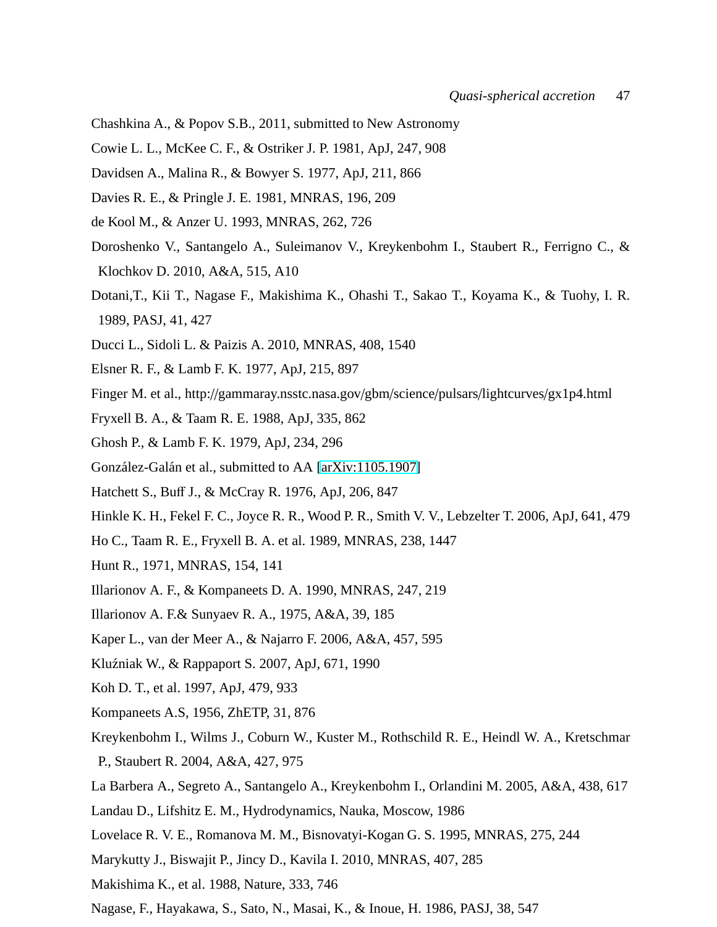- Chashkina A., & Popov S.B., 2011, submitted to New Astronomy
- Cowie L. L., McKee C. F., & Ostriker J. P. 1981, ApJ, 247, 908
- Davidsen A., Malina R., & Bowyer S. 1977, ApJ, 211, 866
- Davies R. E., & Pringle J. E. 1981, MNRAS, 196, 209
- de Kool M., & Anzer U. 1993, MNRAS, 262, 726
- Doroshenko V., Santangelo A., Suleimanov V., Kreykenbohm I., Staubert R., Ferrigno C., & Klochkov D. 2010, A&A, 515, A10
- Dotani,T., Kii T., Nagase F., Makishima K., Ohashi T., Sakao T., Koyama K., & Tuohy, I. R. 1989, PASJ, 41, 427
- Ducci L., Sidoli L. & Paizis A. 2010, MNRAS, 408, 1540
- Elsner R. F., & Lamb F. K. 1977, ApJ, 215, 897
- Finger M. et al., http://gammaray.nsstc.nasa.gov/gbm/science/pulsars/lightcurves/gx1p4.html
- Fryxell B. A., & Taam R. E. 1988, ApJ, 335, 862
- Ghosh P., & Lamb F. K. 1979, ApJ, 234, 296
- <span id="page-46-0"></span>González-Galán et al., submitted to AA [\[arXiv:1105.1907\]](http://arxiv.org/abs/1105.1907)
- Hatchett S., Buff J., & McCray R. 1976, ApJ, 206, 847
- Hinkle K. H., Fekel F. C., Joyce R. R., Wood P. R., Smith V. V., Lebzelter T. 2006, ApJ, 641, 479
- Ho C., Taam R. E., Fryxell B. A. et al. 1989, MNRAS, 238, 1447
- Hunt R., 1971, MNRAS, 154, 141
- Illarionov A. F., & Kompaneets D. A. 1990, MNRAS, 247, 219
- Illarionov A. F.& Sunyaev R. A., 1975, A&A, 39, 185
- Kaper L., van der Meer A., & Najarro F. 2006, A&A, 457, 595
- Kluźniak W., & Rappaport S. 2007, ApJ, 671, 1990
- Koh D. T., et al. 1997, ApJ, 479, 933
- Kompaneets A.S, 1956, ZhETP, 31, 876
- Kreykenbohm I., Wilms J., Coburn W., Kuster M., Rothschild R. E., Heindl W. A., Kretschmar P., Staubert R. 2004, A&A, 427, 975
- La Barbera A., Segreto A., Santangelo A., Kreykenbohm I., Orlandini M. 2005, A&A, 438, 617
- Landau D., Lifshitz E. M., Hydrodynamics, Nauka, Moscow, 1986
- Lovelace R. V. E., Romanova M. M., Bisnovatyi-Kogan G. S. 1995, MNRAS, 275, 244
- Marykutty J., Biswajit P., Jincy D., Kavila I. 2010, MNRAS, 407, 285
- Makishima K., et al. 1988, Nature, 333, 746
- Nagase, F., Hayakawa, S., Sato, N., Masai, K., & Inoue, H. 1986, PASJ, 38, 547